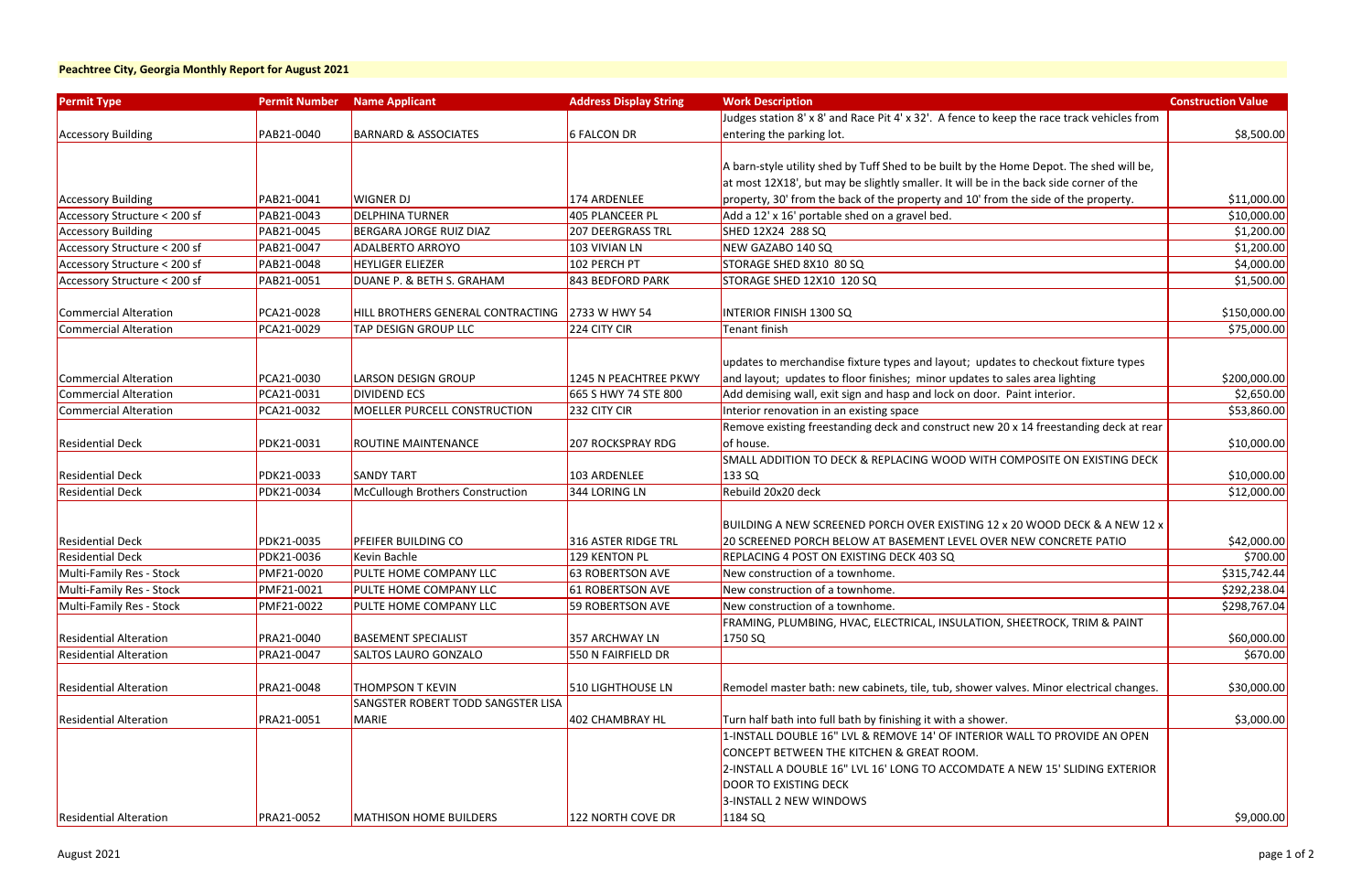| <b>Permit Type</b>            | <b>Permit Number</b> | <b>Name Applicant</b>                     | <b>Address Display String</b> | <b>Work Description</b>                                                                    | <b>Construction Value</b> |
|-------------------------------|----------------------|-------------------------------------------|-------------------------------|--------------------------------------------------------------------------------------------|---------------------------|
|                               |                      |                                           |                               | Judges station 8' x 8' and Race Pit 4' x 32'. A fence to keep the race track vehicles from |                           |
| <b>Accessory Building</b>     | PAB21-0040           | <b>BARNARD &amp; ASSOCIATES</b>           | <b>6 FALCON DR</b>            | entering the parking lot.                                                                  | \$8,500.00                |
|                               |                      |                                           |                               |                                                                                            |                           |
|                               |                      |                                           |                               | A barn-style utility shed by Tuff Shed to be built by the Home Depot. The shed will be,    |                           |
|                               |                      |                                           |                               | at most 12X18', but may be slightly smaller. It will be in the back side corner of the     |                           |
| <b>Accessory Building</b>     | PAB21-0041           | <b>WIGNER DJ</b>                          | 174 ARDENLEE                  | property, 30' from the back of the property and 10' from the side of the property.         | \$11,000.00               |
| Accessory Structure < 200 sf  | PAB21-0043           | <b>DELPHINA TURNER</b>                    | <b>405 PLANCEER PL</b>        | Add a 12' x 16' portable shed on a gravel bed.                                             | \$10,000.00               |
| <b>Accessory Building</b>     | PAB21-0045           | BERGARA JORGE RUIZ DIAZ                   | <b>207 DEERGRASS TRL</b>      | SHED 12X24 288 SQ                                                                          | \$1,200.00                |
| Accessory Structure < 200 sf  | PAB21-0047           | <b>ADALBERTO ARROYO</b>                   | 103 VIVIAN LN                 | NEW GAZABO 140 SQ                                                                          | \$1,200.00                |
| Accessory Structure < 200 sf  | PAB21-0048           | <b>HEYLIGER ELIEZER</b>                   | 102 PERCH PT                  | STORAGE SHED 8X10 80 SQ                                                                    | \$4,000.00                |
| Accessory Structure < 200 sf  | PAB21-0051           | DUANE P. & BETH S. GRAHAM                 | 843 BEDFORD PARK              | STORAGE SHED 12X10 120 SQ                                                                  | \$1,500.00                |
|                               |                      |                                           |                               |                                                                                            |                           |
| Commercial Alteration         | PCA21-0028           | HILL BROTHERS GENERAL CONTRACTING         | 2733 W HWY 54                 | <b>INTERIOR FINISH 1300 SQ</b>                                                             | \$150,000.00              |
| <b>Commercial Alteration</b>  | PCA21-0029           | TAP DESIGN GROUP LLC                      | 224 CITY CIR                  | Tenant finish                                                                              | \$75,000.00               |
|                               |                      |                                           |                               |                                                                                            |                           |
|                               |                      |                                           |                               | updates to merchandise fixture types and layout; updates to checkout fixture types         |                           |
| Commercial Alteration         | PCA21-0030           | <b>LARSON DESIGN GROUP</b>                | 1245 N PEACHTREE PKWY         | and layout; updates to floor finishes; minor updates to sales area lighting                | \$200,000.00              |
| Commercial Alteration         | PCA21-0031           | <b>DIVIDEND ECS</b>                       | 665 S HWY 74 STE 800          | Add demising wall, exit sign and hasp and lock on door. Paint interior.                    | \$2,650.00                |
| Commercial Alteration         | PCA21-0032           | MOELLER PURCELL CONSTRUCTION              | 232 CITY CIR                  | Interior renovation in an existing space                                                   | \$53,860.00               |
|                               |                      |                                           |                               | Remove existing freestanding deck and construct new 20 x 14 freestanding deck at rear      |                           |
| <b>Residential Deck</b>       | PDK21-0031           | <b>ROUTINE MAINTENANCE</b>                | <b>207 ROCKSPRAY RDG</b>      | of house.                                                                                  | \$10,000.00               |
|                               |                      |                                           |                               | SMALL ADDITION TO DECK & REPLACING WOOD WITH COMPOSITE ON EXISTING DECK                    |                           |
| <b>Residential Deck</b>       | PDK21-0033           | <b>SANDY TART</b>                         | 103 ARDENLEE                  | 133 SQ                                                                                     | \$10,000.00               |
| <b>Residential Deck</b>       | PDK21-0034           | McCullough Brothers Construction          | 344 LORING LN                 | Rebuild 20x20 deck                                                                         | \$12,000.00               |
|                               |                      |                                           |                               |                                                                                            |                           |
|                               |                      |                                           |                               | <b>BUILDING A NEW SCREENED PORCH OVER EXISTING 12 x 20 WOOD DECK &amp; A NEW 12 x</b>      |                           |
| <b>Residential Deck</b>       | PDK21-0035           | PFEIFER BUILDING CO                       | 316 ASTER RIDGE TRL           | 20 SCREENED PORCH BELOW AT BASEMENT LEVEL OVER NEW CONCRETE PATIO                          | \$42,000.00               |
| <b>Residential Deck</b>       | PDK21-0036           | Kevin Bachle                              | 129 KENTON PL                 | REPLACING 4 POST ON EXISTING DECK 403 SQ                                                   | \$700.00                  |
| Multi-Family Res - Stock      | PMF21-0020           | PULTE HOME COMPANY LLC                    | <b>63 ROBERTSON AVE</b>       | New construction of a townhome.                                                            | \$315,742.44              |
| Multi-Family Res - Stock      | PMF21-0021           | PULTE HOME COMPANY LLC                    | <b>61 ROBERTSON AVE</b>       | New construction of a townhome.                                                            | \$292,238.04              |
| Multi-Family Res - Stock      | PMF21-0022           | PULTE HOME COMPANY LLC                    | 59 ROBERTSON AVE              | New construction of a townhome.                                                            | \$298,767.04              |
|                               |                      |                                           |                               | FRAMING, PLUMBING, HVAC, ELECTRICAL, INSULATION, SHEETROCK, TRIM & PAINT                   |                           |
| <b>Residential Alteration</b> | PRA21-0040           | <b>BASEMENT SPECIALIST</b>                | 357 ARCHWAY LN                | 1750 SQ                                                                                    | \$60,000.00               |
| <b>Residential Alteration</b> | PRA21-0047           | <b>SALTOS LAURO GONZALO</b>               | 550 N FAIRFIELD DR            |                                                                                            | \$670.00                  |
| <b>Residential Alteration</b> | PRA21-0048           | <b>THOMPSON T KEVIN</b>                   | 510 LIGHTHOUSE LN             | Remodel master bath: new cabinets, tile, tub, shower valves. Minor electrical changes.     | \$30,000.00               |
|                               |                      | <b>SANGSTER ROBERT TODD SANGSTER LISA</b> |                               |                                                                                            |                           |
| <b>Residential Alteration</b> | PRA21-0051           | MARIE                                     | 402 CHAMBRAY HL               | Turn half bath into full bath by finishing it with a shower.                               | \$3,000.00                |
|                               |                      |                                           |                               | 1-INSTALL DOUBLE 16" LVL & REMOVE 14' OF INTERIOR WALL TO PROVIDE AN OPEN                  |                           |
|                               |                      |                                           |                               | CONCEPT BETWEEN THE KITCHEN & GREAT ROOM.                                                  |                           |
|                               |                      |                                           |                               | 2-INSTALL A DOUBLE 16" LVL 16' LONG TO ACCOMDATE A NEW 15' SLIDING EXTERIOR                |                           |
|                               |                      |                                           |                               | DOOR TO EXISTING DECK                                                                      |                           |
|                               |                      |                                           |                               | 3-INSTALL 2 NEW WINDOWS                                                                    |                           |
| <b>Residential Alteration</b> | PRA21-0052           | <b>MATHISON HOME BUILDERS</b>             | 122 NORTH COVE DR             | 1184 SQ                                                                                    | \$9,000.00                |
|                               |                      |                                           |                               |                                                                                            |                           |

### **Peachtree City, Georgia Monthly Report for August 2021**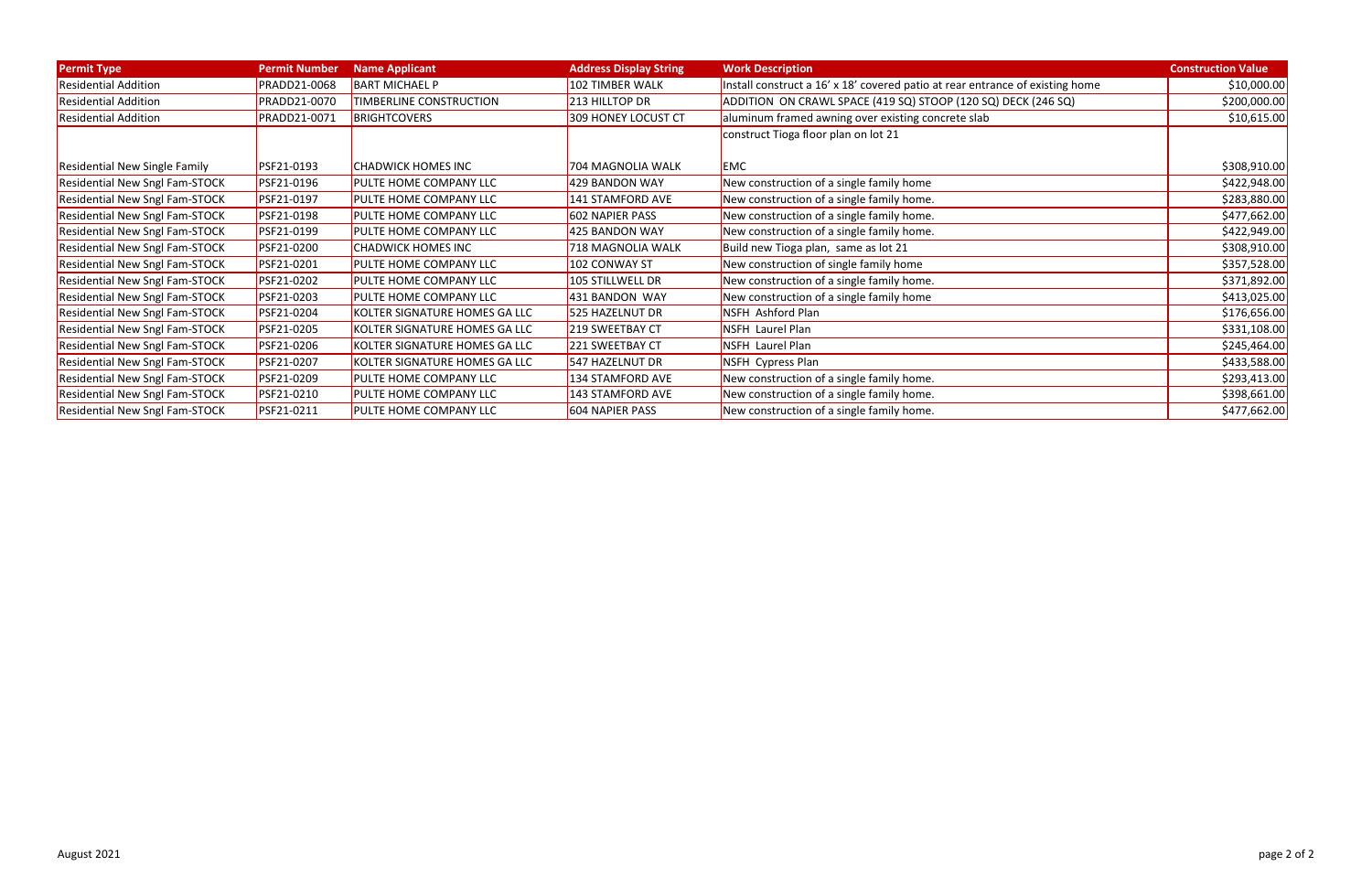| <b>Permit Type</b>                    | <b>Permit Number</b> | <b>Name Applicant</b>         | <b>Address Display String</b> | <b>Work Description</b>                                                       | <b>Construction Value</b> |
|---------------------------------------|----------------------|-------------------------------|-------------------------------|-------------------------------------------------------------------------------|---------------------------|
| <b>Residential Addition</b>           | PRADD21-0068         | <b>BART MICHAEL P</b>         | 102 TIMBER WALK               | Install construct a 16' x 18' covered patio at rear entrance of existing home | \$10,000.00               |
| <b>Residential Addition</b>           | PRADD21-0070         | TIMBERLINE CONSTRUCTION       | 213 HILLTOP DR                | ADDITION ON CRAWL SPACE (419 SQ) STOOP (120 SQ) DECK (246 SQ)                 | \$200,000.00              |
| <b>Residential Addition</b>           | PRADD21-0071         | <b>BRIGHTCOVERS</b>           | 309 HONEY LOCUST CT           | aluminum framed awning over existing concrete slab                            | \$10,615.00               |
|                                       |                      |                               |                               | construct Tioga floor plan on lot 21                                          |                           |
|                                       |                      |                               |                               |                                                                               |                           |
| <b>Residential New Single Family</b>  | PSF21-0193           | <b>CHADWICK HOMES INC</b>     | 704 MAGNOLIA WALK             | <b>EMC</b>                                                                    | \$308,910.00              |
| <b>Residential New Sngl Fam-STOCK</b> | PSF21-0196           | PULTE HOME COMPANY LLC        | 429 BANDON WAY                | New construction of a single family home                                      | \$422,948.00              |
| Residential New Sngl Fam-STOCK        | PSF21-0197           | PULTE HOME COMPANY LLC        | 141 STAMFORD AVE              | New construction of a single family home.                                     | \$283,880.00              |
| Residential New Sngl Fam-STOCK        | PSF21-0198           | <b>PULTE HOME COMPANY LLC</b> | <b>602 NAPIER PASS</b>        | New construction of a single family home.                                     | \$477,662.00              |
| <b>Residential New Sngl Fam-STOCK</b> | PSF21-0199           | PULTE HOME COMPANY LLC        | 425 BANDON WAY                | New construction of a single family home.                                     | \$422,949.00              |
| Residential New Sngl Fam-STOCK        | PSF21-0200           | <b>CHADWICK HOMES INC</b>     | 718 MAGNOLIA WALK             | Build new Tioga plan, same as lot 21                                          | \$308,910.00              |
| Residential New Sngl Fam-STOCK        | PSF21-0201           | PULTE HOME COMPANY LLC        | 102 CONWAY ST                 | New construction of single family home                                        | \$357,528.00              |
| <b>Residential New Sngl Fam-STOCK</b> | PSF21-0202           | PULTE HOME COMPANY LLC        | 105 STILLWELL DR              | New construction of a single family home.                                     | \$371,892.00              |
| Residential New Sngl Fam-STOCK        | PSF21-0203           | PULTE HOME COMPANY LLC        | 431 BANDON WAY                | New construction of a single family home                                      | \$413,025.00              |
| Residential New Sngl Fam-STOCK        | PSF21-0204           | KOLTER SIGNATURE HOMES GA LLC | 525 HAZELNUT DR               | NSFH Ashford Plan                                                             | \$176,656.00              |
| <b>Residential New Sngl Fam-STOCK</b> | PSF21-0205           | KOLTER SIGNATURE HOMES GA LLC | 219 SWEETBAY CT               | <b>NSFH Laurel Plan</b>                                                       | \$331,108.00              |
| Residential New Sngl Fam-STOCK        | PSF21-0206           | KOLTER SIGNATURE HOMES GA LLC | 221 SWEETBAY CT               | <b>NSFH Laurel Plan</b>                                                       | \$245,464.00              |
| Residential New Sngl Fam-STOCK        | PSF21-0207           | KOLTER SIGNATURE HOMES GA LLC | 547 HAZELNUT DR               | NSFH Cypress Plan                                                             | \$433,588.00              |
| <b>Residential New Sngl Fam-STOCK</b> | PSF21-0209           | PULTE HOME COMPANY LLC        | 134 STAMFORD AVE              | New construction of a single family home.                                     | \$293,413.00              |
| Residential New Sngl Fam-STOCK        | PSF21-0210           | PULTE HOME COMPANY LLC        | 143 STAMFORD AVE              | New construction of a single family home.                                     | \$398,661.00              |
| <b>Residential New Sngl Fam-STOCK</b> | PSF21-0211           | PULTE HOME COMPANY LLC        | 604 NAPIER PASS               | New construction of a single family home.                                     | \$477,662.00              |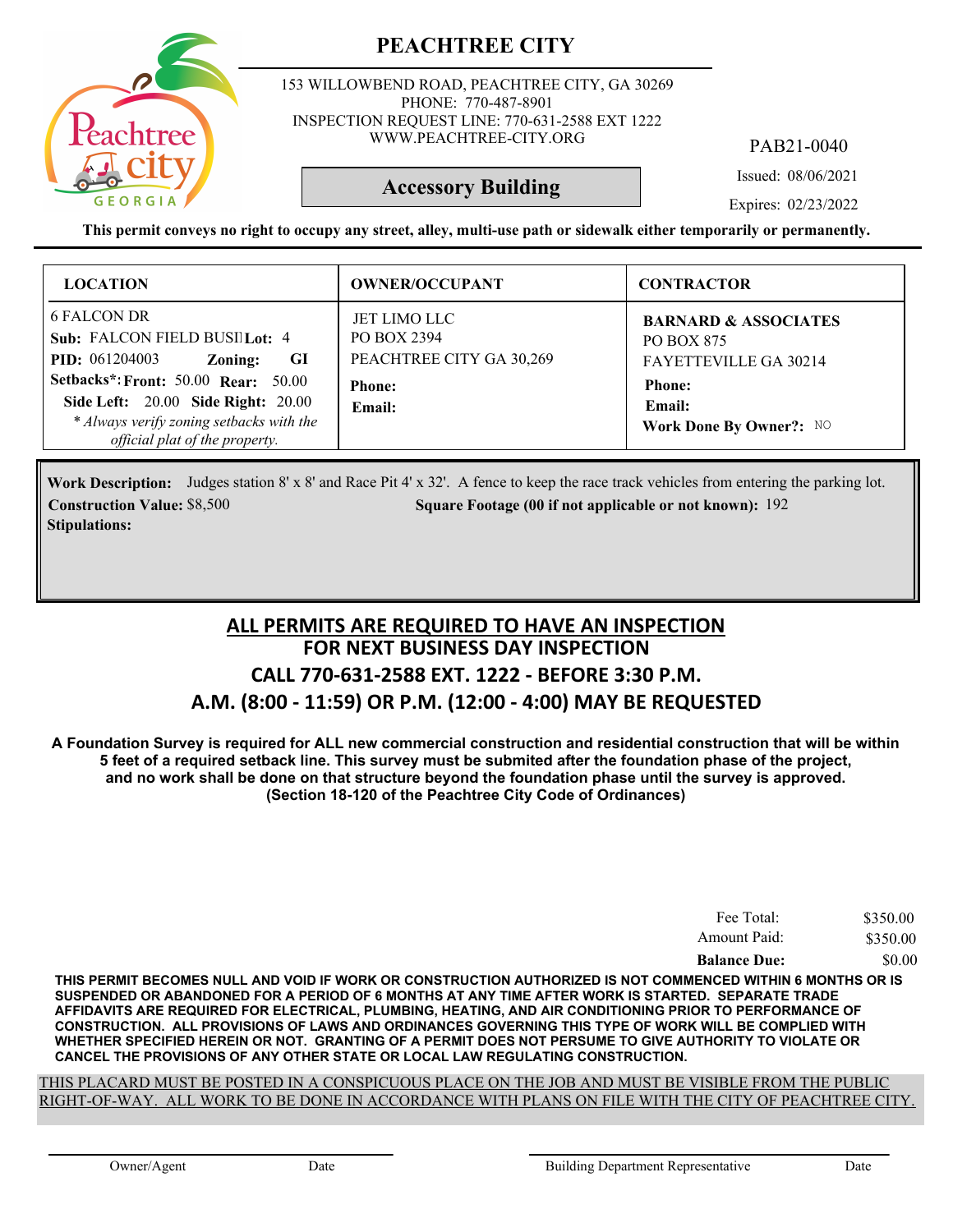

153 WILLOWBEND ROAD, PEACHTREE CITY, GA 30269 PHONE: 770-487-8901 INSPECTION REQUEST LINE: 770-631-2588 EXT 1222 WWW.PEACHTREE-CITY.ORG

PAB21-0040

Issued: 08/06/2021

**Accessory Building**

Expires: 02/23/2022

**This permit conveys no right to occupy any street, alley, multi-use path or sidewalk either temporarily or permanently.**

| <b>LOCATION</b>                                                                                                                      | <b>OWNER/OCCUPANT</b>                                                           | <b>CONTRACTOR</b>                                                                              |
|--------------------------------------------------------------------------------------------------------------------------------------|---------------------------------------------------------------------------------|------------------------------------------------------------------------------------------------|
| 6 FALCON DR<br>Sub: FALCON FIELD BUSI Lot: 4<br><b>PID:</b> 061204003<br>GI<br>Zoning:<br><b>Setbacks*: Front: 50.00 Rear: 50.00</b> | <b>JET LIMO LLC</b><br>PO BOX 2394<br>PEACHTREE CITY GA 30,269<br><b>Phone:</b> | <b>BARNARD &amp; ASSOCIATES</b><br><b>PO BOX 875</b><br>FAYETTEVILLE GA 30214<br><b>Phone:</b> |
| Side Left: 20.00 Side Right: 20.00<br>* Always verify zoning setbacks with the<br>official plat of the property.                     | Email:                                                                          | Email:<br>Work Done By Owner?: NO                                                              |

Work Description: Judges station 8' x 8' and Race Pit 4' x 32'. A fence to keep the race track vehicles from entering the parking lot. **Construction Value:** \$8,500 192 **Square Footage (00 if not applicable or not known): 192 Stipulations:**

### **FOR NEXT BUSINESS DAY INSPECTION CALL 770-631-2588 EXT. 1222 - BEFORE 3:30 P.M. A.M. (8:00 - 11:59) OR P.M. (12:00 - 4:00) MAY BE REQUESTED ALL PERMITS ARE REQUIRED TO HAVE AN INSPECTION**

**A Foundation Survey is required for ALL new commercial construction and residential construction that will be within 5 feet of a required setback line. This survey must be submited after the foundation phase of the project, and no work shall be done on that structure beyond the foundation phase until the survey is approved. (Section 18-120 of the Peachtree City Code of Ordinances)**

| Fee Total:          | \$350.00 |
|---------------------|----------|
| Amount Paid:        | \$350.00 |
| <b>Balance Due:</b> | \$0.00   |

**THIS PERMIT BECOMES NULL AND VOID IF WORK OR CONSTRUCTION AUTHORIZED IS NOT COMMENCED WITHIN 6 MONTHS OR IS SUSPENDED OR ABANDONED FOR A PERIOD OF 6 MONTHS AT ANY TIME AFTER WORK IS STARTED. SEPARATE TRADE AFFIDAVITS ARE REQUIRED FOR ELECTRICAL, PLUMBING, HEATING, AND AIR CONDITIONING PRIOR TO PERFORMANCE OF CONSTRUCTION. ALL PROVISIONS OF LAWS AND ORDINANCES GOVERNING THIS TYPE OF WORK WILL BE COMPLIED WITH WHETHER SPECIFIED HEREIN OR NOT. GRANTING OF A PERMIT DOES NOT PERSUME TO GIVE AUTHORITY TO VIOLATE OR CANCEL THE PROVISIONS OF ANY OTHER STATE OR LOCAL LAW REGULATING CONSTRUCTION.**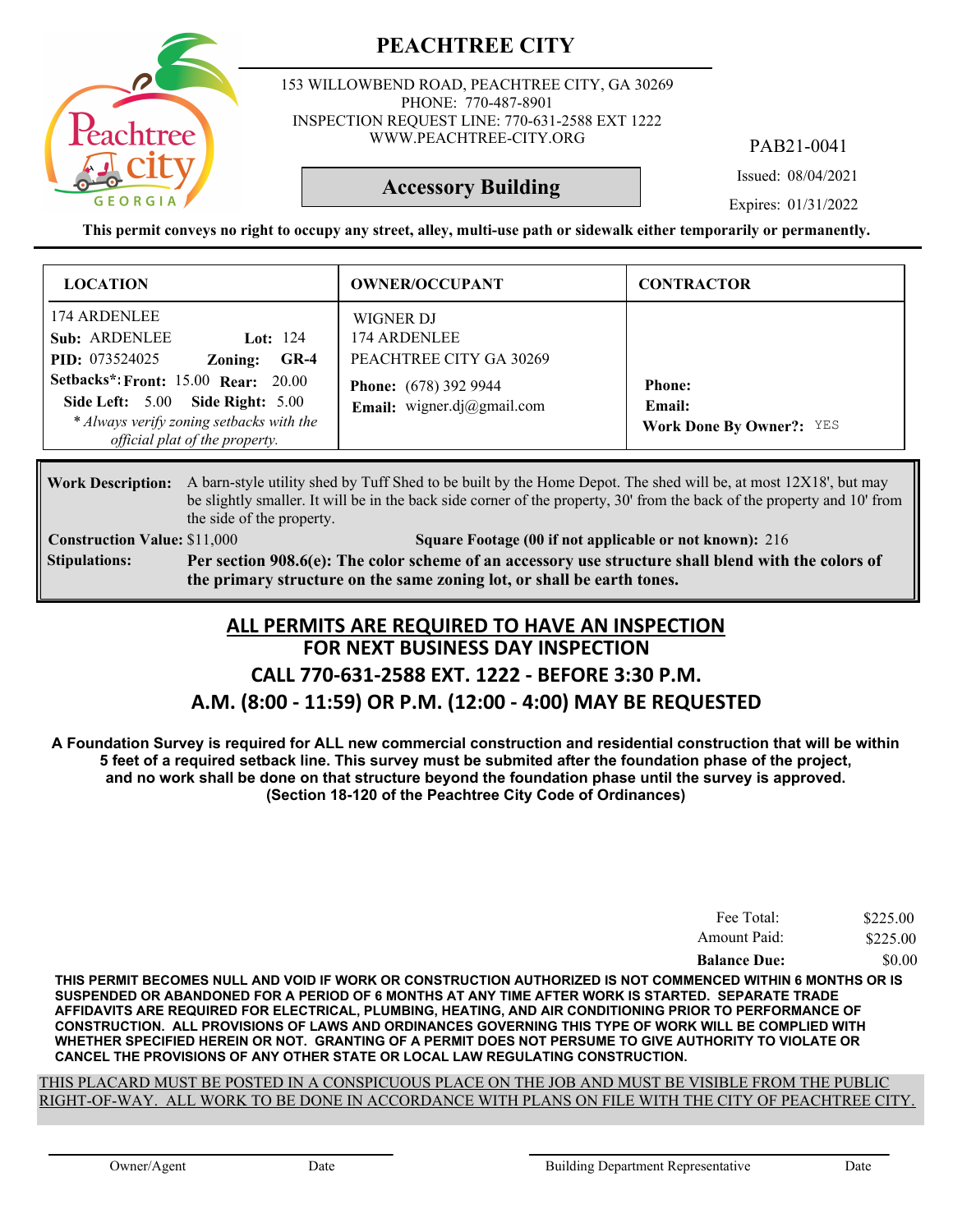

153 WILLOWBEND ROAD, PEACHTREE CITY, GA 30269 PHONE: 770-487-8901 INSPECTION REQUEST LINE: 770-631-2588 EXT 1222 WWW.PEACHTREE-CITY.ORG

PAB21-0041

Issued: 08/04/2021

**Accessory Building**

Expires: 01/31/2022

**This permit conveys no right to occupy any street, alley, multi-use path or sidewalk either temporarily or permanently.**

| <b>LOCATION</b>                                                                                                                                                                                                                                                  | <b>OWNER/OCCUPANT</b>                                                                                              | <b>CONTRACTOR</b>                                          |
|------------------------------------------------------------------------------------------------------------------------------------------------------------------------------------------------------------------------------------------------------------------|--------------------------------------------------------------------------------------------------------------------|------------------------------------------------------------|
| 174 ARDENLEE<br>Sub: ARDENLEE<br>Lot: $124$<br><b>PID:</b> 073524025<br>$GR-4$<br>Zoning:<br><b>Setbacks*: Front: 15.00 Rear: 20.00</b><br><b>Side Left: 5.00 Side Right: 5.00</b><br>* Always verify zoning setbacks with the<br>official plat of the property. | WIGNER DJ<br>174 ARDENLEE<br>PEACHTREE CITY GA 30269<br><b>Phone:</b> (678) 392 9944<br>Email: wigner.dj@gmail.com | <b>Phone:</b><br>Email:<br><b>Work Done By Owner?:</b> YES |

Work Description: A barn-style utility shed by Tuff Shed to be built by the Home Depot. The shed will be, at most 12X18', but may be slightly smaller. It will be in the back side corner of the property, 30' from the back of the property and 10' from the side of the property.

**Construction Value:** \$11,000 216 **Square Footage (00 if not applicable or not known): 216 Per section 908.6(e): The color scheme of an accessory use structure shall blend with the colors of the primary structure on the same zoning lot, or shall be earth tones. Stipulations:**

### **FOR NEXT BUSINESS DAY INSPECTION CALL 770-631-2588 EXT. 1222 - BEFORE 3:30 P.M. A.M. (8:00 - 11:59) OR P.M. (12:00 - 4:00) MAY BE REQUESTED ALL PERMITS ARE REQUIRED TO HAVE AN INSPECTION**

**A Foundation Survey is required for ALL new commercial construction and residential construction that will be within 5 feet of a required setback line. This survey must be submited after the foundation phase of the project, and no work shall be done on that structure beyond the foundation phase until the survey is approved. (Section 18-120 of the Peachtree City Code of Ordinances)**

| Fee Total:          | \$225.00 |
|---------------------|----------|
| Amount Paid:        | \$225.00 |
| <b>Balance Due:</b> | \$0.00   |

**THIS PERMIT BECOMES NULL AND VOID IF WORK OR CONSTRUCTION AUTHORIZED IS NOT COMMENCED WITHIN 6 MONTHS OR IS SUSPENDED OR ABANDONED FOR A PERIOD OF 6 MONTHS AT ANY TIME AFTER WORK IS STARTED. SEPARATE TRADE AFFIDAVITS ARE REQUIRED FOR ELECTRICAL, PLUMBING, HEATING, AND AIR CONDITIONING PRIOR TO PERFORMANCE OF CONSTRUCTION. ALL PROVISIONS OF LAWS AND ORDINANCES GOVERNING THIS TYPE OF WORK WILL BE COMPLIED WITH WHETHER SPECIFIED HEREIN OR NOT. GRANTING OF A PERMIT DOES NOT PERSUME TO GIVE AUTHORITY TO VIOLATE OR CANCEL THE PROVISIONS OF ANY OTHER STATE OR LOCAL LAW REGULATING CONSTRUCTION.**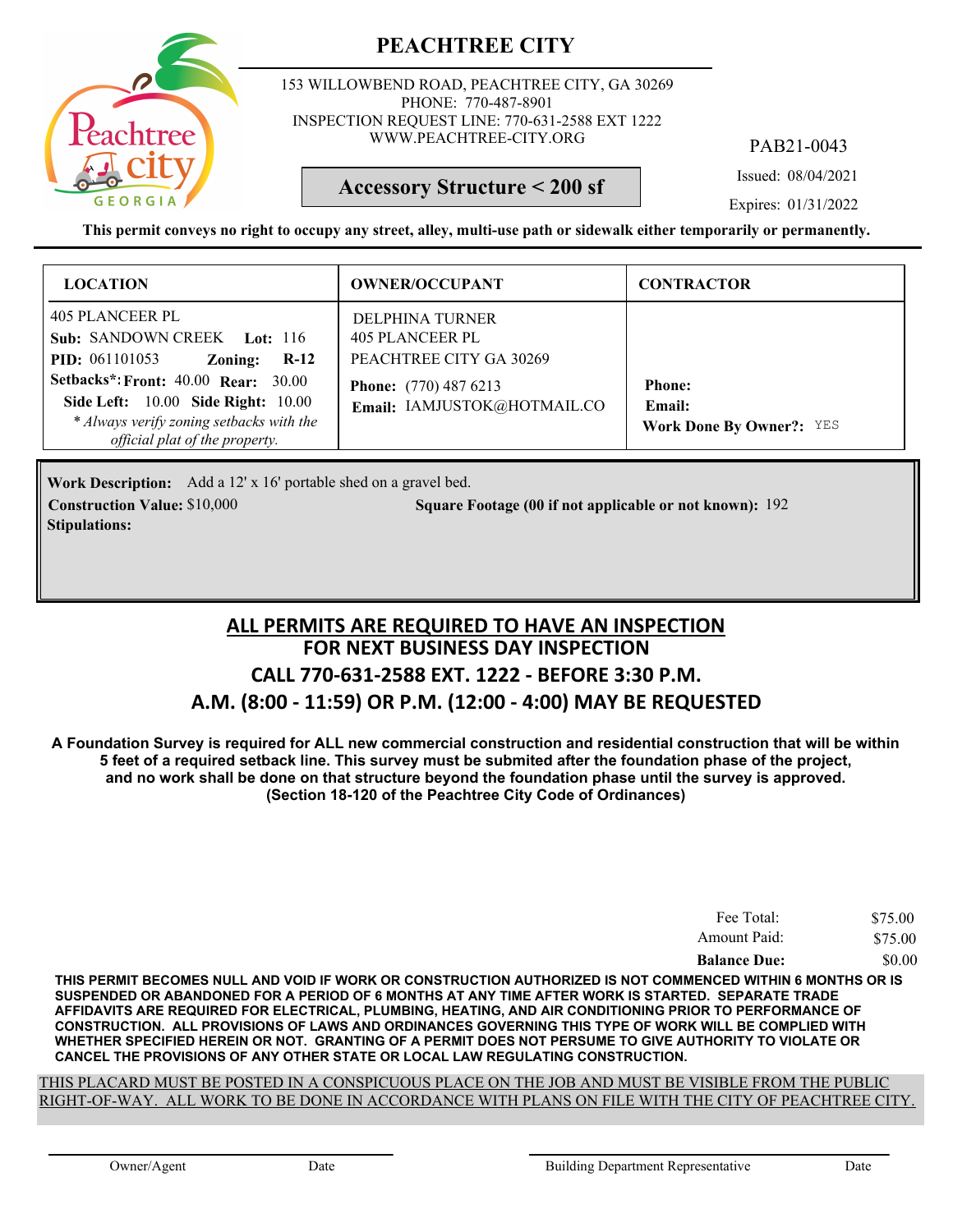

153 WILLOWBEND ROAD, PEACHTREE CITY, GA 30269 PHONE: 770-487-8901 INSPECTION REQUEST LINE: 770-631-2588 EXT 1222 WWW.PEACHTREE-CITY.ORG

PAB21-0043

Issued: 08/04/2021

**Accessory Structure < 200 sf**

Expires: 01/31/2022

**This permit conveys no right to occupy any street, alley, multi-use path or sidewalk either temporarily or permanently.**

| <b>LOCATION</b>                                                                                                                                                                                                                                                                     | <b>OWNER/OCCUPANT</b>                                                                                                        | <b>CONTRACTOR</b>                                          |
|-------------------------------------------------------------------------------------------------------------------------------------------------------------------------------------------------------------------------------------------------------------------------------------|------------------------------------------------------------------------------------------------------------------------------|------------------------------------------------------------|
| 405 PLANCEER PL<br><b>Sub: SANDOWN CREEK</b> Lot: 116<br><b>PID:</b> 061101053<br>Zoning:<br>$R-12$<br><b>Setbacks*: Front: 40.00 Rear: 30.00</b><br><b>Side Left:</b> 10.00 <b>Side Right:</b> 10.00<br>* Always verify zoning setbacks with the<br>official plat of the property. | DELPHINA TURNER<br>405 PLANCEER PL<br>PEACHTREE CITY GA 30269<br><b>Phone:</b> (770) 487 6213<br>Email: IAMJUSTOK@HOTMAIL.CO | <b>Phone:</b><br>Email:<br><b>Work Done By Owner?: YES</b> |

Work Description: Add a 12' x 16' portable shed on a gravel bed. **Construction Value:** \$10,000 192 **Square Footage (00 if not applicable or not known): 192 Stipulations:**

### **FOR NEXT BUSINESS DAY INSPECTION CALL 770-631-2588 EXT. 1222 - BEFORE 3:30 P.M. A.M. (8:00 - 11:59) OR P.M. (12:00 - 4:00) MAY BE REQUESTED ALL PERMITS ARE REQUIRED TO HAVE AN INSPECTION**

**A Foundation Survey is required for ALL new commercial construction and residential construction that will be within 5 feet of a required setback line. This survey must be submited after the foundation phase of the project, and no work shall be done on that structure beyond the foundation phase until the survey is approved. (Section 18-120 of the Peachtree City Code of Ordinances)**

| Fee Total:          | \$75.00 |
|---------------------|---------|
| Amount Paid:        | \$75.00 |
| <b>Balance Due:</b> | \$0.00  |

**THIS PERMIT BECOMES NULL AND VOID IF WORK OR CONSTRUCTION AUTHORIZED IS NOT COMMENCED WITHIN 6 MONTHS OR IS SUSPENDED OR ABANDONED FOR A PERIOD OF 6 MONTHS AT ANY TIME AFTER WORK IS STARTED. SEPARATE TRADE AFFIDAVITS ARE REQUIRED FOR ELECTRICAL, PLUMBING, HEATING, AND AIR CONDITIONING PRIOR TO PERFORMANCE OF CONSTRUCTION. ALL PROVISIONS OF LAWS AND ORDINANCES GOVERNING THIS TYPE OF WORK WILL BE COMPLIED WITH WHETHER SPECIFIED HEREIN OR NOT. GRANTING OF A PERMIT DOES NOT PERSUME TO GIVE AUTHORITY TO VIOLATE OR CANCEL THE PROVISIONS OF ANY OTHER STATE OR LOCAL LAW REGULATING CONSTRUCTION.**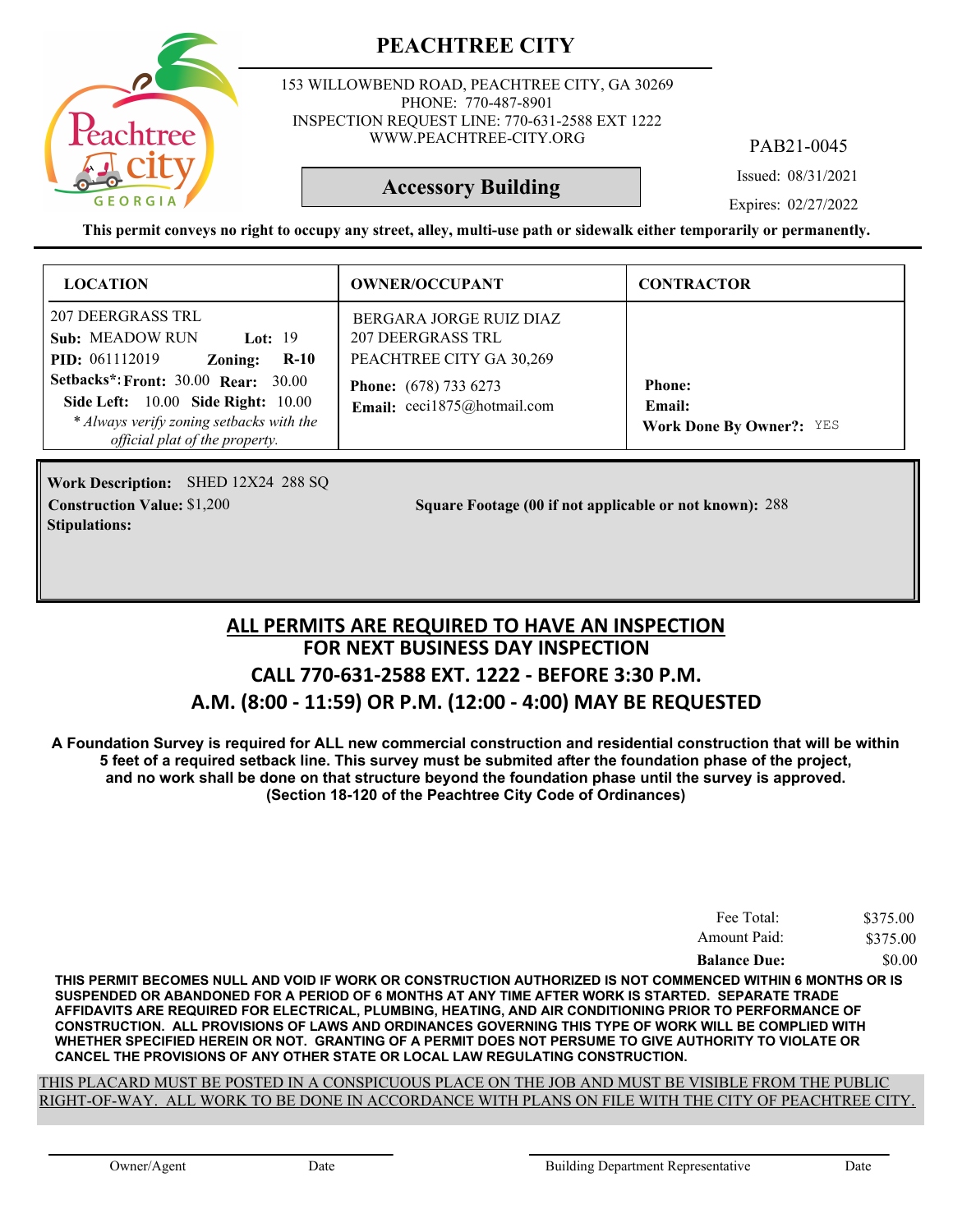

153 WILLOWBEND ROAD, PEACHTREE CITY, GA 30269 PHONE: 770-487-8901 INSPECTION REQUEST LINE: 770-631-2588 EXT 1222 WWW.PEACHTREE-CITY.ORG

PAB21-0045

Issued: 08/31/2021

**Accessory Building**

Expires: 02/27/2022

**This permit conveys no right to occupy any street, alley, multi-use path or sidewalk either temporarily or permanently.**

| <b>LOCATION</b>                                                                                                                                                              | <b>OWNER/OCCUPANT</b>                                                    | <b>CONTRACTOR</b>                                          |
|------------------------------------------------------------------------------------------------------------------------------------------------------------------------------|--------------------------------------------------------------------------|------------------------------------------------------------|
| 207 DEERGRASS TRL<br><b>Sub: MEADOW RUN</b><br><b>Lot:</b> 19<br><b>PID:</b> 061112019<br>$R-10$<br>Zoning:                                                                  | BERGARA JORGE RUIZ DIAZ<br>207 DEERGRASS TRL<br>PEACHTREE CITY GA 30,269 |                                                            |
| <b>Setbacks*: Front: 30.00 Rear: 30.00</b><br><b>Side Left:</b> 10.00 <b>Side Right:</b> 10.00<br>* Always verify zoning setbacks with the<br>official plat of the property. | <b>Phone:</b> (678) 733 6273<br>Email: ceci1875@hotmail.com              | <b>Phone:</b><br>Email:<br><b>Work Done By Owner?: YES</b> |

Work Description: SHED 12X24 288 SQ **Stipulations:**

**Construction Value:** \$1,200 288 **200 2010** 2010 Square Footage (00 if not applicable or not known): 288

### **FOR NEXT BUSINESS DAY INSPECTION CALL 770-631-2588 EXT. 1222 - BEFORE 3:30 P.M. A.M. (8:00 - 11:59) OR P.M. (12:00 - 4:00) MAY BE REQUESTED ALL PERMITS ARE REQUIRED TO HAVE AN INSPECTION**

**A Foundation Survey is required for ALL new commercial construction and residential construction that will be within 5 feet of a required setback line. This survey must be submited after the foundation phase of the project, and no work shall be done on that structure beyond the foundation phase until the survey is approved. (Section 18-120 of the Peachtree City Code of Ordinances)**

| Fee Total:          | \$375.00 |
|---------------------|----------|
| Amount Paid:        | \$375.00 |
| <b>Balance Due:</b> | \$0.00   |

**THIS PERMIT BECOMES NULL AND VOID IF WORK OR CONSTRUCTION AUTHORIZED IS NOT COMMENCED WITHIN 6 MONTHS OR IS SUSPENDED OR ABANDONED FOR A PERIOD OF 6 MONTHS AT ANY TIME AFTER WORK IS STARTED. SEPARATE TRADE AFFIDAVITS ARE REQUIRED FOR ELECTRICAL, PLUMBING, HEATING, AND AIR CONDITIONING PRIOR TO PERFORMANCE OF CONSTRUCTION. ALL PROVISIONS OF LAWS AND ORDINANCES GOVERNING THIS TYPE OF WORK WILL BE COMPLIED WITH WHETHER SPECIFIED HEREIN OR NOT. GRANTING OF A PERMIT DOES NOT PERSUME TO GIVE AUTHORITY TO VIOLATE OR CANCEL THE PROVISIONS OF ANY OTHER STATE OR LOCAL LAW REGULATING CONSTRUCTION.**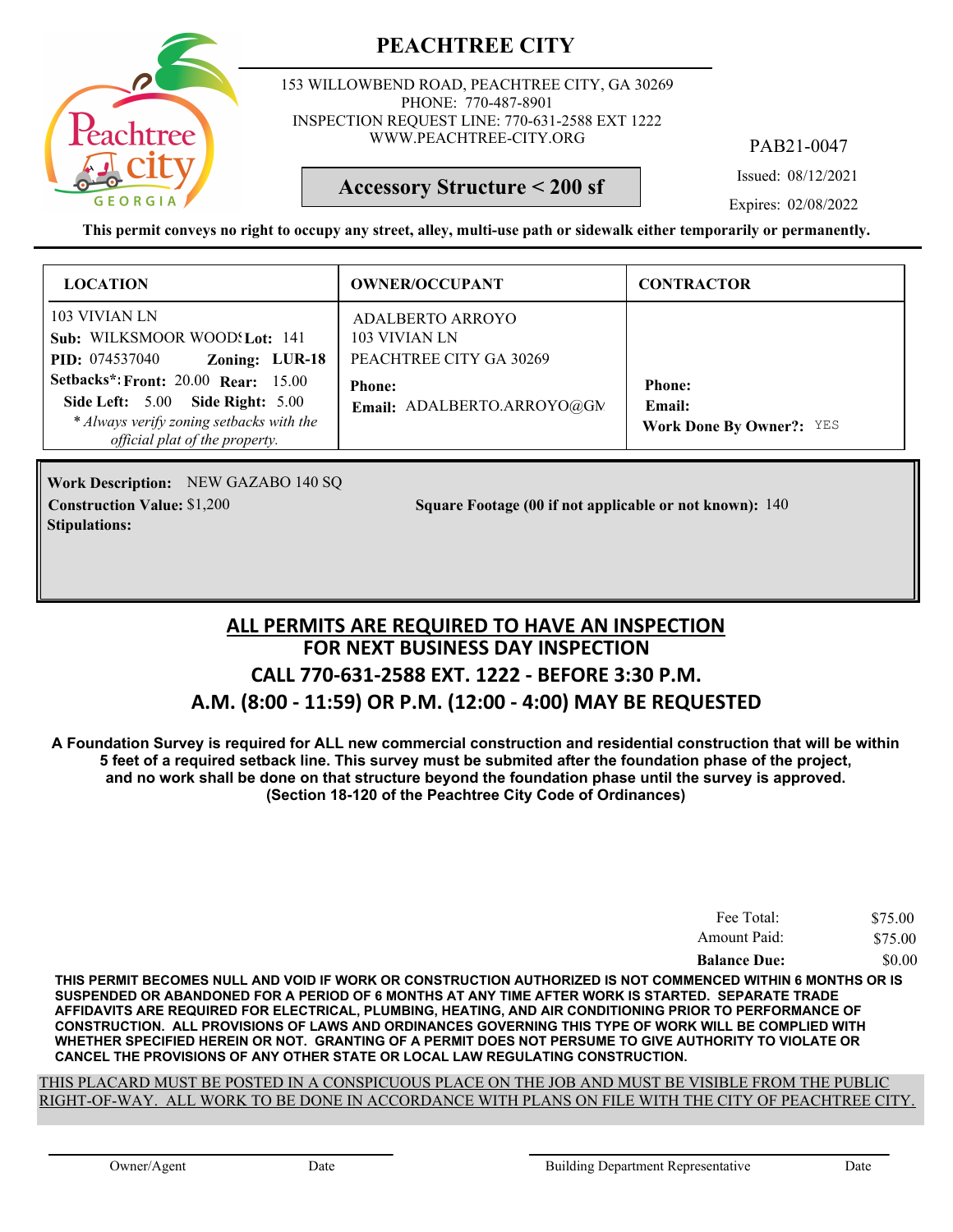

153 WILLOWBEND ROAD, PEACHTREE CITY, GA 30269 PHONE: 770-487-8901 INSPECTION REQUEST LINE: 770-631-2588 EXT 1222 WWW.PEACHTREE-CITY.ORG

PAB21-0047

Issued: 08/12/2021

### **Accessory Structure < 200 sf**

Expires: 02/08/2022

**This permit conveys no right to occupy any street, alley, multi-use path or sidewalk either temporarily or permanently.**

| <b>LOCATION</b>                                                                                                                                              | <b>OWNER/OCCUPANT</b>                                               | <b>CONTRACTOR</b>                                                 |
|--------------------------------------------------------------------------------------------------------------------------------------------------------------|---------------------------------------------------------------------|-------------------------------------------------------------------|
| 103 VIVIAN LN<br>Sub: WILKSMOOR WOOD! Lot: 141<br>Zoning: LUR-18<br><b>PID:</b> 074537040                                                                    | <b>ADALBERTO ARROYO</b><br>103 VIVIAN LN<br>PEACHTREE CITY GA 30269 |                                                                   |
| <b>Setbacks*: Front: 20.00 Rear: 15.00</b><br>Side Left: 5.00 Side Right: 5.00<br>* Always verify zoning setbacks with the<br>official plat of the property. | <b>Phone:</b><br>Email: ADALBERTO.ARROYO@GN                         | <b>Phone:</b><br><b>Email:</b><br><b>Work Done By Owner?: YES</b> |

**Work Description:** NEW GAZABO 140 SQ **Stipulations:**

**Construction Value:** \$1,200 **140 Square Footage (00 if not applicable or not known):** 140

### **FOR NEXT BUSINESS DAY INSPECTION CALL 770-631-2588 EXT. 1222 - BEFORE 3:30 P.M. A.M. (8:00 - 11:59) OR P.M. (12:00 - 4:00) MAY BE REQUESTED ALL PERMITS ARE REQUIRED TO HAVE AN INSPECTION**

**A Foundation Survey is required for ALL new commercial construction and residential construction that will be within 5 feet of a required setback line. This survey must be submited after the foundation phase of the project, and no work shall be done on that structure beyond the foundation phase until the survey is approved. (Section 18-120 of the Peachtree City Code of Ordinances)**

| Fee Total:          | \$75.00 |
|---------------------|---------|
| Amount Paid:        | \$75.00 |
| <b>Balance Due:</b> | \$0.00  |

**THIS PERMIT BECOMES NULL AND VOID IF WORK OR CONSTRUCTION AUTHORIZED IS NOT COMMENCED WITHIN 6 MONTHS OR IS SUSPENDED OR ABANDONED FOR A PERIOD OF 6 MONTHS AT ANY TIME AFTER WORK IS STARTED. SEPARATE TRADE AFFIDAVITS ARE REQUIRED FOR ELECTRICAL, PLUMBING, HEATING, AND AIR CONDITIONING PRIOR TO PERFORMANCE OF CONSTRUCTION. ALL PROVISIONS OF LAWS AND ORDINANCES GOVERNING THIS TYPE OF WORK WILL BE COMPLIED WITH WHETHER SPECIFIED HEREIN OR NOT. GRANTING OF A PERMIT DOES NOT PERSUME TO GIVE AUTHORITY TO VIOLATE OR CANCEL THE PROVISIONS OF ANY OTHER STATE OR LOCAL LAW REGULATING CONSTRUCTION.**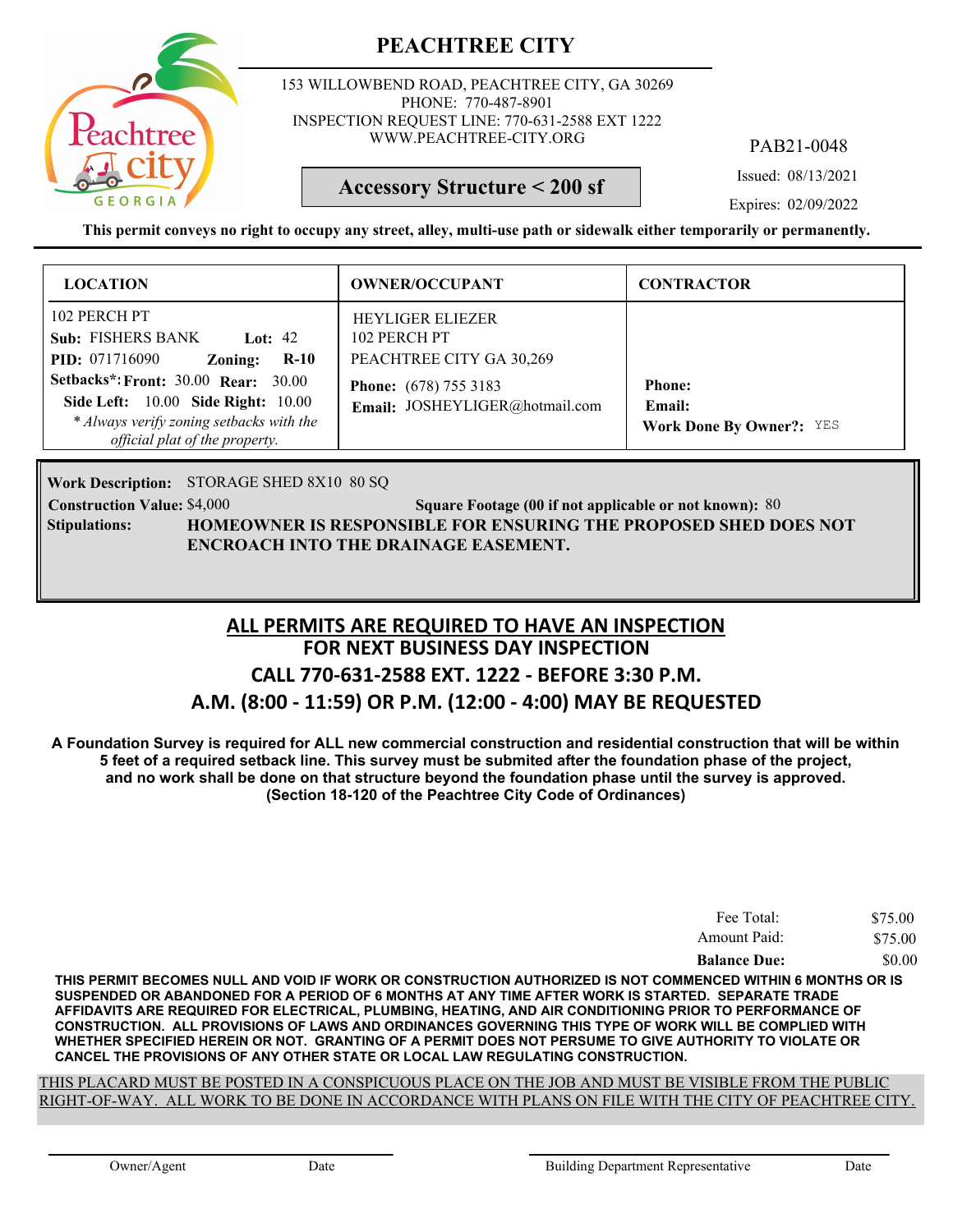

153 WILLOWBEND ROAD, PEACHTREE CITY, GA 30269 PHONE: 770-487-8901 INSPECTION REQUEST LINE: 770-631-2588 EXT 1222 WWW.PEACHTREE-CITY.ORG

PAB21-0048

Issued: 08/13/2021

### **Accessory Structure < 200 sf**

Expires: 02/09/2022

**This permit conveys no right to occupy any street, alley, multi-use path or sidewalk either temporarily or permanently.**

| <b>LOCATION</b>                                                                                                                                                | <b>OWNER/OCCUPANT</b>                                               | <b>CONTRACTOR</b>                                          |
|----------------------------------------------------------------------------------------------------------------------------------------------------------------|---------------------------------------------------------------------|------------------------------------------------------------|
| 102 PERCH PT<br><b>Sub: FISHERS BANK</b><br>Lot: $42$<br><b>PID:</b> 071716090<br>$R-10$<br>Zoning:                                                            | <b>HEYLIGER ELIEZER</b><br>102 PERCH PT<br>PEACHTREE CITY GA 30,269 |                                                            |
| <b>Setbacks*: Front: 30.00 Rear: 30.00</b><br>Side Left: 10.00 Side Right: 10.00<br>* Always verify zoning setbacks with the<br>official plat of the property. | <b>Phone:</b> (678) 755 3183<br>Email: JOSHEYLIGER@hotmail.com      | <b>Phone:</b><br>Email:<br><b>Work Done By Owner?: YES</b> |

Work Description: STORAGE SHED 8X10 80 SQ

**Stipulations:**

**Construction Value: Square Footage (00 if not applicable or not known):** \$4,000 80 **HOMEOWNER IS RESPONSIBLE FOR ENSURING THE PROPOSED SHED DOES NOT ENCROACH INTO THE DRAINAGE EASEMENT.**

### **FOR NEXT BUSINESS DAY INSPECTION CALL 770-631-2588 EXT. 1222 - BEFORE 3:30 P.M. A.M. (8:00 - 11:59) OR P.M. (12:00 - 4:00) MAY BE REQUESTED ALL PERMITS ARE REQUIRED TO HAVE AN INSPECTION**

**A Foundation Survey is required for ALL new commercial construction and residential construction that will be within 5 feet of a required setback line. This survey must be submited after the foundation phase of the project, and no work shall be done on that structure beyond the foundation phase until the survey is approved. (Section 18-120 of the Peachtree City Code of Ordinances)**

| Fee Total:          | \$75.00 |
|---------------------|---------|
| Amount Paid:        | \$75.00 |
| <b>Balance Due:</b> | \$0.00  |

**THIS PERMIT BECOMES NULL AND VOID IF WORK OR CONSTRUCTION AUTHORIZED IS NOT COMMENCED WITHIN 6 MONTHS OR IS SUSPENDED OR ABANDONED FOR A PERIOD OF 6 MONTHS AT ANY TIME AFTER WORK IS STARTED. SEPARATE TRADE AFFIDAVITS ARE REQUIRED FOR ELECTRICAL, PLUMBING, HEATING, AND AIR CONDITIONING PRIOR TO PERFORMANCE OF CONSTRUCTION. ALL PROVISIONS OF LAWS AND ORDINANCES GOVERNING THIS TYPE OF WORK WILL BE COMPLIED WITH WHETHER SPECIFIED HEREIN OR NOT. GRANTING OF A PERMIT DOES NOT PERSUME TO GIVE AUTHORITY TO VIOLATE OR CANCEL THE PROVISIONS OF ANY OTHER STATE OR LOCAL LAW REGULATING CONSTRUCTION.**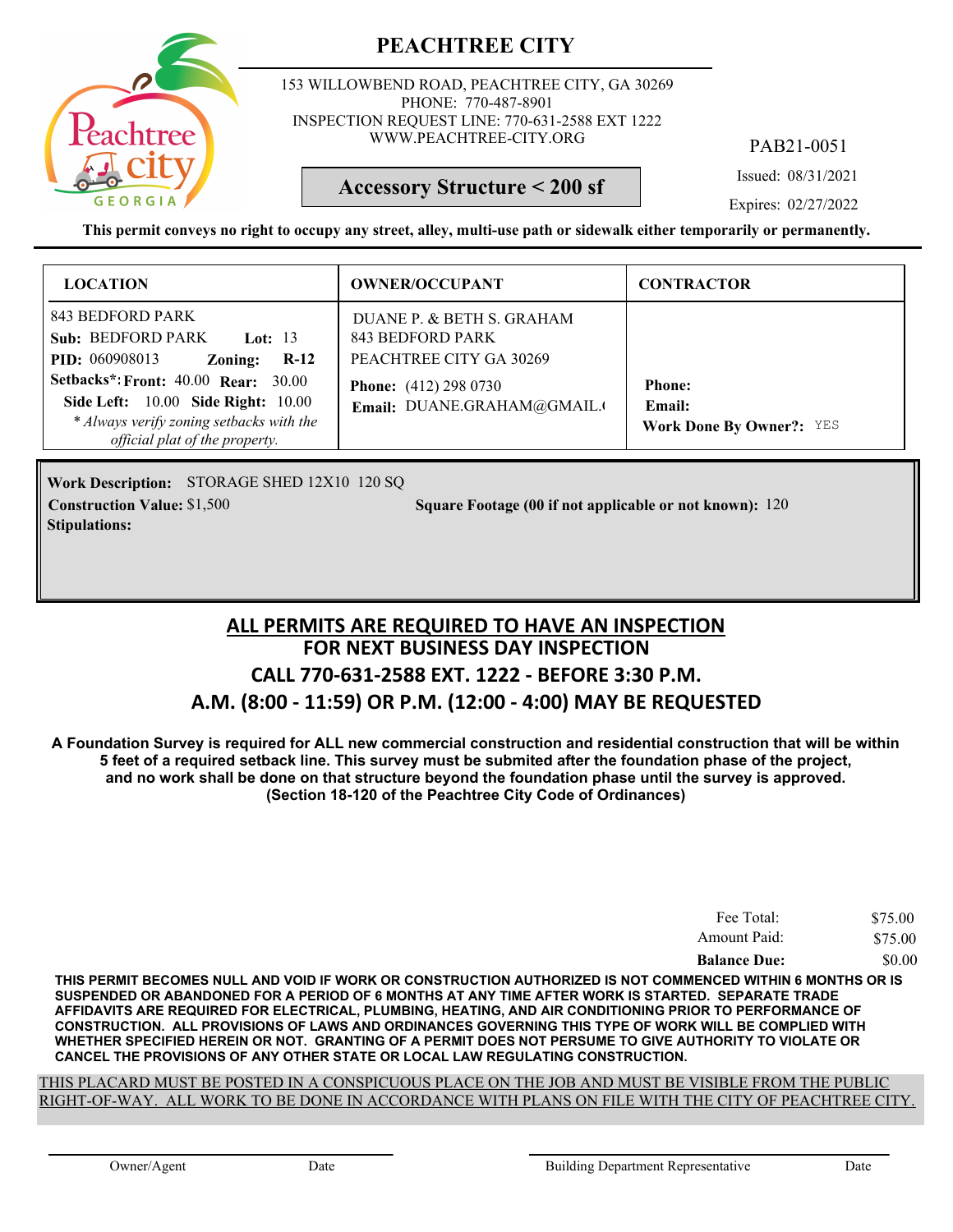

153 WILLOWBEND ROAD, PEACHTREE CITY, GA 30269 PHONE: 770-487-8901 INSPECTION REQUEST LINE: 770-631-2588 EXT 1222 WWW.PEACHTREE-CITY.ORG

PAB21-0051

Issued: 08/31/2021

**Accessory Structure < 200 sf**

Expires: 02/27/2022

**This permit conveys no right to occupy any street, alley, multi-use path or sidewalk either temporarily or permanently.**

| <b>LOCATION</b>                                                                                                                                                              | <b>OWNER/OCCUPANT</b>                                                    | <b>CONTRACTOR</b>                                          |
|------------------------------------------------------------------------------------------------------------------------------------------------------------------------------|--------------------------------------------------------------------------|------------------------------------------------------------|
| 843 BEDFORD PARK<br><b>Sub: BEDFORD PARK</b><br>Lot: 13<br><b>PID:</b> 060908013<br>$R-12$<br>Zoning:                                                                        | DUANE P. & BETH S. GRAHAM<br>843 BEDFORD PARK<br>PEACHTREE CITY GA 30269 |                                                            |
| <b>Setbacks*: Front: 40.00 Rear: 30.00</b><br><b>Side Left:</b> 10.00 <b>Side Right:</b> 10.00<br>* Always verify zoning setbacks with the<br>official plat of the property. | <b>Phone:</b> (412) 298 0730<br>Email: DUANE.GRAHAM@GMAIL.               | <b>Phone:</b><br>Email:<br><b>Work Done By Owner?: YES</b> |

STORAGE SHED 12X10 120 SQ **Work Description: Stipulations:**

**Construction Value:** \$1,500 **120 Square Footage (00 if not applicable or not known): 120** 

### **FOR NEXT BUSINESS DAY INSPECTION CALL 770-631-2588 EXT. 1222 - BEFORE 3:30 P.M. A.M. (8:00 - 11:59) OR P.M. (12:00 - 4:00) MAY BE REQUESTED ALL PERMITS ARE REQUIRED TO HAVE AN INSPECTION**

**A Foundation Survey is required for ALL new commercial construction and residential construction that will be within 5 feet of a required setback line. This survey must be submited after the foundation phase of the project, and no work shall be done on that structure beyond the foundation phase until the survey is approved. (Section 18-120 of the Peachtree City Code of Ordinances)**

| Fee Total:          | \$75.00 |
|---------------------|---------|
| Amount Paid:        | \$75.00 |
| <b>Balance Due:</b> | \$0.00  |

**THIS PERMIT BECOMES NULL AND VOID IF WORK OR CONSTRUCTION AUTHORIZED IS NOT COMMENCED WITHIN 6 MONTHS OR IS SUSPENDED OR ABANDONED FOR A PERIOD OF 6 MONTHS AT ANY TIME AFTER WORK IS STARTED. SEPARATE TRADE AFFIDAVITS ARE REQUIRED FOR ELECTRICAL, PLUMBING, HEATING, AND AIR CONDITIONING PRIOR TO PERFORMANCE OF CONSTRUCTION. ALL PROVISIONS OF LAWS AND ORDINANCES GOVERNING THIS TYPE OF WORK WILL BE COMPLIED WITH WHETHER SPECIFIED HEREIN OR NOT. GRANTING OF A PERMIT DOES NOT PERSUME TO GIVE AUTHORITY TO VIOLATE OR CANCEL THE PROVISIONS OF ANY OTHER STATE OR LOCAL LAW REGULATING CONSTRUCTION.**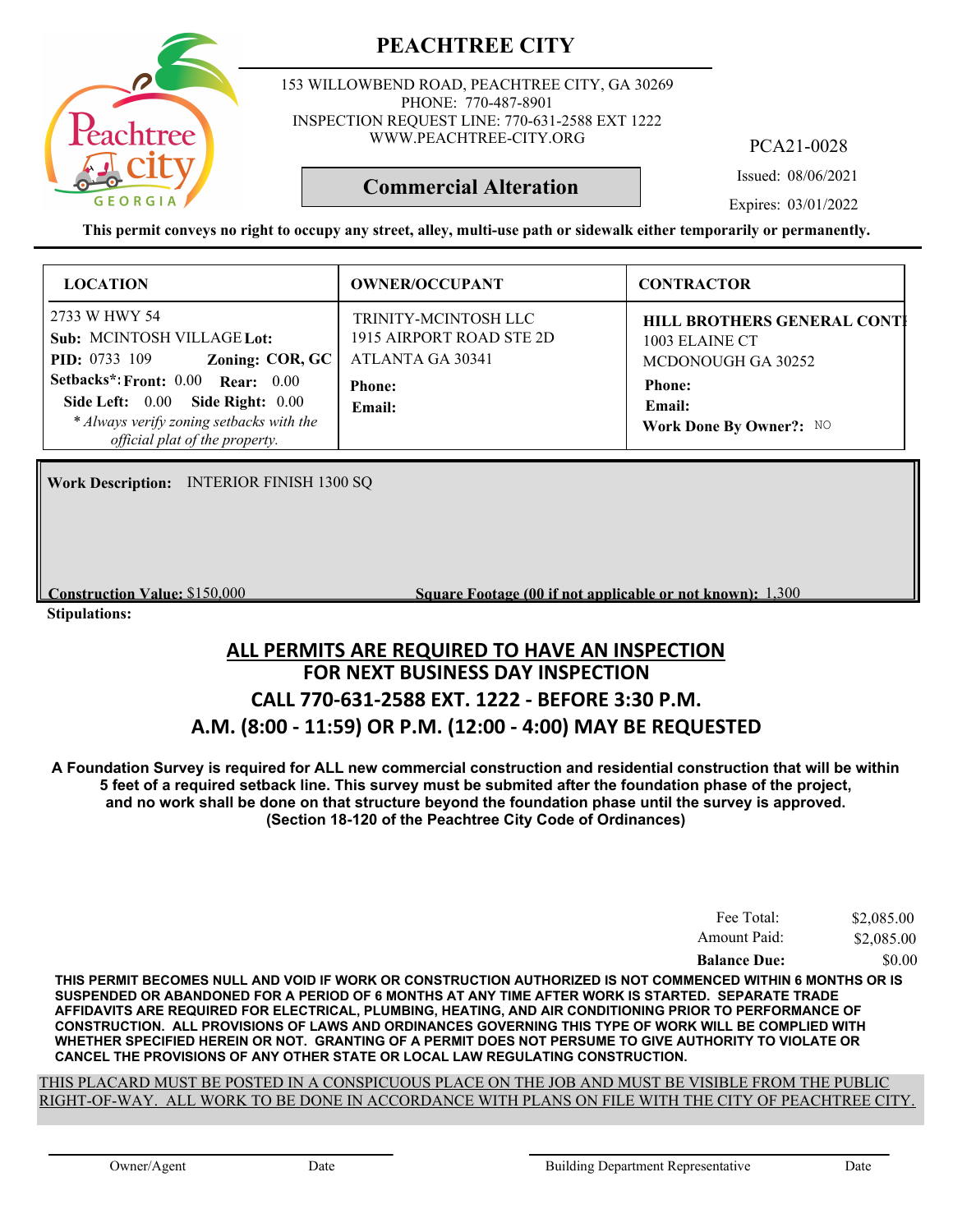

153 WILLOWBEND ROAD, PEACHTREE CITY, GA 30269 PHONE: 770-487-8901 INSPECTION REQUEST LINE: 770-631-2588 EXT 1222 WWW.PEACHTREE-CITY.ORG

PCA21-0028

Issued: 08/06/2021

**Commercial Alteration**

Expires: 03/01/2022

**This permit conveys no right to occupy any street, alley, multi-use path or sidewalk either temporarily or permanently.**

| <b>LOCATION</b>                                                                                                                                                                                                                                             | <b>OWNER/OCCUPANT</b>                                                                           | <b>CONTRACTOR</b>                                                                                                                       |
|-------------------------------------------------------------------------------------------------------------------------------------------------------------------------------------------------------------------------------------------------------------|-------------------------------------------------------------------------------------------------|-----------------------------------------------------------------------------------------------------------------------------------------|
| 2733 W HWY 54<br>Sub: MCINTOSH VILLAGE Lot:<br>Zoning: COR, $GC$<br><b>PID:</b> 0733 109<br>Setbacks*: Front: 0.00 Rear: 0.00<br><b>Side Right: 0.00</b><br>Side Left: $0.00$<br>* Always verify zoning setbacks with the<br>official plat of the property. | TRINITY-MCINTOSH LLC<br>1915 AIRPORT ROAD STE 2D<br>ATLANTA GA 30341<br><b>Phone:</b><br>Email: | <b>HILL BROTHERS GENERAL CONTI</b><br>1003 ELAINE CT<br>MCDONOUGH GA 30252<br><b>Phone:</b><br><b>Email:</b><br>Work Done By Owner?: NO |

**Work Description:** INTERIOR FINISH 1300 SQ

**Construction Value:** \$150,000 **1,300 1,300 1,300 1,300 1,300 1,300 1,300 1,300 1,300 1,300 1,300 1,300 1,300 1,300 1,400 1,400 1,400 1,400 1,400 1,400 1,400 1,400 1,400 1,400** 

**Stipulations:**

### **FOR NEXT BUSINESS DAY INSPECTION CALL 770-631-2588 EXT. 1222 - BEFORE 3:30 P.M. A.M. (8:00 - 11:59) OR P.M. (12:00 - 4:00) MAY BE REQUESTED ALL PERMITS ARE REQUIRED TO HAVE AN INSPECTION**

**A Foundation Survey is required for ALL new commercial construction and residential construction that will be within 5 feet of a required setback line. This survey must be submited after the foundation phase of the project, and no work shall be done on that structure beyond the foundation phase until the survey is approved. (Section 18-120 of the Peachtree City Code of Ordinances)**

| Fee Total:          | \$2,085.00 |
|---------------------|------------|
| Amount Paid:        | \$2,085.00 |
| <b>Balance Due:</b> | \$0.00     |

**THIS PERMIT BECOMES NULL AND VOID IF WORK OR CONSTRUCTION AUTHORIZED IS NOT COMMENCED WITHIN 6 MONTHS OR IS SUSPENDED OR ABANDONED FOR A PERIOD OF 6 MONTHS AT ANY TIME AFTER WORK IS STARTED. SEPARATE TRADE AFFIDAVITS ARE REQUIRED FOR ELECTRICAL, PLUMBING, HEATING, AND AIR CONDITIONING PRIOR TO PERFORMANCE OF CONSTRUCTION. ALL PROVISIONS OF LAWS AND ORDINANCES GOVERNING THIS TYPE OF WORK WILL BE COMPLIED WITH WHETHER SPECIFIED HEREIN OR NOT. GRANTING OF A PERMIT DOES NOT PERSUME TO GIVE AUTHORITY TO VIOLATE OR CANCEL THE PROVISIONS OF ANY OTHER STATE OR LOCAL LAW REGULATING CONSTRUCTION.**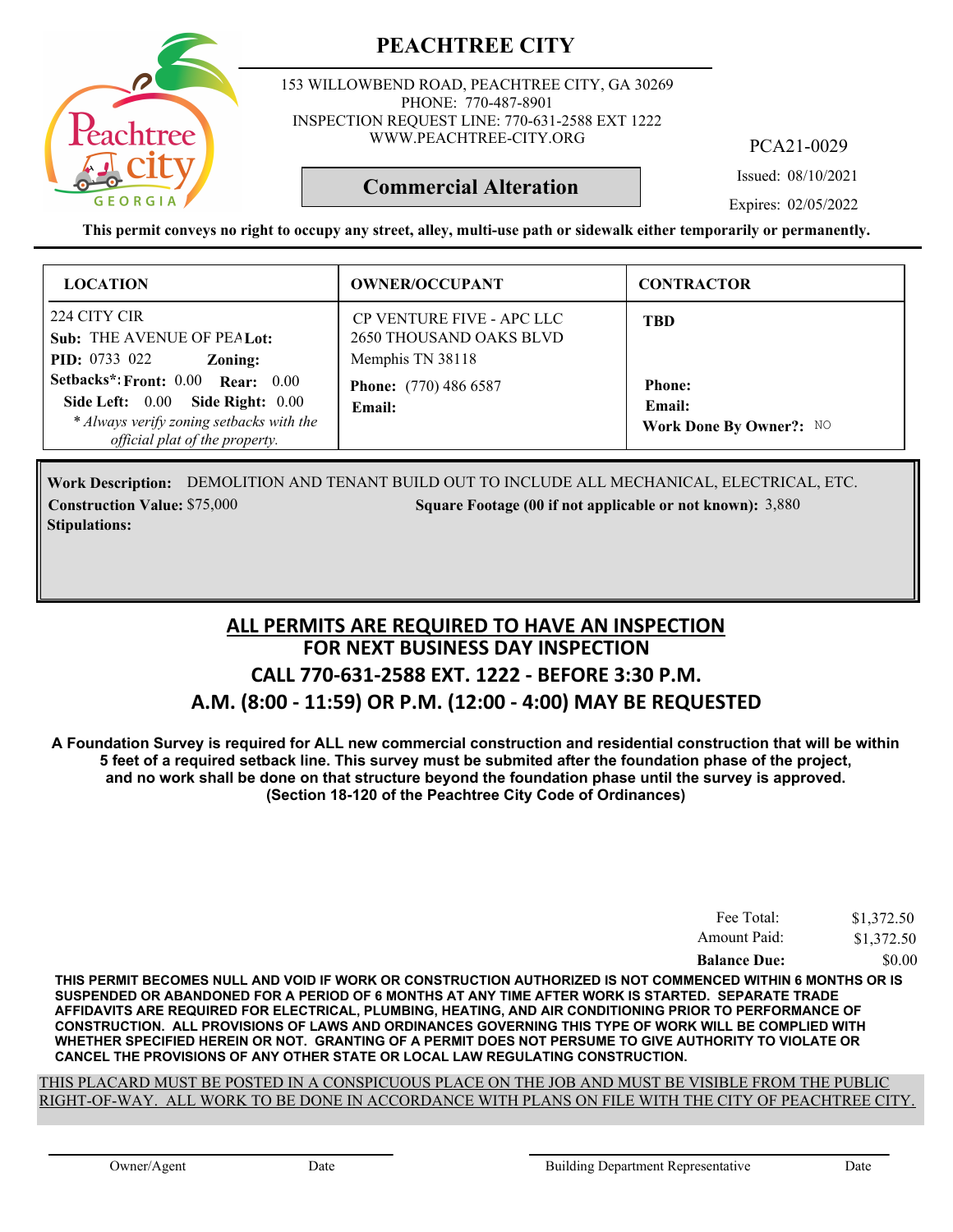

153 WILLOWBEND ROAD, PEACHTREE CITY, GA 30269 PHONE: 770-487-8901 INSPECTION REQUEST LINE: 770-631-2588 EXT 1222 WWW.PEACHTREE-CITY.ORG

PCA21-0029

Issued: 08/10/2021

Expires: 02/05/2022

**This permit conveys no right to occupy any street, alley, multi-use path or sidewalk either temporarily or permanently.**

**Commercial Alteration**

| <b>LOCATION</b>                                                                                                                                            | <b>OWNER/OCCUPANT</b>                                                    | <b>CONTRACTOR</b>                                         |
|------------------------------------------------------------------------------------------------------------------------------------------------------------|--------------------------------------------------------------------------|-----------------------------------------------------------|
| 224 CITY CIR<br>Sub: THE AVENUE OF PEALot:<br><b>PID:</b> 0733 022<br>Zoning:                                                                              | CP VENTURE FIVE - APC LLC<br>2650 THOUSAND OAKS BLVD<br>Memphis TN 38118 | <b>TBD</b>                                                |
| Setbacks*: Front: 0.00 Rear: 0.00<br>Side Right: $0.00$<br>Side Left: $0.00$<br>* Always verify zoning setbacks with the<br>official plat of the property. | <b>Phone:</b> (770) 486 6587<br>Email:                                   | <b>Phone:</b><br>Email:<br><b>Work Done By Owner?: NO</b> |

Work Description: DEMOLITION AND TENANT BUILD OUT TO INCLUDE ALL MECHANICAL, ELECTRICAL, ETC. **Construction Value: \$75,000 3,880 3,880 3,880 3,880 3,880 3,880 3,880 3,880 3,880 3,880 3,880 3,880 3,880 3,880 Stipulations:**

### **FOR NEXT BUSINESS DAY INSPECTION CALL 770-631-2588 EXT. 1222 - BEFORE 3:30 P.M. A.M. (8:00 - 11:59) OR P.M. (12:00 - 4:00) MAY BE REQUESTED ALL PERMITS ARE REQUIRED TO HAVE AN INSPECTION**

**A Foundation Survey is required for ALL new commercial construction and residential construction that will be within 5 feet of a required setback line. This survey must be submited after the foundation phase of the project, and no work shall be done on that structure beyond the foundation phase until the survey is approved. (Section 18-120 of the Peachtree City Code of Ordinances)**

| Fee Total:          | \$1,372.50 |
|---------------------|------------|
| Amount Paid:        | \$1,372.50 |
| <b>Balance Due:</b> | \$0.00     |

**THIS PERMIT BECOMES NULL AND VOID IF WORK OR CONSTRUCTION AUTHORIZED IS NOT COMMENCED WITHIN 6 MONTHS OR IS SUSPENDED OR ABANDONED FOR A PERIOD OF 6 MONTHS AT ANY TIME AFTER WORK IS STARTED. SEPARATE TRADE AFFIDAVITS ARE REQUIRED FOR ELECTRICAL, PLUMBING, HEATING, AND AIR CONDITIONING PRIOR TO PERFORMANCE OF CONSTRUCTION. ALL PROVISIONS OF LAWS AND ORDINANCES GOVERNING THIS TYPE OF WORK WILL BE COMPLIED WITH WHETHER SPECIFIED HEREIN OR NOT. GRANTING OF A PERMIT DOES NOT PERSUME TO GIVE AUTHORITY TO VIOLATE OR CANCEL THE PROVISIONS OF ANY OTHER STATE OR LOCAL LAW REGULATING CONSTRUCTION.**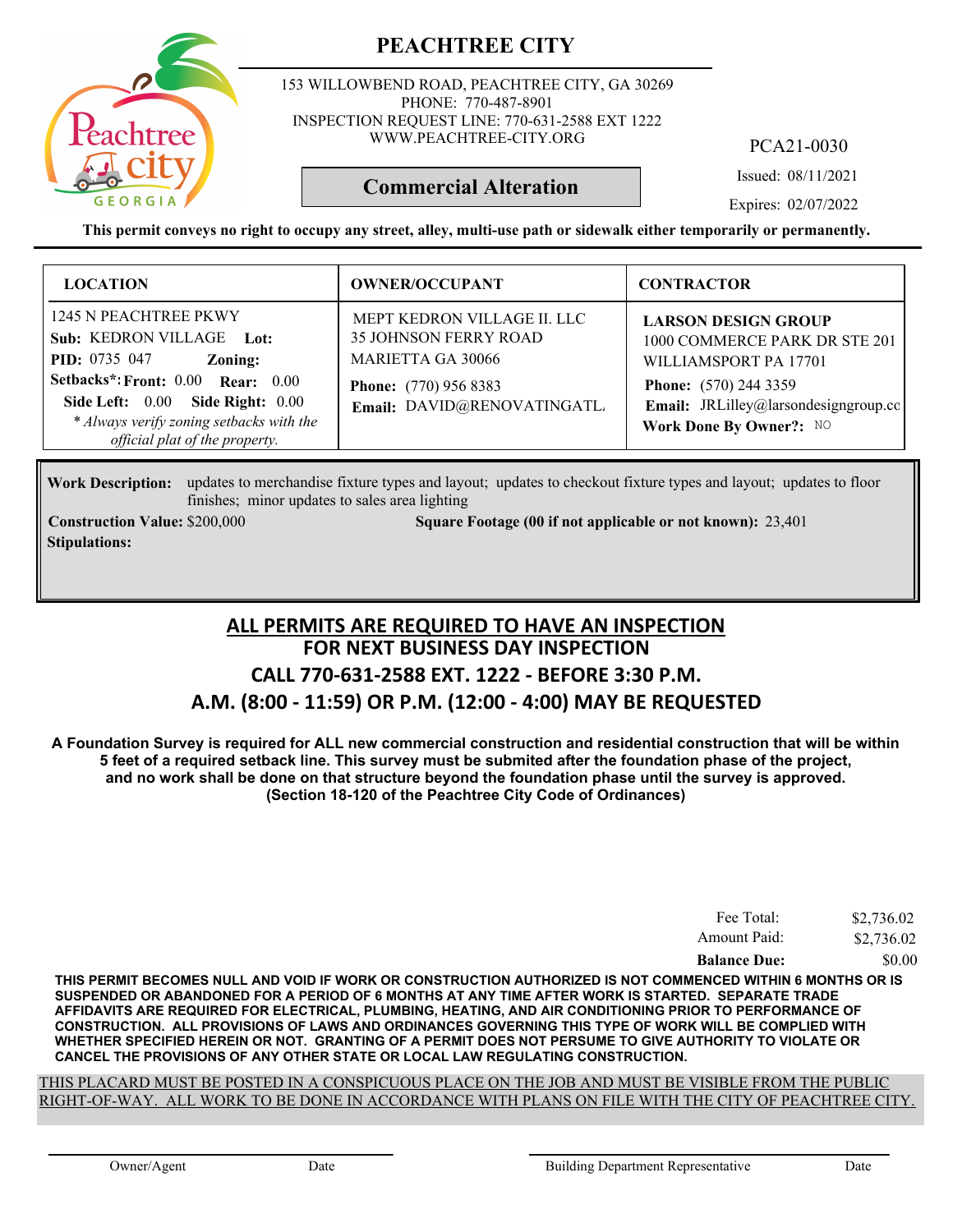153 WILLOWBEND ROAD, PEACHTREE CITY, GA 30269 PHONE: 770-487-8901 INSPECTION REQUEST LINE: 770-631-2588 EXT 1222 WWW.PEACHTREE-CITY.ORG

PCA21-0030

Issued: 08/11/2021

Expires: 02/07/2022

**This permit conveys no right to occupy any street, alley, multi-use path or sidewalk either temporarily or permanently.**

**Commercial Alteration**

| <b>LOCATION</b>                                                                                                                                                                                                                                  | <b>OWNER/OCCUPANT</b>                                                                                                                                  | <b>CONTRACTOR</b>                                                                                                                                                                       |
|--------------------------------------------------------------------------------------------------------------------------------------------------------------------------------------------------------------------------------------------------|--------------------------------------------------------------------------------------------------------------------------------------------------------|-----------------------------------------------------------------------------------------------------------------------------------------------------------------------------------------|
| 1245 N PEACHTREE PKWY<br>Sub: KEDRON VILLAGE Lot:<br><b>PID:</b> 0735 047<br>Zoning:<br>Setbacks*: Front: 0.00 Rear: 0.00<br>Side Right: 0.00<br>Side Left: $0.00$<br>* Always verify zoning setbacks with the<br>official plat of the property. | MEPT KEDRON VILLAGE II. LLC<br><b>35 JOHNSON FERRY ROAD</b><br><b>MARIETTA GA 30066</b><br><b>Phone:</b> (770) 956 8383<br>Email: DAVID@RENOVATINGATL. | <b>LARSON DESIGN GROUP</b><br>1000 COMMERCE PARK DR STE 201<br>WILLIAMSPORT PA 17701<br><b>Phone:</b> (570) 244 3359<br>Email: JRLilley@larsondesigngroup.co<br>Work Done By Owner?: NO |

Work Description: updates to merchandise fixture types and layout; updates to checkout fixture types and layout; updates to floor finishes; minor updates to sales area lighting

**Stipulations:**

**Construction Value:** \$200,000 23,401 **Square Footage (00 if not applicable or not known):** 23,401

### **FOR NEXT BUSINESS DAY INSPECTION CALL 770-631-2588 EXT. 1222 - BEFORE 3:30 P.M. A.M. (8:00 - 11:59) OR P.M. (12:00 - 4:00) MAY BE REQUESTED ALL PERMITS ARE REQUIRED TO HAVE AN INSPECTION**

**A Foundation Survey is required for ALL new commercial construction and residential construction that will be within 5 feet of a required setback line. This survey must be submited after the foundation phase of the project, and no work shall be done on that structure beyond the foundation phase until the survey is approved. (Section 18-120 of the Peachtree City Code of Ordinances)**

| Fee Total:          | \$2,736.02 |
|---------------------|------------|
| Amount Paid:        | \$2,736.02 |
| <b>Balance Due:</b> | \$0.00     |

**THIS PERMIT BECOMES NULL AND VOID IF WORK OR CONSTRUCTION AUTHORIZED IS NOT COMMENCED WITHIN 6 MONTHS OR IS SUSPENDED OR ABANDONED FOR A PERIOD OF 6 MONTHS AT ANY TIME AFTER WORK IS STARTED. SEPARATE TRADE AFFIDAVITS ARE REQUIRED FOR ELECTRICAL, PLUMBING, HEATING, AND AIR CONDITIONING PRIOR TO PERFORMANCE OF CONSTRUCTION. ALL PROVISIONS OF LAWS AND ORDINANCES GOVERNING THIS TYPE OF WORK WILL BE COMPLIED WITH WHETHER SPECIFIED HEREIN OR NOT. GRANTING OF A PERMIT DOES NOT PERSUME TO GIVE AUTHORITY TO VIOLATE OR CANCEL THE PROVISIONS OF ANY OTHER STATE OR LOCAL LAW REGULATING CONSTRUCTION.**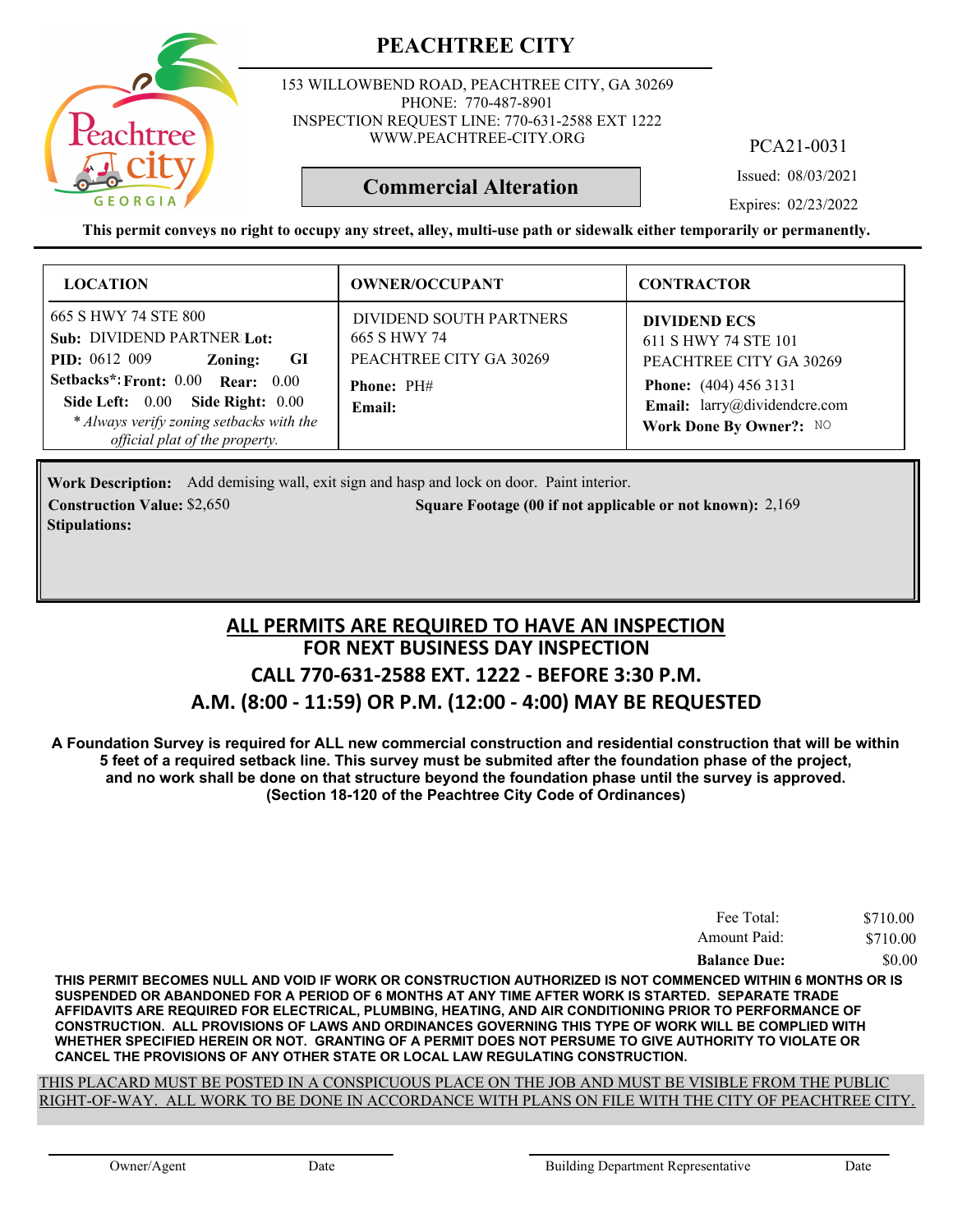

153 WILLOWBEND ROAD, PEACHTREE CITY, GA 30269 PHONE: 770-487-8901 INSPECTION REQUEST LINE: 770-631-2588 EXT 1222 WWW.PEACHTREE-CITY.ORG

PCA21-0031

Issued: 08/03/2021

Expires: 02/23/2022

**This permit conveys no right to occupy any street, alley, multi-use path or sidewalk either temporarily or permanently.**

**Commercial Alteration**

| <b>LOCATION</b>                                                                                                                                                                                                                                               | <b>OWNER/OCCUPANT</b>                                                                      | <b>CONTRACTOR</b>                                                                                                                                                 |
|---------------------------------------------------------------------------------------------------------------------------------------------------------------------------------------------------------------------------------------------------------------|--------------------------------------------------------------------------------------------|-------------------------------------------------------------------------------------------------------------------------------------------------------------------|
| 665 S HWY 74 STE 800<br>Sub: DIVIDEND PARTNER Lot:<br><b>PID:</b> $0612009$<br>GI<br>Zoning:<br>Setbacks*: Front: 0.00 Rear: 0.00<br>Side Left: 0.00<br><b>Side Right: 0.00</b><br>* Always verify zoning setbacks with the<br>official plat of the property. | DIVIDEND SOUTH PARTNERS<br>665 S HWY 74<br>PEACHTREE CITY GA 30269<br>Phone: PH#<br>Email: | <b>DIVIDEND ECS</b><br>611 S HWY 74 STE 101<br>PEACHTREE CITY GA 30269<br><b>Phone:</b> (404) 456 3131<br>Email: larry@dividendcre.com<br>Work Done By Owner?: NO |

Add demising wall, exit sign and hasp and lock on door. Paint interior. **Work Description: Construction Value:** \$2,650 2,169 **2,169** 2,169 **2,169** 2,169 **2,169** 2,169 **2,169** 2,169 **Stipulations:**

### **FOR NEXT BUSINESS DAY INSPECTION CALL 770-631-2588 EXT. 1222 - BEFORE 3:30 P.M. A.M. (8:00 - 11:59) OR P.M. (12:00 - 4:00) MAY BE REQUESTED ALL PERMITS ARE REQUIRED TO HAVE AN INSPECTION**

**A Foundation Survey is required for ALL new commercial construction and residential construction that will be within 5 feet of a required setback line. This survey must be submited after the foundation phase of the project, and no work shall be done on that structure beyond the foundation phase until the survey is approved. (Section 18-120 of the Peachtree City Code of Ordinances)**

| Fee Total:          | \$710.00 |
|---------------------|----------|
| Amount Paid:        | \$710.00 |
| <b>Balance Due:</b> | \$0.00   |

**THIS PERMIT BECOMES NULL AND VOID IF WORK OR CONSTRUCTION AUTHORIZED IS NOT COMMENCED WITHIN 6 MONTHS OR IS SUSPENDED OR ABANDONED FOR A PERIOD OF 6 MONTHS AT ANY TIME AFTER WORK IS STARTED. SEPARATE TRADE AFFIDAVITS ARE REQUIRED FOR ELECTRICAL, PLUMBING, HEATING, AND AIR CONDITIONING PRIOR TO PERFORMANCE OF CONSTRUCTION. ALL PROVISIONS OF LAWS AND ORDINANCES GOVERNING THIS TYPE OF WORK WILL BE COMPLIED WITH WHETHER SPECIFIED HEREIN OR NOT. GRANTING OF A PERMIT DOES NOT PERSUME TO GIVE AUTHORITY TO VIOLATE OR CANCEL THE PROVISIONS OF ANY OTHER STATE OR LOCAL LAW REGULATING CONSTRUCTION.**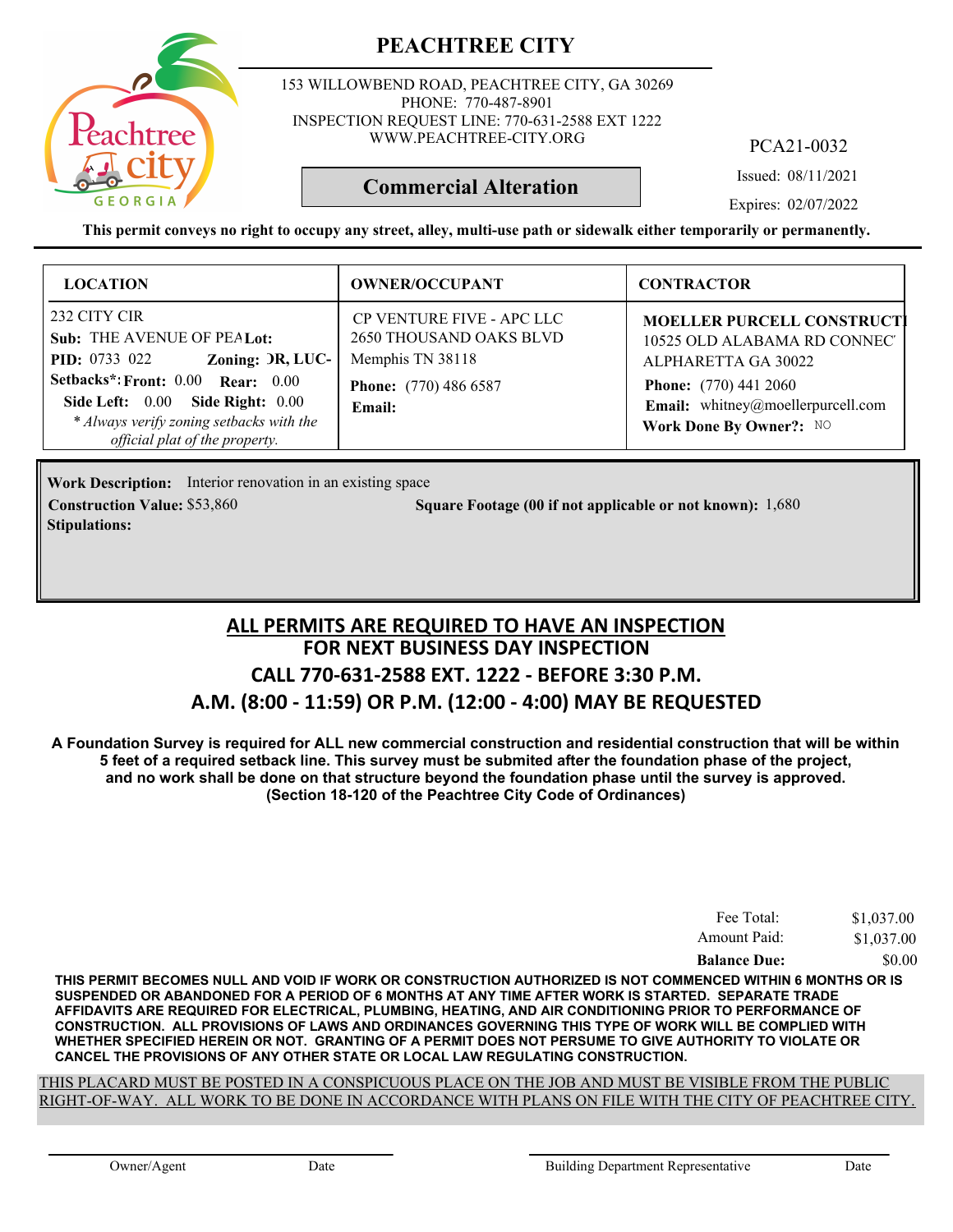153 WILLOWBEND ROAD, PEACHTREE CITY, GA 30269 PHONE: 770-487-8901 INSPECTION REQUEST LINE: 770-631-2588 EXT 1222 WWW.PEACHTREE-CITY.ORG

PCA21-0032

Issued: 08/11/2021

Expires: 02/07/2022

**This permit conveys no right to occupy any street, alley, multi-use path or sidewalk either temporarily or permanently.**

**Commercial Alteration**

| <b>LOCATION</b>                                                                                                                                                                                                                                    | <b>OWNER/OCCUPANT</b>                                                                                                     | <b>CONTRACTOR</b>                                                                                                                                                                               |
|----------------------------------------------------------------------------------------------------------------------------------------------------------------------------------------------------------------------------------------------------|---------------------------------------------------------------------------------------------------------------------------|-------------------------------------------------------------------------------------------------------------------------------------------------------------------------------------------------|
| 232 CITY CIR<br>Sub: THE AVENUE OF PEALot:<br>Zoning: DR, LUC-<br><b>PID:</b> 0733 022<br>Setbacks*: Front: 0.00 Rear: 0.00<br>Side Right: 0.00<br>Side Left: $0.00$<br>* Always verify zoning setbacks with the<br>official plat of the property. | <b>CP VENTURE FIVE - APC LLC</b><br>2650 THOUSAND OAKS BLVD<br>Memphis TN 38118<br><b>Phone:</b> (770) 486 6587<br>Email: | <b>MOELLER PURCELL CONSTRUCTI</b><br>10525 OLD ALABAMA RD CONNECT<br>ALPHARETTA GA 30022<br><b>Phone:</b> (770) 441 2060<br><b>Email:</b> whitney@moellerpurcell.com<br>Work Done By Owner?: NO |

**Work Description:** Interior renovation in an existing space **Construction Value:** \$53,860 50 1,680 Square Footage (00 if not applicable or not known): 1,680 **Stipulations:**

### **FOR NEXT BUSINESS DAY INSPECTION CALL 770-631-2588 EXT. 1222 - BEFORE 3:30 P.M. A.M. (8:00 - 11:59) OR P.M. (12:00 - 4:00) MAY BE REQUESTED ALL PERMITS ARE REQUIRED TO HAVE AN INSPECTION**

**A Foundation Survey is required for ALL new commercial construction and residential construction that will be within 5 feet of a required setback line. This survey must be submited after the foundation phase of the project, and no work shall be done on that structure beyond the foundation phase until the survey is approved. (Section 18-120 of the Peachtree City Code of Ordinances)**

| Fee Total:          | \$1,037.00 |
|---------------------|------------|
| Amount Paid:        | \$1,037.00 |
| <b>Balance Due:</b> | \$0.00     |

**THIS PERMIT BECOMES NULL AND VOID IF WORK OR CONSTRUCTION AUTHORIZED IS NOT COMMENCED WITHIN 6 MONTHS OR IS SUSPENDED OR ABANDONED FOR A PERIOD OF 6 MONTHS AT ANY TIME AFTER WORK IS STARTED. SEPARATE TRADE AFFIDAVITS ARE REQUIRED FOR ELECTRICAL, PLUMBING, HEATING, AND AIR CONDITIONING PRIOR TO PERFORMANCE OF CONSTRUCTION. ALL PROVISIONS OF LAWS AND ORDINANCES GOVERNING THIS TYPE OF WORK WILL BE COMPLIED WITH WHETHER SPECIFIED HEREIN OR NOT. GRANTING OF A PERMIT DOES NOT PERSUME TO GIVE AUTHORITY TO VIOLATE OR CANCEL THE PROVISIONS OF ANY OTHER STATE OR LOCAL LAW REGULATING CONSTRUCTION.**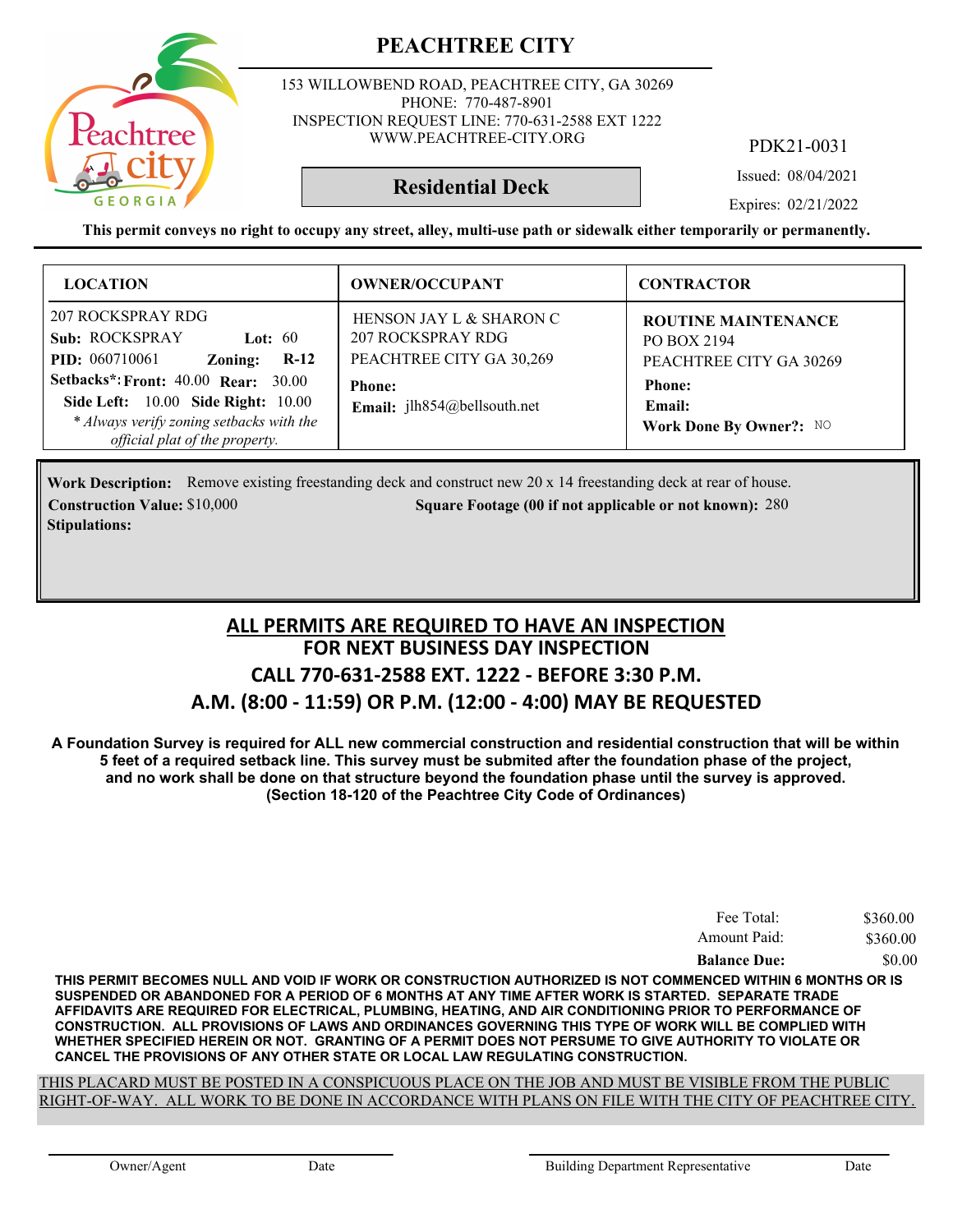153 WILLOWBEND ROAD, PEACHTREE CITY, GA 30269 PHONE: 770-487-8901 INSPECTION REQUEST LINE: 770-631-2588 EXT 1222 WWW.PEACHTREE-CITY.ORG

PDK21-0031

Issued: 08/04/2021

**Residential Deck**

Expires: 02/21/2022

**This permit conveys no right to occupy any street, alley, multi-use path or sidewalk either temporarily or permanently.**

| <b>LOCATION</b>                                                                                                                                                                                                                                                                       | <b>OWNER/OCCUPANT</b>                                                                                                             | <b>CONTRACTOR</b>                                                                                                          |
|---------------------------------------------------------------------------------------------------------------------------------------------------------------------------------------------------------------------------------------------------------------------------------------|-----------------------------------------------------------------------------------------------------------------------------------|----------------------------------------------------------------------------------------------------------------------------|
| 207 ROCKSPRAY RDG<br><b>Sub: ROCKSPRAY</b><br>Lot: $60$<br><b>PID:</b> 060710061<br>Zoning:<br>$R-12$<br><b>Setbacks*: Front: 40.00 Rear: 30.00</b><br><b>Side Left:</b> 10.00 <b>Side Right:</b> 10.00<br>* Always verify zoning setbacks with the<br>official plat of the property. | HENSON JAY L & SHARON C<br>207 ROCKSPRAY RDG<br>PEACHTREE CITY GA 30,269<br><b>Phone:</b><br><b>Email:</b> $ilh854@bellsouth.net$ | <b>ROUTINE MAINTENANCE</b><br>PO BOX 2194<br>PEACHTREE CITY GA 30269<br><b>Phone:</b><br>Email:<br>Work Done By Owner?: NO |

**Work Description:** Remove existing freestanding deck and construct new 20 x 14 freestanding deck at rear of house. **Construction Value: Square Footage (00 if not applicable or not known):** \$10,000 280 **Stipulations:**

### **FOR NEXT BUSINESS DAY INSPECTION CALL 770-631-2588 EXT. 1222 - BEFORE 3:30 P.M. A.M. (8:00 - 11:59) OR P.M. (12:00 - 4:00) MAY BE REQUESTED ALL PERMITS ARE REQUIRED TO HAVE AN INSPECTION**

**A Foundation Survey is required for ALL new commercial construction and residential construction that will be within 5 feet of a required setback line. This survey must be submited after the foundation phase of the project, and no work shall be done on that structure beyond the foundation phase until the survey is approved. (Section 18-120 of the Peachtree City Code of Ordinances)**

| Fee Total:          | \$360.00 |
|---------------------|----------|
| Amount Paid:        | \$360.00 |
| <b>Balance Due:</b> | \$0.00   |

**THIS PERMIT BECOMES NULL AND VOID IF WORK OR CONSTRUCTION AUTHORIZED IS NOT COMMENCED WITHIN 6 MONTHS OR IS SUSPENDED OR ABANDONED FOR A PERIOD OF 6 MONTHS AT ANY TIME AFTER WORK IS STARTED. SEPARATE TRADE AFFIDAVITS ARE REQUIRED FOR ELECTRICAL, PLUMBING, HEATING, AND AIR CONDITIONING PRIOR TO PERFORMANCE OF CONSTRUCTION. ALL PROVISIONS OF LAWS AND ORDINANCES GOVERNING THIS TYPE OF WORK WILL BE COMPLIED WITH WHETHER SPECIFIED HEREIN OR NOT. GRANTING OF A PERMIT DOES NOT PERSUME TO GIVE AUTHORITY TO VIOLATE OR CANCEL THE PROVISIONS OF ANY OTHER STATE OR LOCAL LAW REGULATING CONSTRUCTION.**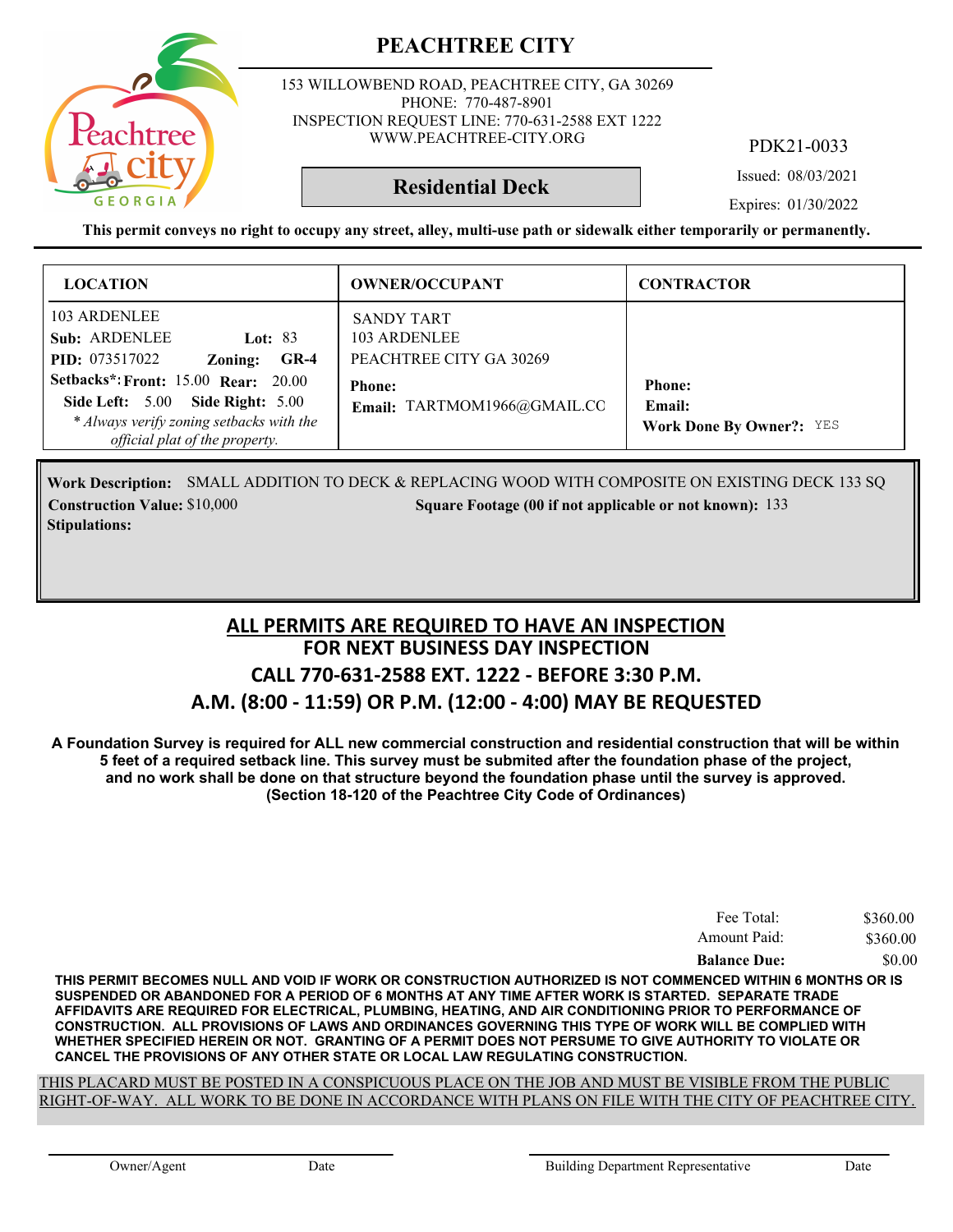

153 WILLOWBEND ROAD, PEACHTREE CITY, GA 30269 PHONE: 770-487-8901 INSPECTION REQUEST LINE: 770-631-2588 EXT 1222 WWW.PEACHTREE-CITY.ORG

PDK21-0033

Issued: 08/03/2021

**Residential Deck**

Expires: 01/30/2022

**This permit conveys no right to occupy any street, alley, multi-use path or sidewalk either temporarily or permanently.**

| <b>LOCATION</b>                                                                                                                                                            | <b>OWNER/OCCUPANT</b>                                                                                        | <b>CONTRACTOR</b>               |
|----------------------------------------------------------------------------------------------------------------------------------------------------------------------------|--------------------------------------------------------------------------------------------------------------|---------------------------------|
| 103 ARDENLEE<br>Sub: ARDENLEE<br>Lot: $83$<br><b>PID:</b> 073517022<br>$GR-4$<br>Zoning:<br><b>Setbacks*: Front: 15.00 Rear: 20.00</b><br>Side Left: 5.00 Side Right: 5.00 | <b>SANDY TART</b><br>103 ARDENLEE<br>PEACHTREE CITY GA 30269<br><b>Phone:</b><br>Email: TARTMOM1966@GMAIL.CC | <b>Phone:</b><br>Email:         |
| * Always verify zoning setbacks with the<br>official plat of the property.                                                                                                 |                                                                                                              | <b>Work Done By Owner?: YES</b> |

Work Description: SMALL ADDITION TO DECK & REPLACING WOOD WITH COMPOSITE ON EXISTING DECK 133 SQ **Construction Value:** \$10,000 133 **Stipulations:**

### **FOR NEXT BUSINESS DAY INSPECTION CALL 770-631-2588 EXT. 1222 - BEFORE 3:30 P.M. A.M. (8:00 - 11:59) OR P.M. (12:00 - 4:00) MAY BE REQUESTED ALL PERMITS ARE REQUIRED TO HAVE AN INSPECTION**

**A Foundation Survey is required for ALL new commercial construction and residential construction that will be within 5 feet of a required setback line. This survey must be submited after the foundation phase of the project, and no work shall be done on that structure beyond the foundation phase until the survey is approved. (Section 18-120 of the Peachtree City Code of Ordinances)**

| Fee Total:          | \$360.00 |
|---------------------|----------|
| Amount Paid:        | \$360.00 |
| <b>Balance Due:</b> | \$0.00   |

**THIS PERMIT BECOMES NULL AND VOID IF WORK OR CONSTRUCTION AUTHORIZED IS NOT COMMENCED WITHIN 6 MONTHS OR IS SUSPENDED OR ABANDONED FOR A PERIOD OF 6 MONTHS AT ANY TIME AFTER WORK IS STARTED. SEPARATE TRADE AFFIDAVITS ARE REQUIRED FOR ELECTRICAL, PLUMBING, HEATING, AND AIR CONDITIONING PRIOR TO PERFORMANCE OF CONSTRUCTION. ALL PROVISIONS OF LAWS AND ORDINANCES GOVERNING THIS TYPE OF WORK WILL BE COMPLIED WITH WHETHER SPECIFIED HEREIN OR NOT. GRANTING OF A PERMIT DOES NOT PERSUME TO GIVE AUTHORITY TO VIOLATE OR CANCEL THE PROVISIONS OF ANY OTHER STATE OR LOCAL LAW REGULATING CONSTRUCTION.**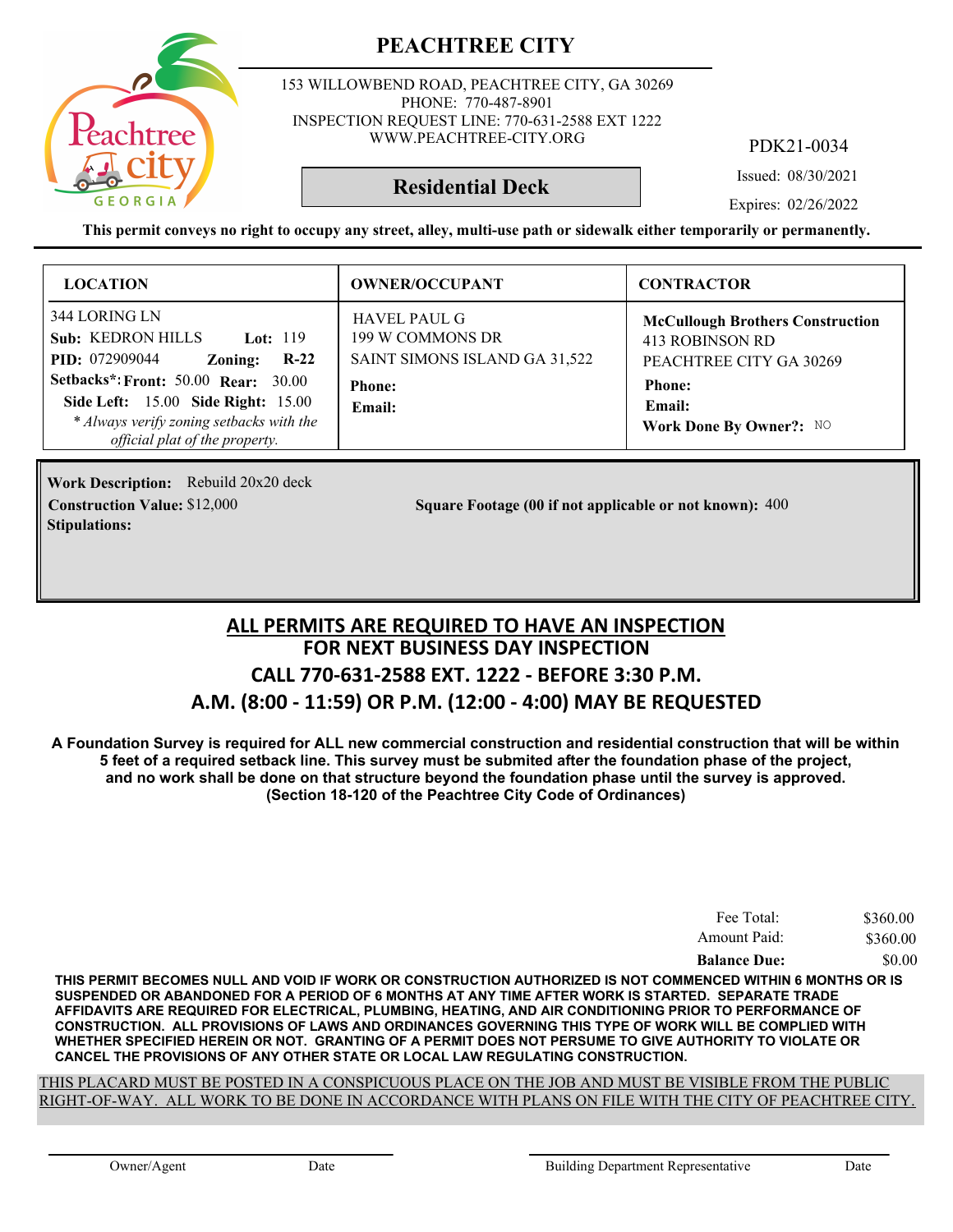

153 WILLOWBEND ROAD, PEACHTREE CITY, GA 30269 PHONE: 770-487-8901 INSPECTION REQUEST LINE: 770-631-2588 EXT 1222 WWW.PEACHTREE-CITY.ORG

PDK21-0034

Issued: 08/30/2021

**Residential Deck**

Expires: 02/26/2022

**This permit conveys no right to occupy any street, alley, multi-use path or sidewalk either temporarily or permanently.**

| <b>LOCATION</b>                                                                                                                                                              | <b>OWNER/OCCUPANT</b>                                                    | <b>CONTRACTOR</b>                                                                     |
|------------------------------------------------------------------------------------------------------------------------------------------------------------------------------|--------------------------------------------------------------------------|---------------------------------------------------------------------------------------|
| 344 LORING LN<br><b>Sub: KEDRON HILLS</b><br><b>Lot:</b> 119<br>$R-22$<br><b>PID:</b> 072909044<br>Zoning:                                                                   | <b>HAVEL PAUL G</b><br>199 W COMMONS DR<br>SAINT SIMONS ISLAND GA 31,522 | <b>McCullough Brothers Construction</b><br>413 ROBINSON RD<br>PEACHTREE CITY GA 30269 |
| <b>Setbacks*: Front: 50.00 Rear: 30.00</b><br><b>Side Left:</b> 15.00 <b>Side Right:</b> 15.00<br>* Always verify zoning setbacks with the<br>official plat of the property. | <b>Phone:</b><br>Email:                                                  | <b>Phone:</b><br><b>Email:</b><br>Work Done By Owner?: NO                             |

**Work Description:** Rebuild 20x20 deck **Stipulations:**

**Construction Value:** \$12,000 **1000 Square Footage (00 if not applicable or not known): 400** 

### **FOR NEXT BUSINESS DAY INSPECTION CALL 770-631-2588 EXT. 1222 - BEFORE 3:30 P.M. A.M. (8:00 - 11:59) OR P.M. (12:00 - 4:00) MAY BE REQUESTED ALL PERMITS ARE REQUIRED TO HAVE AN INSPECTION**

**A Foundation Survey is required for ALL new commercial construction and residential construction that will be within 5 feet of a required setback line. This survey must be submited after the foundation phase of the project, and no work shall be done on that structure beyond the foundation phase until the survey is approved. (Section 18-120 of the Peachtree City Code of Ordinances)**

| Fee Total:          | \$360.00 |
|---------------------|----------|
| Amount Paid:        | \$360.00 |
| <b>Balance Due:</b> | \$0.00   |

**THIS PERMIT BECOMES NULL AND VOID IF WORK OR CONSTRUCTION AUTHORIZED IS NOT COMMENCED WITHIN 6 MONTHS OR IS SUSPENDED OR ABANDONED FOR A PERIOD OF 6 MONTHS AT ANY TIME AFTER WORK IS STARTED. SEPARATE TRADE AFFIDAVITS ARE REQUIRED FOR ELECTRICAL, PLUMBING, HEATING, AND AIR CONDITIONING PRIOR TO PERFORMANCE OF CONSTRUCTION. ALL PROVISIONS OF LAWS AND ORDINANCES GOVERNING THIS TYPE OF WORK WILL BE COMPLIED WITH WHETHER SPECIFIED HEREIN OR NOT. GRANTING OF A PERMIT DOES NOT PERSUME TO GIVE AUTHORITY TO VIOLATE OR CANCEL THE PROVISIONS OF ANY OTHER STATE OR LOCAL LAW REGULATING CONSTRUCTION.**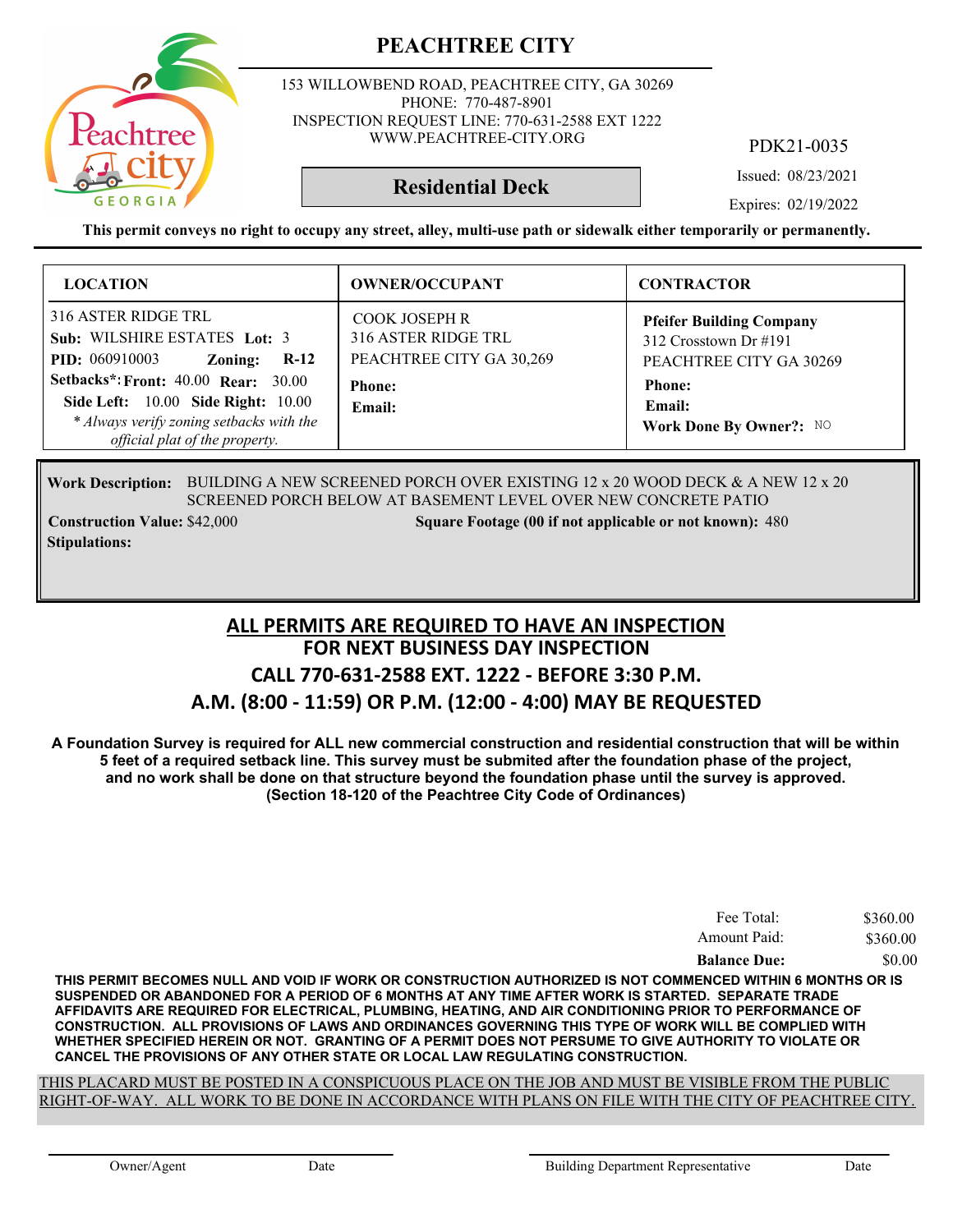

153 WILLOWBEND ROAD, PEACHTREE CITY, GA 30269 PHONE: 770-487-8901 INSPECTION REQUEST LINE: 770-631-2588 EXT 1222 WWW.PEACHTREE-CITY.ORG

**Residential Deck**

PDK21-0035

Issued: 08/23/2021

Expires: 02/19/2022

**This permit conveys no right to occupy any street, alley, multi-use path or sidewalk either temporarily or permanently.**

| <b>LOCATION</b>                                                                                                                                                                                                                                                                   | <b>OWNER/OCCUPANT</b>                                                                       | <b>CONTRACTOR</b>                                                                                                                         |
|-----------------------------------------------------------------------------------------------------------------------------------------------------------------------------------------------------------------------------------------------------------------------------------|---------------------------------------------------------------------------------------------|-------------------------------------------------------------------------------------------------------------------------------------------|
| 316 ASTER RIDGE TRL<br>Sub: WILSHIRE ESTATES Lot: 3<br><b>PID:</b> 060910003<br>Zoning:<br>$R-12$<br><b>Setbacks*: Front: 40.00 Rear: 30.00</b><br><b>Side Left:</b> 10.00 <b>Side Right:</b> 10.00<br>* Always verify zoning setbacks with the<br>official plat of the property. | COOK JOSEPH R<br>316 ASTER RIDGE TRL<br>PEACHTREE CITY GA 30,269<br><b>Phone:</b><br>Email: | <b>Pfeifer Building Company</b><br>312 Crosstown Dr #191<br>PEACHTREE CITY GA 30269<br><b>Phone:</b><br>Email:<br>Work Done By Owner?: NO |

Work Description: BUILDING A NEW SCREENED PORCH OVER EXISTING 12 x 20 WOOD DECK & A NEW 12 x 20 SCREENED PORCH BELOW AT BASEMENT LEVEL OVER NEW CONCRETE PATIO

**Stipulations:**

**Construction Value:** \$42,000 **1800** Square Footage (00 if not applicable or not known): 480

### **FOR NEXT BUSINESS DAY INSPECTION CALL 770-631-2588 EXT. 1222 - BEFORE 3:30 P.M. A.M. (8:00 - 11:59) OR P.M. (12:00 - 4:00) MAY BE REQUESTED ALL PERMITS ARE REQUIRED TO HAVE AN INSPECTION**

**A Foundation Survey is required for ALL new commercial construction and residential construction that will be within 5 feet of a required setback line. This survey must be submited after the foundation phase of the project, and no work shall be done on that structure beyond the foundation phase until the survey is approved. (Section 18-120 of the Peachtree City Code of Ordinances)**

| Fee Total:          | \$360.00 |
|---------------------|----------|
| Amount Paid:        | \$360.00 |
| <b>Balance Due:</b> | \$0.00   |

**THIS PERMIT BECOMES NULL AND VOID IF WORK OR CONSTRUCTION AUTHORIZED IS NOT COMMENCED WITHIN 6 MONTHS OR IS SUSPENDED OR ABANDONED FOR A PERIOD OF 6 MONTHS AT ANY TIME AFTER WORK IS STARTED. SEPARATE TRADE AFFIDAVITS ARE REQUIRED FOR ELECTRICAL, PLUMBING, HEATING, AND AIR CONDITIONING PRIOR TO PERFORMANCE OF CONSTRUCTION. ALL PROVISIONS OF LAWS AND ORDINANCES GOVERNING THIS TYPE OF WORK WILL BE COMPLIED WITH WHETHER SPECIFIED HEREIN OR NOT. GRANTING OF A PERMIT DOES NOT PERSUME TO GIVE AUTHORITY TO VIOLATE OR CANCEL THE PROVISIONS OF ANY OTHER STATE OR LOCAL LAW REGULATING CONSTRUCTION.**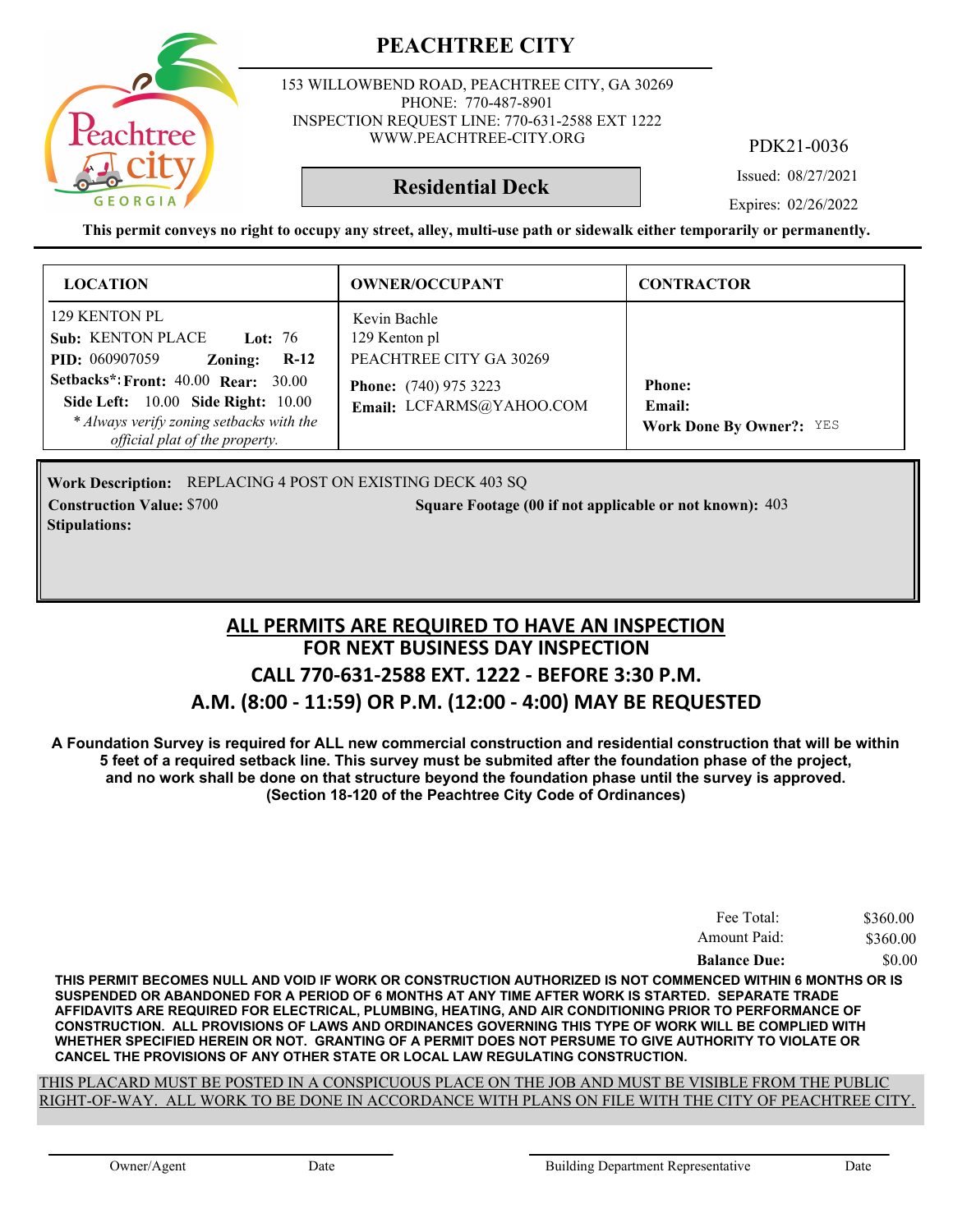

153 WILLOWBEND ROAD, PEACHTREE CITY, GA 30269 PHONE: 770-487-8901 INSPECTION REQUEST LINE: 770-631-2588 EXT 1222 WWW.PEACHTREE-CITY.ORG

PDK21-0036

Issued: 08/27/2021

### **Residential Deck**

Expires: 02/26/2022

**This permit conveys no right to occupy any street, alley, multi-use path or sidewalk either temporarily or permanently.**

| <b>LOCATION</b>                                                                                                                                                                                             | <b>OWNER/OCCUPANT</b>                                                                    | <b>CONTRACTOR</b>                         |
|-------------------------------------------------------------------------------------------------------------------------------------------------------------------------------------------------------------|------------------------------------------------------------------------------------------|-------------------------------------------|
| 129 KENTON PL<br><b>Sub: KENTON PLACE</b><br><b>Lot: 76</b><br><b>PID:</b> 060907059<br>$R-12$<br>Zoning:<br><b>Setbacks*: Front: 40.00 Rear: 30.00</b><br><b>Side Left:</b> 10.00 <b>Side Right:</b> 10.00 | Kevin Bachle<br>129 Kenton pl<br>PEACHTREE CITY GA 30269<br><b>Phone:</b> (740) 975 3223 | <b>Phone:</b>                             |
| * Always verify zoning setbacks with the<br>official plat of the property.                                                                                                                                  | Email: LCFARMS@YAHOO.COM                                                                 | Email:<br><b>Work Done By Owner?:</b> YES |

Work Description: REPLACING 4 POST ON EXISTING DECK 403 SQ **Construction Value: Square Footage (00 if not applicable or not known):** \$700 403 **Stipulations:**

### **FOR NEXT BUSINESS DAY INSPECTION CALL 770-631-2588 EXT. 1222 - BEFORE 3:30 P.M. A.M. (8:00 - 11:59) OR P.M. (12:00 - 4:00) MAY BE REQUESTED ALL PERMITS ARE REQUIRED TO HAVE AN INSPECTION**

**A Foundation Survey is required for ALL new commercial construction and residential construction that will be within 5 feet of a required setback line. This survey must be submited after the foundation phase of the project, and no work shall be done on that structure beyond the foundation phase until the survey is approved. (Section 18-120 of the Peachtree City Code of Ordinances)**

| Fee Total:          | \$360.00 |
|---------------------|----------|
| Amount Paid:        | \$360.00 |
| <b>Balance Due:</b> | \$0.00   |

**THIS PERMIT BECOMES NULL AND VOID IF WORK OR CONSTRUCTION AUTHORIZED IS NOT COMMENCED WITHIN 6 MONTHS OR IS SUSPENDED OR ABANDONED FOR A PERIOD OF 6 MONTHS AT ANY TIME AFTER WORK IS STARTED. SEPARATE TRADE AFFIDAVITS ARE REQUIRED FOR ELECTRICAL, PLUMBING, HEATING, AND AIR CONDITIONING PRIOR TO PERFORMANCE OF CONSTRUCTION. ALL PROVISIONS OF LAWS AND ORDINANCES GOVERNING THIS TYPE OF WORK WILL BE COMPLIED WITH WHETHER SPECIFIED HEREIN OR NOT. GRANTING OF A PERMIT DOES NOT PERSUME TO GIVE AUTHORITY TO VIOLATE OR CANCEL THE PROVISIONS OF ANY OTHER STATE OR LOCAL LAW REGULATING CONSTRUCTION.**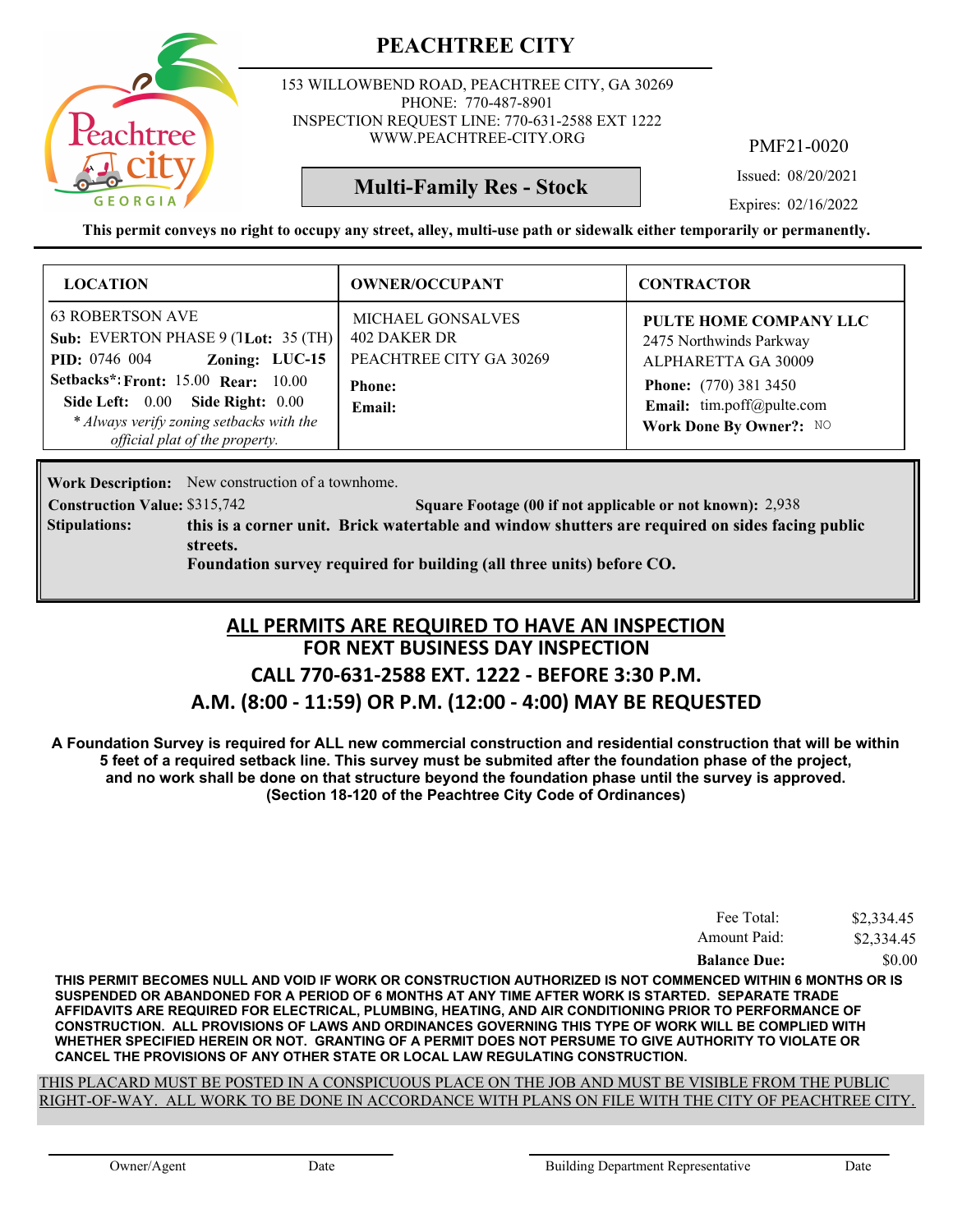

153 WILLOWBEND ROAD, PEACHTREE CITY, GA 30269 PHONE: 770-487-8901 INSPECTION REQUEST LINE: 770-631-2588 EXT 1222 WWW.PEACHTREE-CITY.ORG

PMF21-0020

Issued: 08/20/2021

Expires: 02/16/2022

**This permit conveys no right to occupy any street, alley, multi-use path or sidewalk either temporarily or permanently.**

**Multi-Family Res - Stock**

| <b>LOCATION</b>                                                                                                                                                                                                                                                          | <b>OWNER/OCCUPANT</b>                                                                          | <b>CONTRACTOR</b>                                                                                                                                                |
|--------------------------------------------------------------------------------------------------------------------------------------------------------------------------------------------------------------------------------------------------------------------------|------------------------------------------------------------------------------------------------|------------------------------------------------------------------------------------------------------------------------------------------------------------------|
| <b>63 ROBERTSON AVE</b><br>Sub: EVERTON PHASE 9 (1Lot: 35 (TH)<br>Zoning: LUC-15<br><b>PID:</b> 0746 004<br><b>Setbacks*: Front: 15.00 Rear: 10.00</b><br>Side Left: 0.00 Side Right: 0.00<br>* Always verify zoning setbacks with the<br>official plat of the property. | <b>MICHAEL GONSALVES</b><br>402 DAKER DR<br>PEACHTREE CITY GA 30269<br><b>Phone:</b><br>Email: | PULTE HOME COMPANY LLC<br>2475 Northwinds Parkway<br>ALPHARETTA GA 30009<br><b>Phone:</b> (770) 381 3450<br>Email: tim.poff@pulte.com<br>Work Done By Owner?: NO |

Work Description: New construction of a townhome.

**Construction Value:** \$315,742 5416 2,938 Square Footage (00 if not applicable or not known): 2,938

**this is a corner unit. Brick watertable and window shutters are required on sides facing public streets. Stipulations:**

**Foundation survey required for building (all three units) before CO.**

### **FOR NEXT BUSINESS DAY INSPECTION CALL 770-631-2588 EXT. 1222 - BEFORE 3:30 P.M. ALL PERMITS ARE REQUIRED TO HAVE AN INSPECTION**

### **A.M. (8:00 - 11:59) OR P.M. (12:00 - 4:00) MAY BE REQUESTED**

**A Foundation Survey is required for ALL new commercial construction and residential construction that will be within 5 feet of a required setback line. This survey must be submited after the foundation phase of the project, and no work shall be done on that structure beyond the foundation phase until the survey is approved. (Section 18-120 of the Peachtree City Code of Ordinances)**

| Fee Total:          | \$2,334.45 |
|---------------------|------------|
| Amount Paid:        | \$2,334.45 |
| <b>Balance Due:</b> | \$0.00     |

**THIS PERMIT BECOMES NULL AND VOID IF WORK OR CONSTRUCTION AUTHORIZED IS NOT COMMENCED WITHIN 6 MONTHS OR IS SUSPENDED OR ABANDONED FOR A PERIOD OF 6 MONTHS AT ANY TIME AFTER WORK IS STARTED. SEPARATE TRADE AFFIDAVITS ARE REQUIRED FOR ELECTRICAL, PLUMBING, HEATING, AND AIR CONDITIONING PRIOR TO PERFORMANCE OF CONSTRUCTION. ALL PROVISIONS OF LAWS AND ORDINANCES GOVERNING THIS TYPE OF WORK WILL BE COMPLIED WITH WHETHER SPECIFIED HEREIN OR NOT. GRANTING OF A PERMIT DOES NOT PERSUME TO GIVE AUTHORITY TO VIOLATE OR CANCEL THE PROVISIONS OF ANY OTHER STATE OR LOCAL LAW REGULATING CONSTRUCTION.**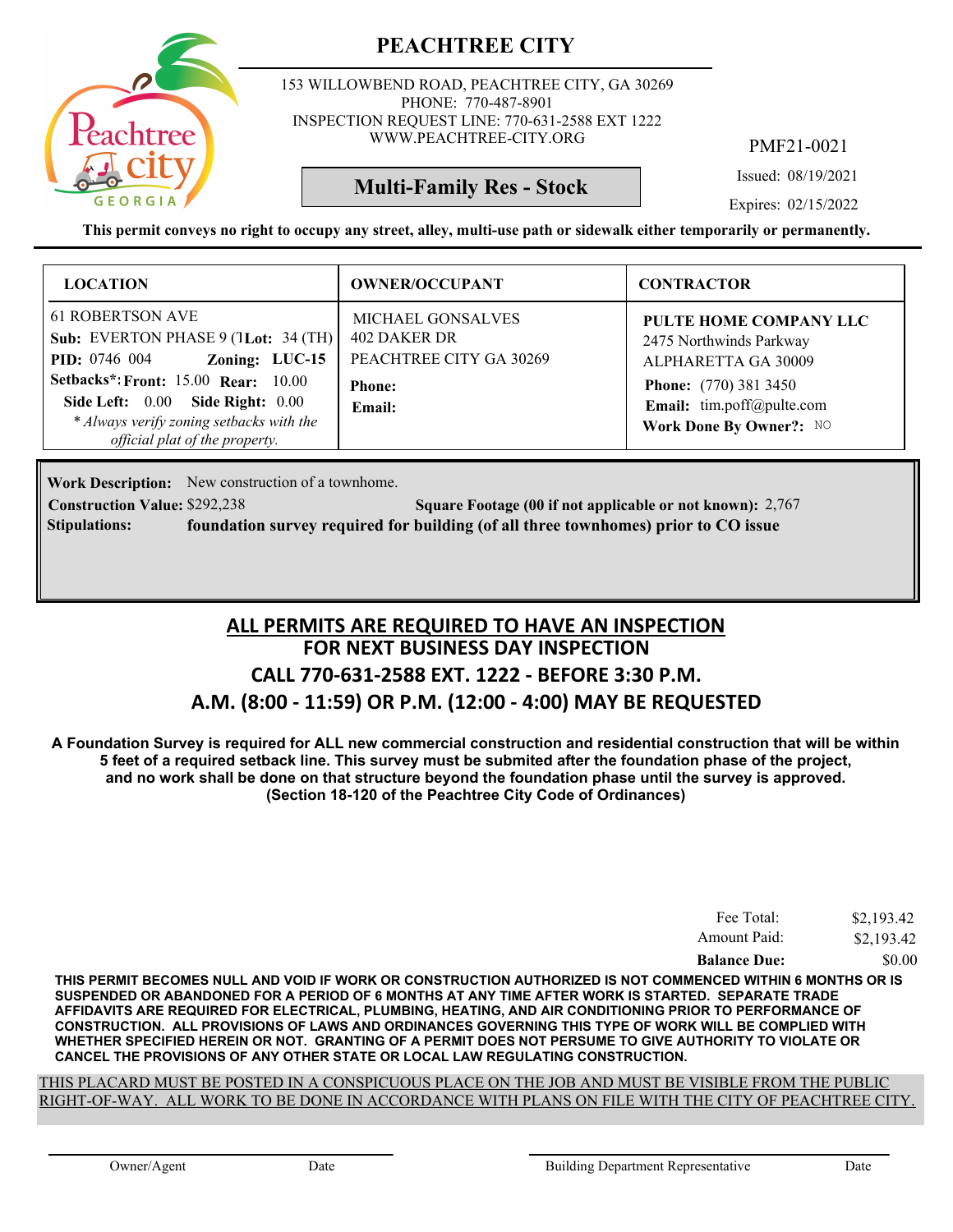

153 WILLOWBEND ROAD, PEACHTREE CITY, GA 30269 PHONE: 770-487-8901 INSPECTION REQUEST LINE: 770-631-2588 EXT 1222 WWW.PEACHTREE-CITY.ORG

PMF21-0021

Issued: 08/19/2021

Expires: 02/15/2022

**This permit conveys no right to occupy any street, alley, multi-use path or sidewalk either temporarily or permanently.**

**Multi-Family Res - Stock**

| <b>LOCATION</b>                                                                                                                                                                                                                                                                | <b>OWNER/OCCUPANT</b>                                                                          | <b>CONTRACTOR</b>                                                                                                                                                |
|--------------------------------------------------------------------------------------------------------------------------------------------------------------------------------------------------------------------------------------------------------------------------------|------------------------------------------------------------------------------------------------|------------------------------------------------------------------------------------------------------------------------------------------------------------------|
| <b>61 ROBERTSON AVE</b><br>Sub: EVERTON PHASE $9$ (1Lot: 34 (TH)<br><b>PID:</b> 0746 004 <b>Zoning:</b> LUC-15<br><b>Setbacks*: Front: 15.00 Rear: 10.00</b><br>Side Left: 0.00 Side Right: 0.00<br>* Always verify zoning setbacks with the<br>official plat of the property. | <b>MICHAEL GONSALVES</b><br>402 DAKER DR<br>PEACHTREE CITY GA 30269<br><b>Phone:</b><br>Email: | PULTE HOME COMPANY LLC<br>2475 Northwinds Parkway<br>ALPHARETTA GA 30009<br><b>Phone:</b> (770) 381 3450<br>Email: tim.poff@pulte.com<br>Work Done By Owner?: NO |

Work Description: New construction of a townhome.

**Construction Value: Square Footage (00 if not applicable or not known):** \$292,238 2,767 **Stipulations: foundation survey required for building (of all three townhomes) prior to CO issue**

### **FOR NEXT BUSINESS DAY INSPECTION CALL 770-631-2588 EXT. 1222 - BEFORE 3:30 P.M. A.M. (8:00 - 11:59) OR P.M. (12:00 - 4:00) MAY BE REQUESTED ALL PERMITS ARE REQUIRED TO HAVE AN INSPECTION**

**A Foundation Survey is required for ALL new commercial construction and residential construction that will be within 5 feet of a required setback line. This survey must be submited after the foundation phase of the project, and no work shall be done on that structure beyond the foundation phase until the survey is approved. (Section 18-120 of the Peachtree City Code of Ordinances)**

| Fee Total:          | \$2,193.42 |
|---------------------|------------|
| Amount Paid:        | \$2,193.42 |
| <b>Balance Due:</b> | \$0.00     |

**THIS PERMIT BECOMES NULL AND VOID IF WORK OR CONSTRUCTION AUTHORIZED IS NOT COMMENCED WITHIN 6 MONTHS OR IS SUSPENDED OR ABANDONED FOR A PERIOD OF 6 MONTHS AT ANY TIME AFTER WORK IS STARTED. SEPARATE TRADE AFFIDAVITS ARE REQUIRED FOR ELECTRICAL, PLUMBING, HEATING, AND AIR CONDITIONING PRIOR TO PERFORMANCE OF CONSTRUCTION. ALL PROVISIONS OF LAWS AND ORDINANCES GOVERNING THIS TYPE OF WORK WILL BE COMPLIED WITH WHETHER SPECIFIED HEREIN OR NOT. GRANTING OF A PERMIT DOES NOT PERSUME TO GIVE AUTHORITY TO VIOLATE OR CANCEL THE PROVISIONS OF ANY OTHER STATE OR LOCAL LAW REGULATING CONSTRUCTION.**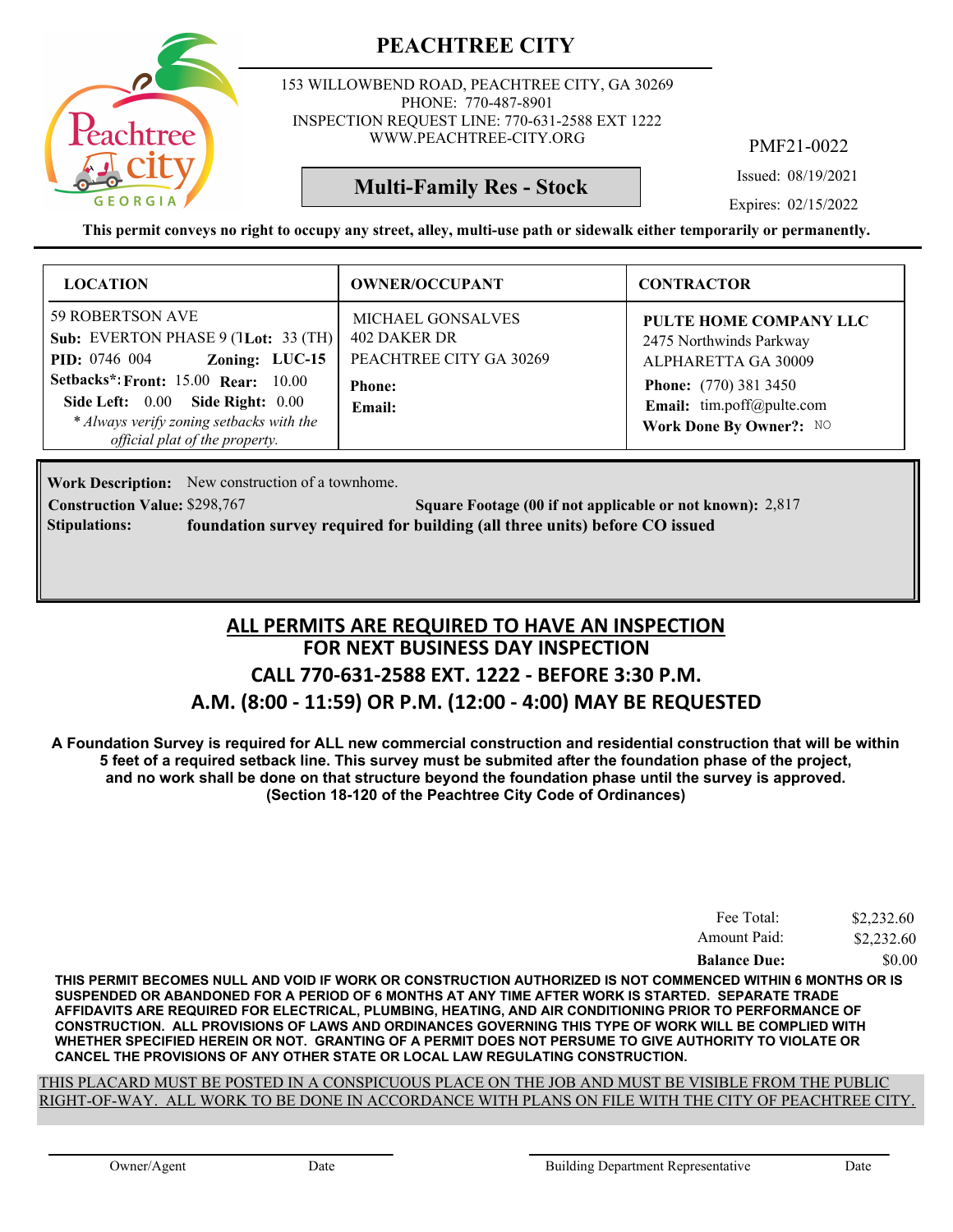

153 WILLOWBEND ROAD, PEACHTREE CITY, GA 30269 PHONE: 770-487-8901 INSPECTION REQUEST LINE: 770-631-2588 EXT 1222 WWW.PEACHTREE-CITY.ORG

PMF21-0022

Issued: 08/19/2021

Expires: 02/15/2022

**This permit conveys no right to occupy any street, alley, multi-use path or sidewalk either temporarily or permanently.**

**Multi-Family Res - Stock**

| <b>LOCATION</b>                                                                                                                                                                                                                                                              | <b>OWNER/OCCUPANT</b>                                                                          | <b>CONTRACTOR</b>                                                                                                                                                |
|------------------------------------------------------------------------------------------------------------------------------------------------------------------------------------------------------------------------------------------------------------------------------|------------------------------------------------------------------------------------------------|------------------------------------------------------------------------------------------------------------------------------------------------------------------|
| <b>59 ROBERTSON AVE</b><br>Sub: EVERTON PHASE 9 (1Lot: 33 (TH)<br><b>PID:</b> 0746 004 <b>Zoning:</b> LUC-15<br><b>Setbacks*: Front: 15.00 Rear: 10.00</b><br>Side Left: 0.00 Side Right: 0.00<br>* Always verify zoning setbacks with the<br>official plat of the property. | <b>MICHAEL GONSALVES</b><br>402 DAKER DR<br>PEACHTREE CITY GA 30269<br><b>Phone:</b><br>Email: | PULTE HOME COMPANY LLC<br>2475 Northwinds Parkway<br>ALPHARETTA GA 30009<br><b>Phone:</b> (770) 381 3450<br>Email: tim.poff@pulte.com<br>Work Done By Owner?: NO |

Work Description: New construction of a townhome.

**Construction Value: \$298,767 2,817 2,817 2,817 2,817 2,817 2,817 2,817 2,817 2,817 2,817 2,817 2,817 2,817 2,817 Stipulations: foundation survey required for building (all three units) before CO issued**

### **FOR NEXT BUSINESS DAY INSPECTION CALL 770-631-2588 EXT. 1222 - BEFORE 3:30 P.M. A.M. (8:00 - 11:59) OR P.M. (12:00 - 4:00) MAY BE REQUESTED ALL PERMITS ARE REQUIRED TO HAVE AN INSPECTION**

**A Foundation Survey is required for ALL new commercial construction and residential construction that will be within 5 feet of a required setback line. This survey must be submited after the foundation phase of the project, and no work shall be done on that structure beyond the foundation phase until the survey is approved. (Section 18-120 of the Peachtree City Code of Ordinances)**

| Fee Total:          | \$2,232.60 |
|---------------------|------------|
| Amount Paid:        | \$2,232.60 |
| <b>Balance Due:</b> | \$0.00     |

**THIS PERMIT BECOMES NULL AND VOID IF WORK OR CONSTRUCTION AUTHORIZED IS NOT COMMENCED WITHIN 6 MONTHS OR IS SUSPENDED OR ABANDONED FOR A PERIOD OF 6 MONTHS AT ANY TIME AFTER WORK IS STARTED. SEPARATE TRADE AFFIDAVITS ARE REQUIRED FOR ELECTRICAL, PLUMBING, HEATING, AND AIR CONDITIONING PRIOR TO PERFORMANCE OF CONSTRUCTION. ALL PROVISIONS OF LAWS AND ORDINANCES GOVERNING THIS TYPE OF WORK WILL BE COMPLIED WITH WHETHER SPECIFIED HEREIN OR NOT. GRANTING OF A PERMIT DOES NOT PERSUME TO GIVE AUTHORITY TO VIOLATE OR CANCEL THE PROVISIONS OF ANY OTHER STATE OR LOCAL LAW REGULATING CONSTRUCTION.**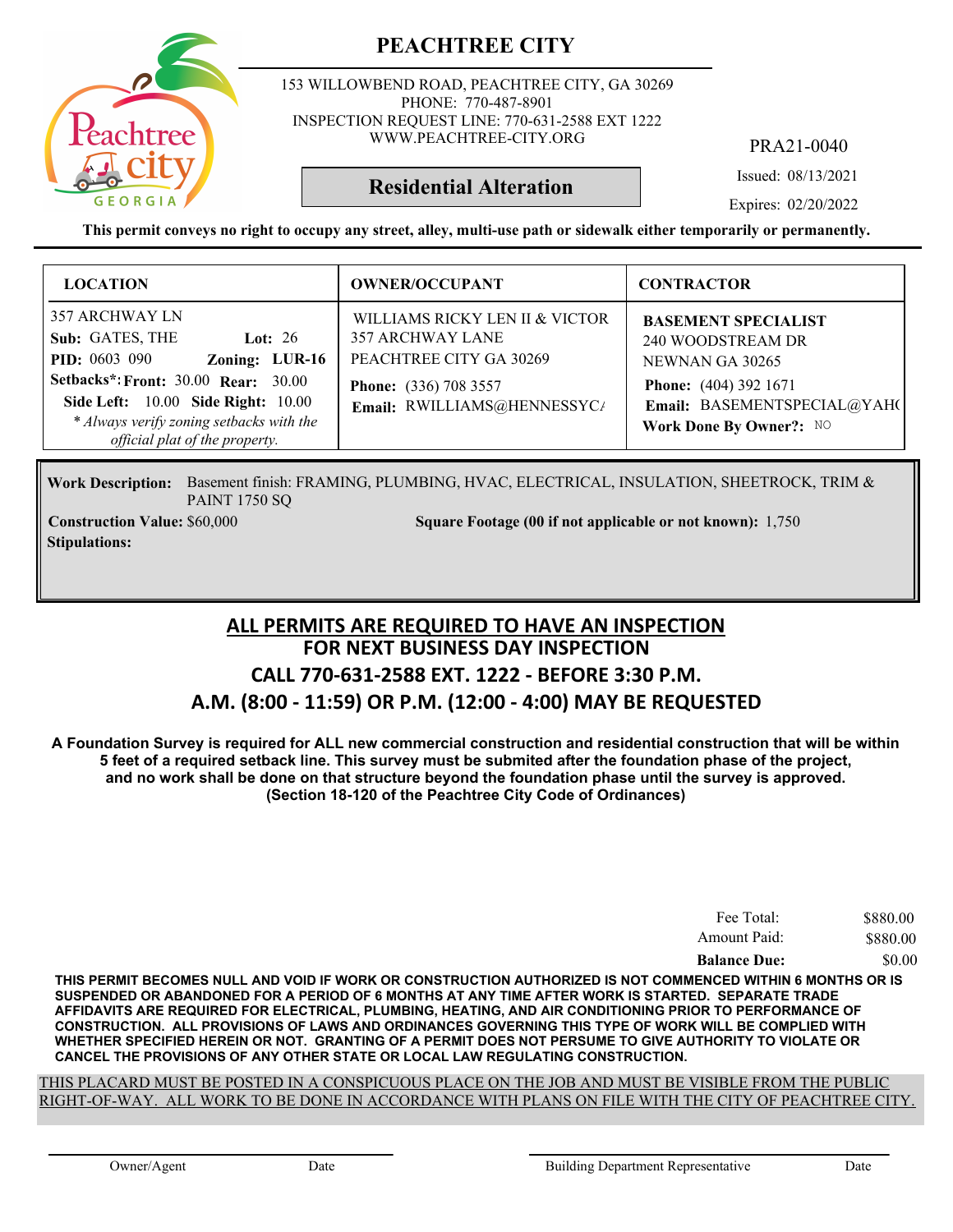153 WILLOWBEND ROAD, PEACHTREE CITY, GA 30269 PHONE: 770-487-8901 INSPECTION REQUEST LINE: 770-631-2588 EXT 1222 WWW.PEACHTREE-CITY.ORG

PRA21-0040

Issued: 08/13/2021

**Residential Alteration**

Expires: 02/20/2022

**This permit conveys no right to occupy any street, alley, multi-use path or sidewalk either temporarily or permanently.**

| <b>LOCATION</b>                                                                                                                                                                                                                                            | <b>OWNER/OCCUPANT</b>                                                                                                                               | <b>CONTRACTOR</b>                                                                                                                                            |
|------------------------------------------------------------------------------------------------------------------------------------------------------------------------------------------------------------------------------------------------------------|-----------------------------------------------------------------------------------------------------------------------------------------------------|--------------------------------------------------------------------------------------------------------------------------------------------------------------|
| 357 ARCHWAY LN<br>Sub: GATES, THE<br>Lot: $26$<br>Zoning: LUR-16<br><b>PID:</b> 0603 090<br><b>Setbacks*: Front: 30.00 Rear: 30.00</b><br>Side Left: 10.00 Side Right: 10.00<br>* Always verify zoning setbacks with the<br>official plat of the property. | WILLIAMS RICKY LEN II & VICTOR<br><b>357 ARCHWAY LANE</b><br>PEACHTREE CITY GA 30269<br><b>Phone:</b> (336) 708 3557<br>Email: RWILLIAMS@HENNESSYC/ | <b>BASEMENT SPECIALIST</b><br>240 WOODSTREAM DR<br>NEWNAN GA 30265<br><b>Phone:</b> (404) 392 1671<br>Email: BASEMENTSPECIAL@YAHO<br>Work Done By Owner?: NO |

Work Description: Basement finish: FRAMING, PLUMBING, HVAC, ELECTRICAL, INSULATION, SHEETROCK, TRIM & PAINT 1750 SQ

**Stipulations:**

**Construction Value:** \$60,000 1,750 **Square Footage (00 if not applicable or not known):** 1,750

### **FOR NEXT BUSINESS DAY INSPECTION CALL 770-631-2588 EXT. 1222 - BEFORE 3:30 P.M. A.M. (8:00 - 11:59) OR P.M. (12:00 - 4:00) MAY BE REQUESTED ALL PERMITS ARE REQUIRED TO HAVE AN INSPECTION**

**A Foundation Survey is required for ALL new commercial construction and residential construction that will be within 5 feet of a required setback line. This survey must be submited after the foundation phase of the project, and no work shall be done on that structure beyond the foundation phase until the survey is approved. (Section 18-120 of the Peachtree City Code of Ordinances)**

| Fee Total:          | \$880.00 |
|---------------------|----------|
| Amount Paid:        | \$880.00 |
| <b>Balance Due:</b> | \$0.00   |

**THIS PERMIT BECOMES NULL AND VOID IF WORK OR CONSTRUCTION AUTHORIZED IS NOT COMMENCED WITHIN 6 MONTHS OR IS SUSPENDED OR ABANDONED FOR A PERIOD OF 6 MONTHS AT ANY TIME AFTER WORK IS STARTED. SEPARATE TRADE AFFIDAVITS ARE REQUIRED FOR ELECTRICAL, PLUMBING, HEATING, AND AIR CONDITIONING PRIOR TO PERFORMANCE OF CONSTRUCTION. ALL PROVISIONS OF LAWS AND ORDINANCES GOVERNING THIS TYPE OF WORK WILL BE COMPLIED WITH WHETHER SPECIFIED HEREIN OR NOT. GRANTING OF A PERMIT DOES NOT PERSUME TO GIVE AUTHORITY TO VIOLATE OR CANCEL THE PROVISIONS OF ANY OTHER STATE OR LOCAL LAW REGULATING CONSTRUCTION.**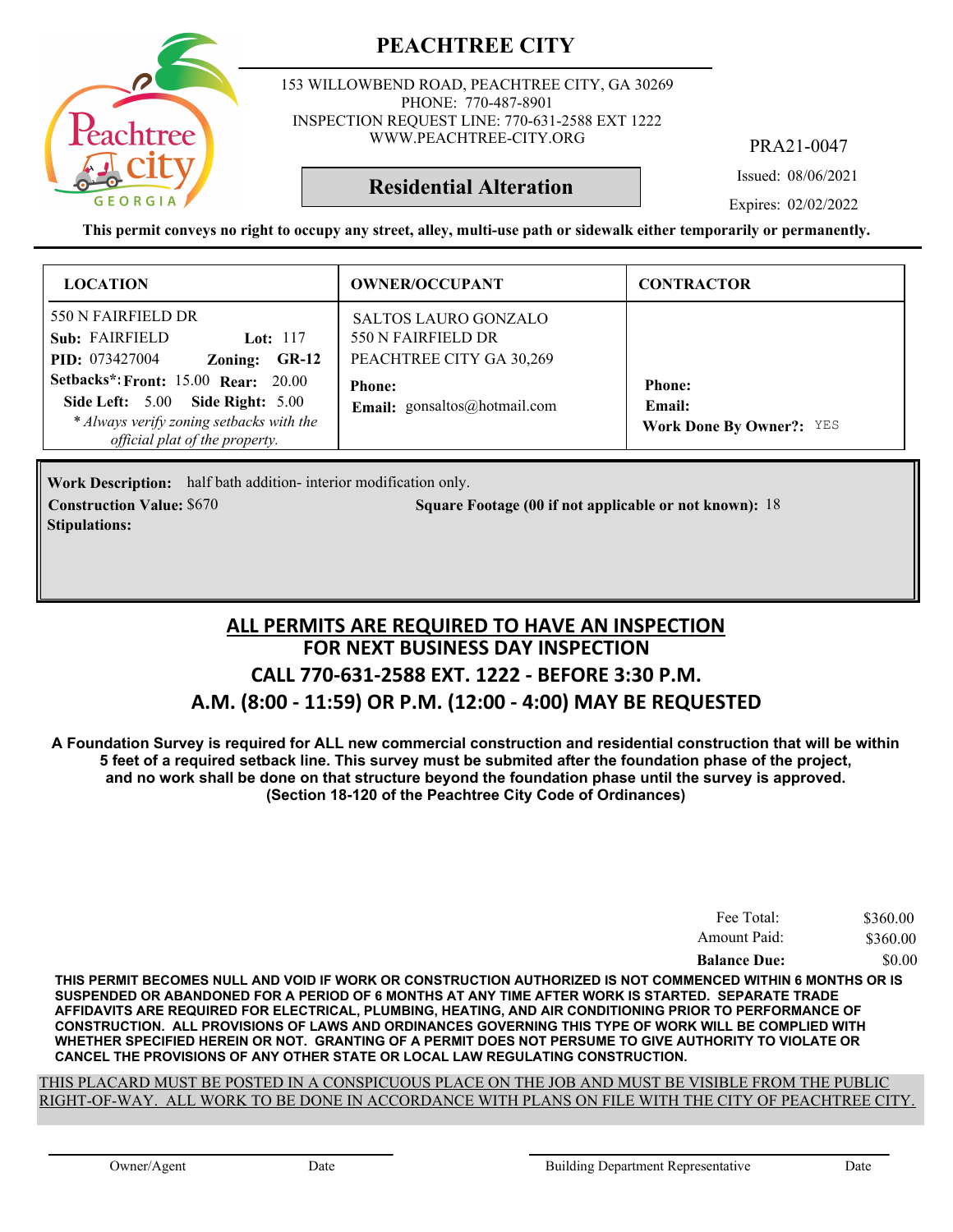

**Stipulations:**

153 WILLOWBEND ROAD, PEACHTREE CITY, GA 30269 PHONE: 770-487-8901 INSPECTION REQUEST LINE: 770-631-2588 EXT 1222 WWW.PEACHTREE-CITY.ORG

PRA21-0047

Issued: 08/06/2021

**Residential Alteration**

Expires: 02/02/2022

**This permit conveys no right to occupy any street, alley, multi-use path or sidewalk either temporarily or permanently.**

| <b>LOCATION</b>                                                                                                                                                                                                                                              | <b>OWNER/OCCUPANT</b>                                                                                                          | <b>CONTRACTOR</b>                                          |
|--------------------------------------------------------------------------------------------------------------------------------------------------------------------------------------------------------------------------------------------------------------|--------------------------------------------------------------------------------------------------------------------------------|------------------------------------------------------------|
| 550 N FAIRFIELD DR<br>Sub: FAIRFIELD<br>Lot: $117$<br><b>PID:</b> 073427004<br>Zoning: GR-12<br><b>Setbacks*: Front: 15.00 Rear: 20.00</b><br>Side Left: 5.00 Side Right: 5.00<br>* Always verify zoning setbacks with the<br>official plat of the property. | <b>SALTOS LAURO GONZALO</b><br>550 N FAIRFIELD DR<br>PEACHTREE CITY GA 30,269<br><b>Phone:</b><br>Email: gonsaltos@hotmail.com | <b>Phone:</b><br>Email:<br><b>Work Done By Owner?: YES</b> |

Work Description: half bath addition- interior modification only. **Construction Value: Square Footage (00 if not applicable or not known):** \$670 18

### **FOR NEXT BUSINESS DAY INSPECTION CALL 770-631-2588 EXT. 1222 - BEFORE 3:30 P.M. A.M. (8:00 - 11:59) OR P.M. (12:00 - 4:00) MAY BE REQUESTED ALL PERMITS ARE REQUIRED TO HAVE AN INSPECTION**

**A Foundation Survey is required for ALL new commercial construction and residential construction that will be within 5 feet of a required setback line. This survey must be submited after the foundation phase of the project, and no work shall be done on that structure beyond the foundation phase until the survey is approved. (Section 18-120 of the Peachtree City Code of Ordinances)**

| Fee Total:          | \$360.00 |
|---------------------|----------|
| Amount Paid:        | \$360.00 |
| <b>Balance Due:</b> | \$0.00   |

**THIS PERMIT BECOMES NULL AND VOID IF WORK OR CONSTRUCTION AUTHORIZED IS NOT COMMENCED WITHIN 6 MONTHS OR IS SUSPENDED OR ABANDONED FOR A PERIOD OF 6 MONTHS AT ANY TIME AFTER WORK IS STARTED. SEPARATE TRADE AFFIDAVITS ARE REQUIRED FOR ELECTRICAL, PLUMBING, HEATING, AND AIR CONDITIONING PRIOR TO PERFORMANCE OF CONSTRUCTION. ALL PROVISIONS OF LAWS AND ORDINANCES GOVERNING THIS TYPE OF WORK WILL BE COMPLIED WITH WHETHER SPECIFIED HEREIN OR NOT. GRANTING OF A PERMIT DOES NOT PERSUME TO GIVE AUTHORITY TO VIOLATE OR CANCEL THE PROVISIONS OF ANY OTHER STATE OR LOCAL LAW REGULATING CONSTRUCTION.**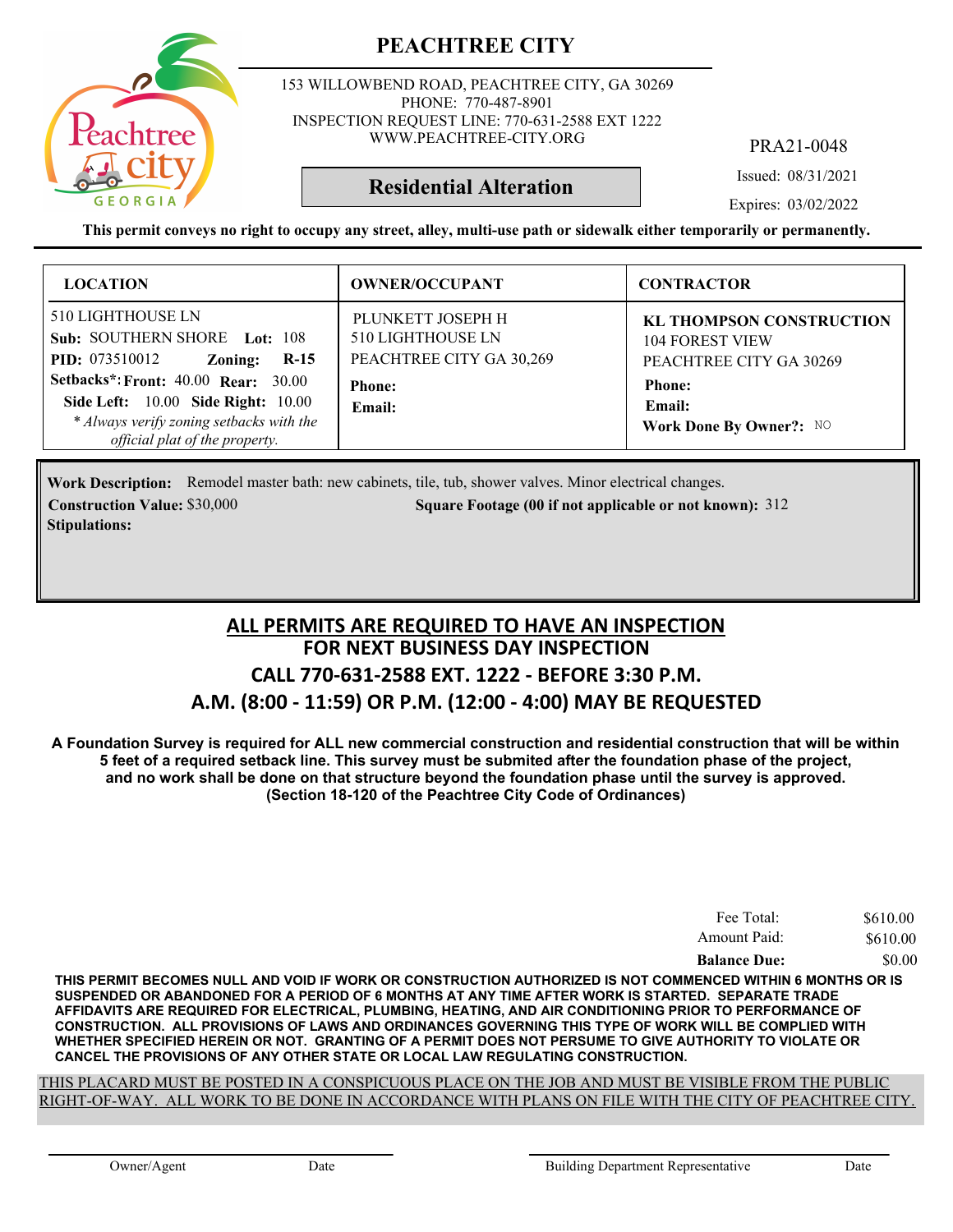

153 WILLOWBEND ROAD, PEACHTREE CITY, GA 30269 PHONE: 770-487-8901 INSPECTION REQUEST LINE: 770-631-2588 EXT 1222 WWW.PEACHTREE-CITY.ORG

PRA21-0048

Issued: 08/31/2021

Expires: 03/02/2022

**This permit conveys no right to occupy any street, alley, multi-use path or sidewalk either temporarily or permanently.**

**Residential Alteration**

| <b>LOCATION</b>                                                                                                                                                                            | <b>OWNER/OCCUPANT</b>                                                                                | <b>CONTRACTOR</b>                                                                                               |
|--------------------------------------------------------------------------------------------------------------------------------------------------------------------------------------------|------------------------------------------------------------------------------------------------------|-----------------------------------------------------------------------------------------------------------------|
| <b>510 LIGHTHOUSE LN</b><br>Sub: SOUTHERN SHORE Lot: 108<br><b>PID:</b> 073510012<br>$R-15$<br>Zoning:<br><b>Setbacks*: Front: 40.00 Rear: 30.00</b><br>Side Left: 10.00 Side Right: 10.00 | PLUNKETT JOSEPH H<br><b>510 LIGHTHOUSE LN</b><br>PEACHTREE CITY GA 30,269<br><b>Phone:</b><br>Email: | <b>KL THOMPSON CONSTRUCTION</b><br><b>104 FOREST VIEW</b><br>PEACHTREE CITY GA 30269<br><b>Phone:</b><br>Email: |
| * Always verify zoning setbacks with the<br>official plat of the property.                                                                                                                 |                                                                                                      | Work Done By Owner?: NO                                                                                         |

Work Description: Remodel master bath: new cabinets, tile, tub, shower valves. Minor electrical changes. **Construction Value:** \$30,000 312 **Square Footage (00 if not applicable or not known): 312 Stipulations:**

### **FOR NEXT BUSINESS DAY INSPECTION CALL 770-631-2588 EXT. 1222 - BEFORE 3:30 P.M. A.M. (8:00 - 11:59) OR P.M. (12:00 - 4:00) MAY BE REQUESTED ALL PERMITS ARE REQUIRED TO HAVE AN INSPECTION**

**A Foundation Survey is required for ALL new commercial construction and residential construction that will be within 5 feet of a required setback line. This survey must be submited after the foundation phase of the project, and no work shall be done on that structure beyond the foundation phase until the survey is approved. (Section 18-120 of the Peachtree City Code of Ordinances)**

| Fee Total:          | \$610.00 |
|---------------------|----------|
| Amount Paid:        | \$610.00 |
| <b>Balance Due:</b> | \$0.00   |

**THIS PERMIT BECOMES NULL AND VOID IF WORK OR CONSTRUCTION AUTHORIZED IS NOT COMMENCED WITHIN 6 MONTHS OR IS SUSPENDED OR ABANDONED FOR A PERIOD OF 6 MONTHS AT ANY TIME AFTER WORK IS STARTED. SEPARATE TRADE AFFIDAVITS ARE REQUIRED FOR ELECTRICAL, PLUMBING, HEATING, AND AIR CONDITIONING PRIOR TO PERFORMANCE OF CONSTRUCTION. ALL PROVISIONS OF LAWS AND ORDINANCES GOVERNING THIS TYPE OF WORK WILL BE COMPLIED WITH WHETHER SPECIFIED HEREIN OR NOT. GRANTING OF A PERMIT DOES NOT PERSUME TO GIVE AUTHORITY TO VIOLATE OR CANCEL THE PROVISIONS OF ANY OTHER STATE OR LOCAL LAW REGULATING CONSTRUCTION.**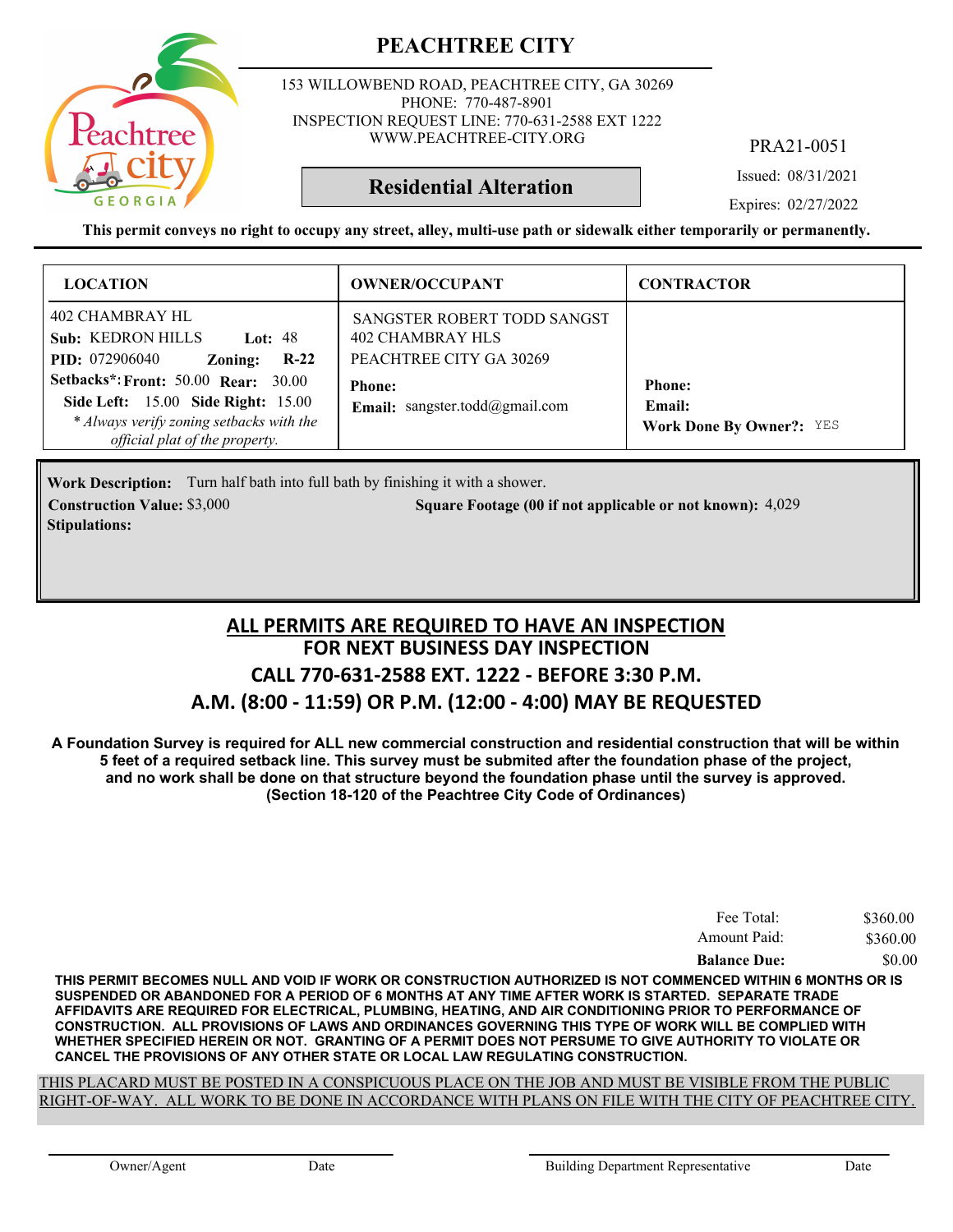

153 WILLOWBEND ROAD, PEACHTREE CITY, GA 30269 PHONE: 770-487-8901 INSPECTION REQUEST LINE: 770-631-2588 EXT 1222 WWW.PEACHTREE-CITY.ORG

PRA21-0051

Issued: 08/31/2021

**Residential Alteration**

Expires: 02/27/2022

**This permit conveys no right to occupy any street, alley, multi-use path or sidewalk either temporarily or permanently.**

| <b>LOCATION</b>                                                                                                                                                       | <b>OWNER/OCCUPANT</b>                                                      | <b>CONTRACTOR</b>                                          |
|-----------------------------------------------------------------------------------------------------------------------------------------------------------------------|----------------------------------------------------------------------------|------------------------------------------------------------|
| 402 CHAMBRAY HL<br><b>Sub: KEDRON HILLS</b><br><b>Lot: 48</b><br>$R-22$<br><b>PID:</b> 072906040<br>Zoning:                                                           | SANGSTER ROBERT TODD SANGST<br>402 CHAMBRAY HLS<br>PEACHTREE CITY GA 30269 |                                                            |
| Setbacks*: Front: 50.00 Rear: 30.00<br><b>Side Left:</b> 15.00 <b>Side Right:</b> 15.00<br>* Always verify zoning setbacks with the<br>official plat of the property. | <b>Phone:</b><br><b>Email:</b> sangster.todd@gmail.com                     | <b>Phone:</b><br>Email:<br><b>Work Done By Owner?: YES</b> |

Work Description: Turn half bath into full bath by finishing it with a shower. **Construction Value:** \$3,000 5 4,029 **Square Footage (00 if not applicable or not known): 4,029 Stipulations:**

### **FOR NEXT BUSINESS DAY INSPECTION CALL 770-631-2588 EXT. 1222 - BEFORE 3:30 P.M. A.M. (8:00 - 11:59) OR P.M. (12:00 - 4:00) MAY BE REQUESTED ALL PERMITS ARE REQUIRED TO HAVE AN INSPECTION**

**A Foundation Survey is required for ALL new commercial construction and residential construction that will be within 5 feet of a required setback line. This survey must be submited after the foundation phase of the project, and no work shall be done on that structure beyond the foundation phase until the survey is approved. (Section 18-120 of the Peachtree City Code of Ordinances)**

| Fee Total:          | \$360.00 |
|---------------------|----------|
| Amount Paid:        | \$360.00 |
| <b>Balance Due:</b> | \$0.00   |

**THIS PERMIT BECOMES NULL AND VOID IF WORK OR CONSTRUCTION AUTHORIZED IS NOT COMMENCED WITHIN 6 MONTHS OR IS SUSPENDED OR ABANDONED FOR A PERIOD OF 6 MONTHS AT ANY TIME AFTER WORK IS STARTED. SEPARATE TRADE AFFIDAVITS ARE REQUIRED FOR ELECTRICAL, PLUMBING, HEATING, AND AIR CONDITIONING PRIOR TO PERFORMANCE OF CONSTRUCTION. ALL PROVISIONS OF LAWS AND ORDINANCES GOVERNING THIS TYPE OF WORK WILL BE COMPLIED WITH WHETHER SPECIFIED HEREIN OR NOT. GRANTING OF A PERMIT DOES NOT PERSUME TO GIVE AUTHORITY TO VIOLATE OR CANCEL THE PROVISIONS OF ANY OTHER STATE OR LOCAL LAW REGULATING CONSTRUCTION.**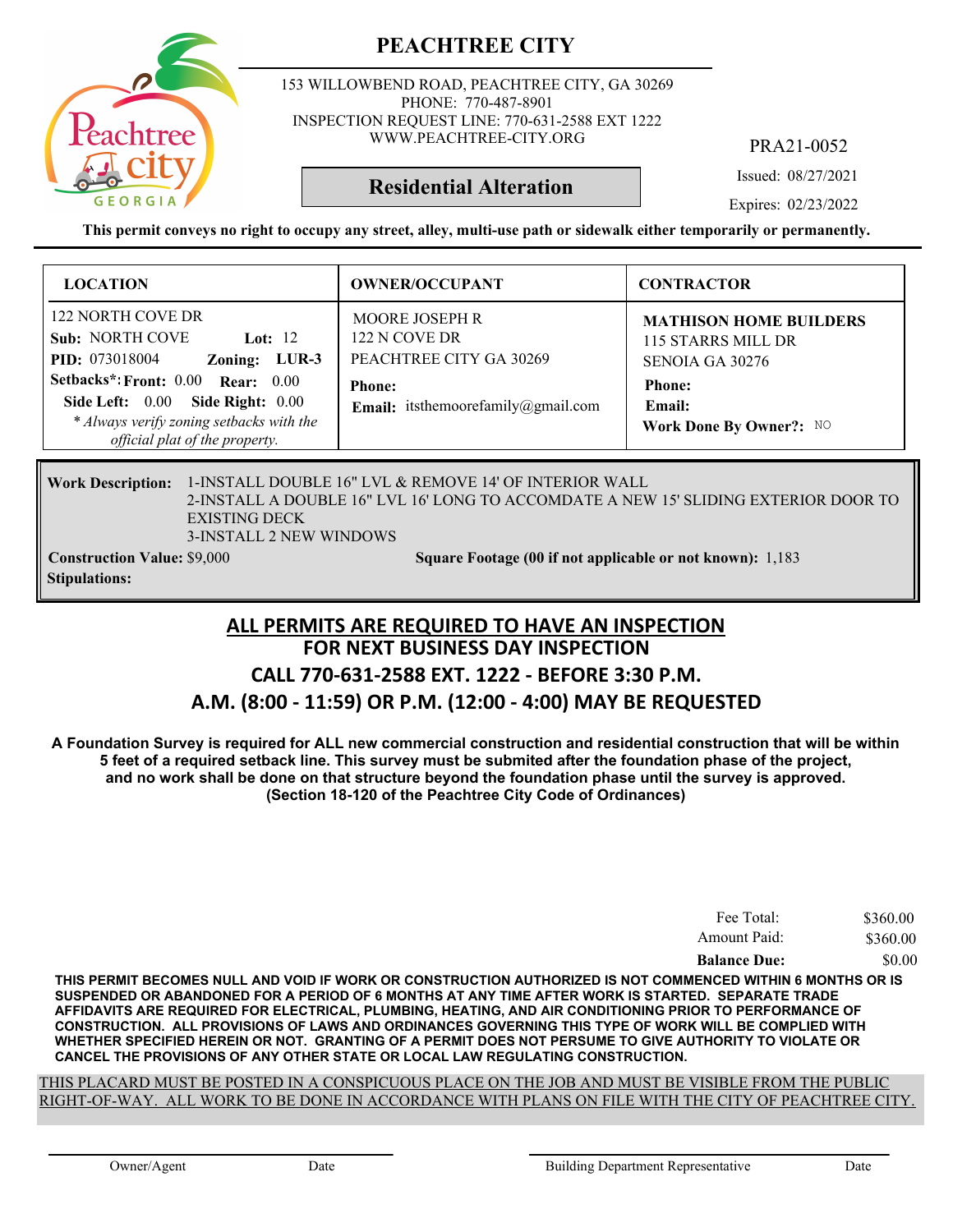153 WILLOWBEND ROAD, PEACHTREE CITY, GA 30269 PHONE: 770-487-8901 INSPECTION REQUEST LINE: 770-631-2588 EXT 1222 WWW.PEACHTREE-CITY.ORG

PRA21-0052

Issued: 08/27/2021

Expires: 02/23/2022

**This permit conveys no right to occupy any street, alley, multi-use path or sidewalk either temporarily or permanently.**

**Residential Alteration**

| <b>LOCATION</b>                                                                                                                                                                                                                                              | <b>OWNER/OCCUPANT</b>                                                                                                           | <b>CONTRACTOR</b>                                                                                                            |
|--------------------------------------------------------------------------------------------------------------------------------------------------------------------------------------------------------------------------------------------------------------|---------------------------------------------------------------------------------------------------------------------------------|------------------------------------------------------------------------------------------------------------------------------|
| 122 NORTH COVE DR<br><b>Sub: NORTH COVE</b><br>Lot: $12$<br>Zoning: LUR-3<br><b>PID:</b> 073018004<br>Setbacks*: Front: 0.00 Rear: 0.00<br>Side Left: 0.00<br>Side Right: 0.00<br>* Always verify zoning setbacks with the<br>official plat of the property. | <b>MOORE JOSEPH R</b><br>122 N COVE DR<br>PEACHTREE CITY GA 30269<br><b>Phone:</b><br><b>Email:</b> itsthemoorefamily@gmail.com | <b>MATHISON HOME BUILDERS</b><br>115 STARRS MILL DR<br>SENOIA GA 30276<br><b>Phone:</b><br>Email:<br>Work Done By Owner?: NO |
|                                                                                                                                                                                                                                                              |                                                                                                                                 |                                                                                                                              |

### Work Description: 1-INSTALL DOUBLE 16" LVL & REMOVE 14' OF INTERIOR WALL 2-INSTALL A DOUBLE 16" LVL 16' LONG TO ACCOMDATE A NEW 15' SLIDING EXTERIOR DOOR TO EXISTING DECK 3-INSTALL 2 NEW WINDOWS

**Stipulations:**

**Construction Value:** \$9,000 1,183 **Square Footage (00 if not applicable or not known):** 1,183

### **FOR NEXT BUSINESS DAY INSPECTION CALL 770-631-2588 EXT. 1222 - BEFORE 3:30 P.M. A.M. (8:00 - 11:59) OR P.M. (12:00 - 4:00) MAY BE REQUESTED ALL PERMITS ARE REQUIRED TO HAVE AN INSPECTION**

**A Foundation Survey is required for ALL new commercial construction and residential construction that will be within 5 feet of a required setback line. This survey must be submited after the foundation phase of the project, and no work shall be done on that structure beyond the foundation phase until the survey is approved. (Section 18-120 of the Peachtree City Code of Ordinances)**

| Fee Total:          | \$360.00 |
|---------------------|----------|
| Amount Paid:        | \$360.00 |
| <b>Balance Due:</b> | \$0.00   |

**THIS PERMIT BECOMES NULL AND VOID IF WORK OR CONSTRUCTION AUTHORIZED IS NOT COMMENCED WITHIN 6 MONTHS OR IS SUSPENDED OR ABANDONED FOR A PERIOD OF 6 MONTHS AT ANY TIME AFTER WORK IS STARTED. SEPARATE TRADE AFFIDAVITS ARE REQUIRED FOR ELECTRICAL, PLUMBING, HEATING, AND AIR CONDITIONING PRIOR TO PERFORMANCE OF CONSTRUCTION. ALL PROVISIONS OF LAWS AND ORDINANCES GOVERNING THIS TYPE OF WORK WILL BE COMPLIED WITH WHETHER SPECIFIED HEREIN OR NOT. GRANTING OF A PERMIT DOES NOT PERSUME TO GIVE AUTHORITY TO VIOLATE OR CANCEL THE PROVISIONS OF ANY OTHER STATE OR LOCAL LAW REGULATING CONSTRUCTION.**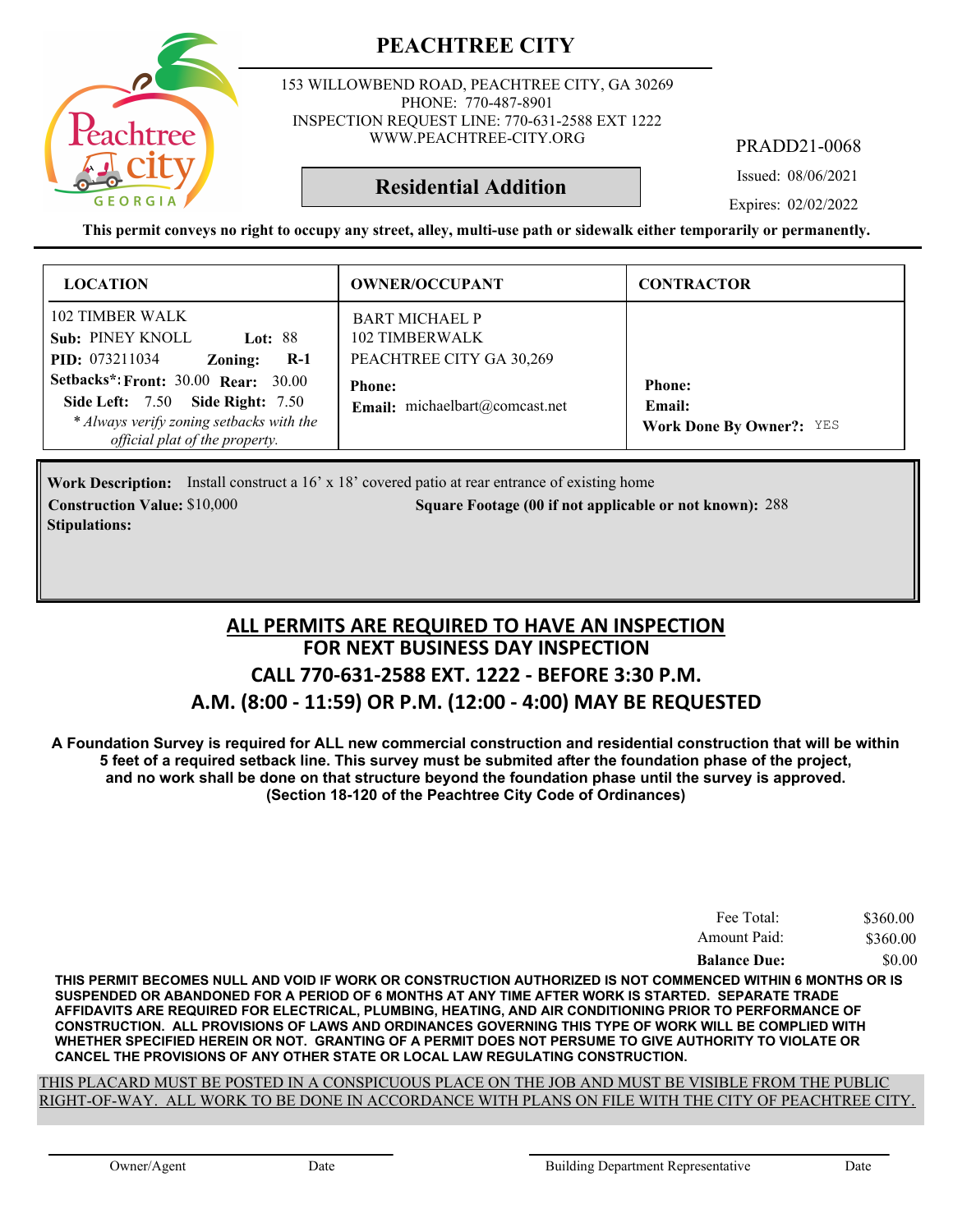

153 WILLOWBEND ROAD, PEACHTREE CITY, GA 30269 PHONE: 770-487-8901 INSPECTION REQUEST LINE: 770-631-2588 EXT 1222 WWW.PEACHTREE-CITY.ORG

PRADD21-0068

Issued: 08/06/2021

**Residential Addition**

Expires: 02/02/2022

**This permit conveys no right to occupy any street, alley, multi-use path or sidewalk either temporarily or permanently.**

| <b>LOCATION</b>                                                                                                                                                                                                                                                                  | <b>OWNER/OCCUPANT</b>                                                                                                         | <b>CONTRACTOR</b>                                          |
|----------------------------------------------------------------------------------------------------------------------------------------------------------------------------------------------------------------------------------------------------------------------------------|-------------------------------------------------------------------------------------------------------------------------------|------------------------------------------------------------|
| 102 TIMBER WALK<br><b>Sub: PINEY KNOLL</b><br><b>Lot: 88</b><br><b>PID:</b> 073211034<br>$R-1$<br>Zoning:<br><b>Setbacks*: Front: 30.00 Rear: 30.00</b><br><b>Side Left: 7.50 Side Right: 7.50</b><br>* Always verify zoning setbacks with the<br>official plat of the property. | <b>BART MICHAEL P</b><br>102 TIMBERWALK<br>PEACHTREE CITY GA 30,269<br><b>Phone:</b><br><b>Email:</b> michaelbart@comcast.net | <b>Phone:</b><br>Email:<br><b>Work Done By Owner?: YES</b> |

**Work Description:** Install construct a 16' x 18' covered patio at rear entrance of existing home **Construction Value: Square Footage (00 if not applicable or not known):** \$10,000 288 **Stipulations:**

### **FOR NEXT BUSINESS DAY INSPECTION CALL 770-631-2588 EXT. 1222 - BEFORE 3:30 P.M. A.M. (8:00 - 11:59) OR P.M. (12:00 - 4:00) MAY BE REQUESTED ALL PERMITS ARE REQUIRED TO HAVE AN INSPECTION**

**A Foundation Survey is required for ALL new commercial construction and residential construction that will be within 5 feet of a required setback line. This survey must be submited after the foundation phase of the project, and no work shall be done on that structure beyond the foundation phase until the survey is approved. (Section 18-120 of the Peachtree City Code of Ordinances)**

| Fee Total:          | \$360.00 |
|---------------------|----------|
| Amount Paid:        | \$360.00 |
| <b>Balance Due:</b> | \$0.00   |

**THIS PERMIT BECOMES NULL AND VOID IF WORK OR CONSTRUCTION AUTHORIZED IS NOT COMMENCED WITHIN 6 MONTHS OR IS SUSPENDED OR ABANDONED FOR A PERIOD OF 6 MONTHS AT ANY TIME AFTER WORK IS STARTED. SEPARATE TRADE AFFIDAVITS ARE REQUIRED FOR ELECTRICAL, PLUMBING, HEATING, AND AIR CONDITIONING PRIOR TO PERFORMANCE OF CONSTRUCTION. ALL PROVISIONS OF LAWS AND ORDINANCES GOVERNING THIS TYPE OF WORK WILL BE COMPLIED WITH WHETHER SPECIFIED HEREIN OR NOT. GRANTING OF A PERMIT DOES NOT PERSUME TO GIVE AUTHORITY TO VIOLATE OR CANCEL THE PROVISIONS OF ANY OTHER STATE OR LOCAL LAW REGULATING CONSTRUCTION.**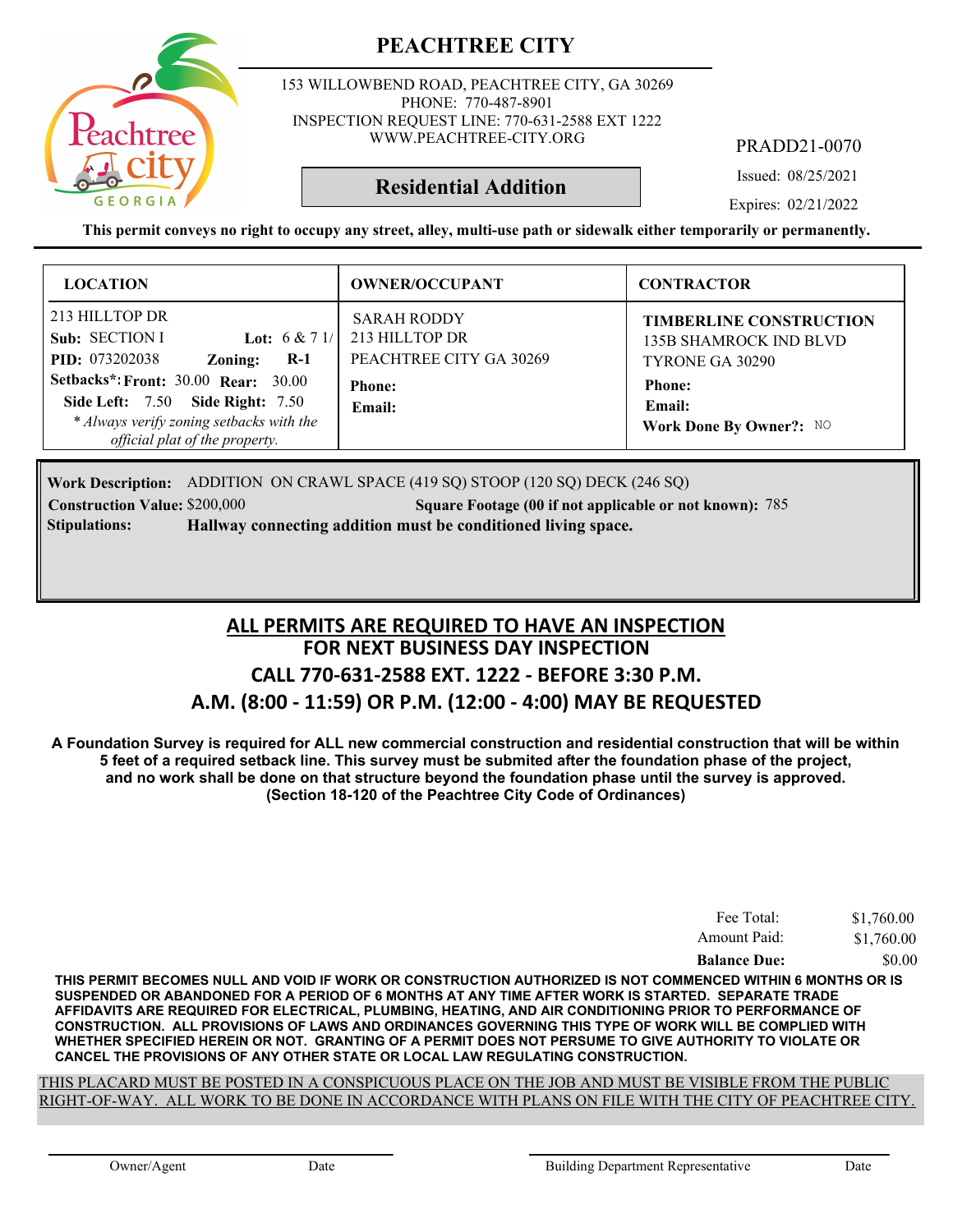

153 WILLOWBEND ROAD, PEACHTREE CITY, GA 30269 PHONE: 770-487-8901 INSPECTION REQUEST LINE: 770-631-2588 EXT 1222 WWW.PEACHTREE-CITY.ORG

PRADD21-0070

Issued: 08/25/2021

Expires: 02/21/2022

**This permit conveys no right to occupy any street, alley, multi-use path or sidewalk either temporarily or permanently.**

**Residential Addition**

| <b>LOCATION</b>                                                                                                                                                     | <b>OWNER/OCCUPANT</b>                                           | <b>CONTRACTOR</b>                                                                  |
|---------------------------------------------------------------------------------------------------------------------------------------------------------------------|-----------------------------------------------------------------|------------------------------------------------------------------------------------|
| 213 HILLTOP DR<br>Sub: SECTION I<br><b>Lot:</b> $6 & 71/$<br>PID: 073202038<br>$R-1$<br>Zoning:                                                                     | <b>SARAH RODDY</b><br>213 HILLTOP DR<br>PEACHTREE CITY GA 30269 | <b>TIMBERLINE CONSTRUCTION</b><br><b>135B SHAMROCK IND BLVD</b><br>TYRONE GA 30290 |
| <b>Setbacks*: Front: 30.00 Rear: 30.00</b><br><b>Side Left: 7.50 Side Right: 7.50</b><br>* Always verify zoning setbacks with the<br>official plat of the property. | <b>Phone:</b><br>Email:                                         | <b>Phone:</b><br>Email:<br>Work Done By Owner?: NO                                 |

**Work Description:** ADDITION ON CRAWL SPACE (419 SQ) STOOP (120 SQ) DECK (246 SQ)

**Construction Value:** \$200,000 785 **Square Footage (00 if not applicable or not known): 785 Stipulations: Hallway connecting addition must be conditioned living space.**

### **FOR NEXT BUSINESS DAY INSPECTION CALL 770-631-2588 EXT. 1222 - BEFORE 3:30 P.M. A.M. (8:00 - 11:59) OR P.M. (12:00 - 4:00) MAY BE REQUESTED ALL PERMITS ARE REQUIRED TO HAVE AN INSPECTION**

**A Foundation Survey is required for ALL new commercial construction and residential construction that will be within 5 feet of a required setback line. This survey must be submited after the foundation phase of the project, and no work shall be done on that structure beyond the foundation phase until the survey is approved. (Section 18-120 of the Peachtree City Code of Ordinances)**

| Fee Total:          | \$1,760.00 |
|---------------------|------------|
| Amount Paid:        | \$1,760.00 |
| <b>Balance Due:</b> | \$0.00     |

**THIS PERMIT BECOMES NULL AND VOID IF WORK OR CONSTRUCTION AUTHORIZED IS NOT COMMENCED WITHIN 6 MONTHS OR IS SUSPENDED OR ABANDONED FOR A PERIOD OF 6 MONTHS AT ANY TIME AFTER WORK IS STARTED. SEPARATE TRADE AFFIDAVITS ARE REQUIRED FOR ELECTRICAL, PLUMBING, HEATING, AND AIR CONDITIONING PRIOR TO PERFORMANCE OF CONSTRUCTION. ALL PROVISIONS OF LAWS AND ORDINANCES GOVERNING THIS TYPE OF WORK WILL BE COMPLIED WITH WHETHER SPECIFIED HEREIN OR NOT. GRANTING OF A PERMIT DOES NOT PERSUME TO GIVE AUTHORITY TO VIOLATE OR CANCEL THE PROVISIONS OF ANY OTHER STATE OR LOCAL LAW REGULATING CONSTRUCTION.**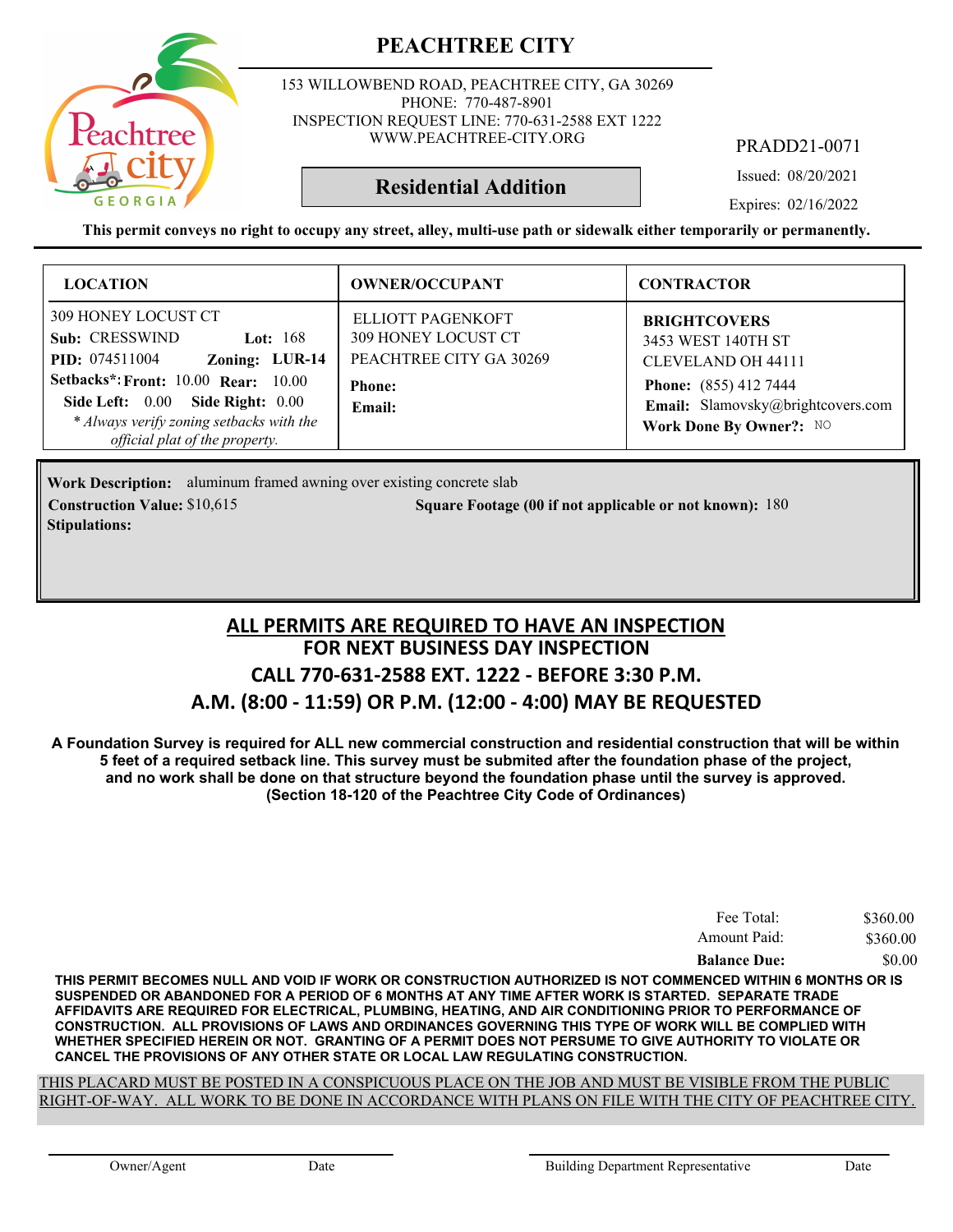

153 WILLOWBEND ROAD, PEACHTREE CITY, GA 30269 PHONE: 770-487-8901 INSPECTION REQUEST LINE: 770-631-2588 EXT 1222 WWW.PEACHTREE-CITY.ORG

PRADD21-0071

Issued: 08/20/2021

Expires: 02/16/2022

**This permit conveys no right to occupy any street, alley, multi-use path or sidewalk either temporarily or permanently.**

**Residential Addition**

| <b>LOCATION</b>                                                                                                                                                                                                                                                | <b>OWNER/OCCUPANT</b>                                                                          | <b>CONTRACTOR</b>                                                                                                                                                      |
|----------------------------------------------------------------------------------------------------------------------------------------------------------------------------------------------------------------------------------------------------------------|------------------------------------------------------------------------------------------------|------------------------------------------------------------------------------------------------------------------------------------------------------------------------|
| 309 HONEY LOCUST CT<br>Sub: CRESSWIND<br>Lot: $168$<br>Zoning: LUR-14<br><b>PID:</b> 074511004<br><b>Setbacks*: Front: 10.00 Rear: 10.00</b><br>Side Left: 0.00 Side Right: 0.00<br>* Always verify zoning setbacks with the<br>official plat of the property. | ELLIOTT PAGENKOFT<br>309 HONEY LOCUST CT<br>PEACHTREE CITY GA 30269<br><b>Phone:</b><br>Email: | <b>BRIGHTCOVERS</b><br>3453 WEST 140TH ST<br><b>CLEVELAND OH 44111</b><br><b>Phone:</b> (855) 412 7444<br>Email: Slamovsky@brightcovers.com<br>Work Done By Owner?: NO |

Work Description: aluminum framed awning over existing concrete slab **Construction Value:** \$10,615 180 **Square Footage (00 if not applicable or not known): 180 Stipulations:**

### **FOR NEXT BUSINESS DAY INSPECTION CALL 770-631-2588 EXT. 1222 - BEFORE 3:30 P.M. A.M. (8:00 - 11:59) OR P.M. (12:00 - 4:00) MAY BE REQUESTED ALL PERMITS ARE REQUIRED TO HAVE AN INSPECTION**

**A Foundation Survey is required for ALL new commercial construction and residential construction that will be within 5 feet of a required setback line. This survey must be submited after the foundation phase of the project, and no work shall be done on that structure beyond the foundation phase until the survey is approved. (Section 18-120 of the Peachtree City Code of Ordinances)**

| Fee Total:          | \$360.00 |
|---------------------|----------|
| Amount Paid:        | \$360.00 |
| <b>Balance Due:</b> | \$0.00   |

**THIS PERMIT BECOMES NULL AND VOID IF WORK OR CONSTRUCTION AUTHORIZED IS NOT COMMENCED WITHIN 6 MONTHS OR IS SUSPENDED OR ABANDONED FOR A PERIOD OF 6 MONTHS AT ANY TIME AFTER WORK IS STARTED. SEPARATE TRADE AFFIDAVITS ARE REQUIRED FOR ELECTRICAL, PLUMBING, HEATING, AND AIR CONDITIONING PRIOR TO PERFORMANCE OF CONSTRUCTION. ALL PROVISIONS OF LAWS AND ORDINANCES GOVERNING THIS TYPE OF WORK WILL BE COMPLIED WITH WHETHER SPECIFIED HEREIN OR NOT. GRANTING OF A PERMIT DOES NOT PERSUME TO GIVE AUTHORITY TO VIOLATE OR CANCEL THE PROVISIONS OF ANY OTHER STATE OR LOCAL LAW REGULATING CONSTRUCTION.**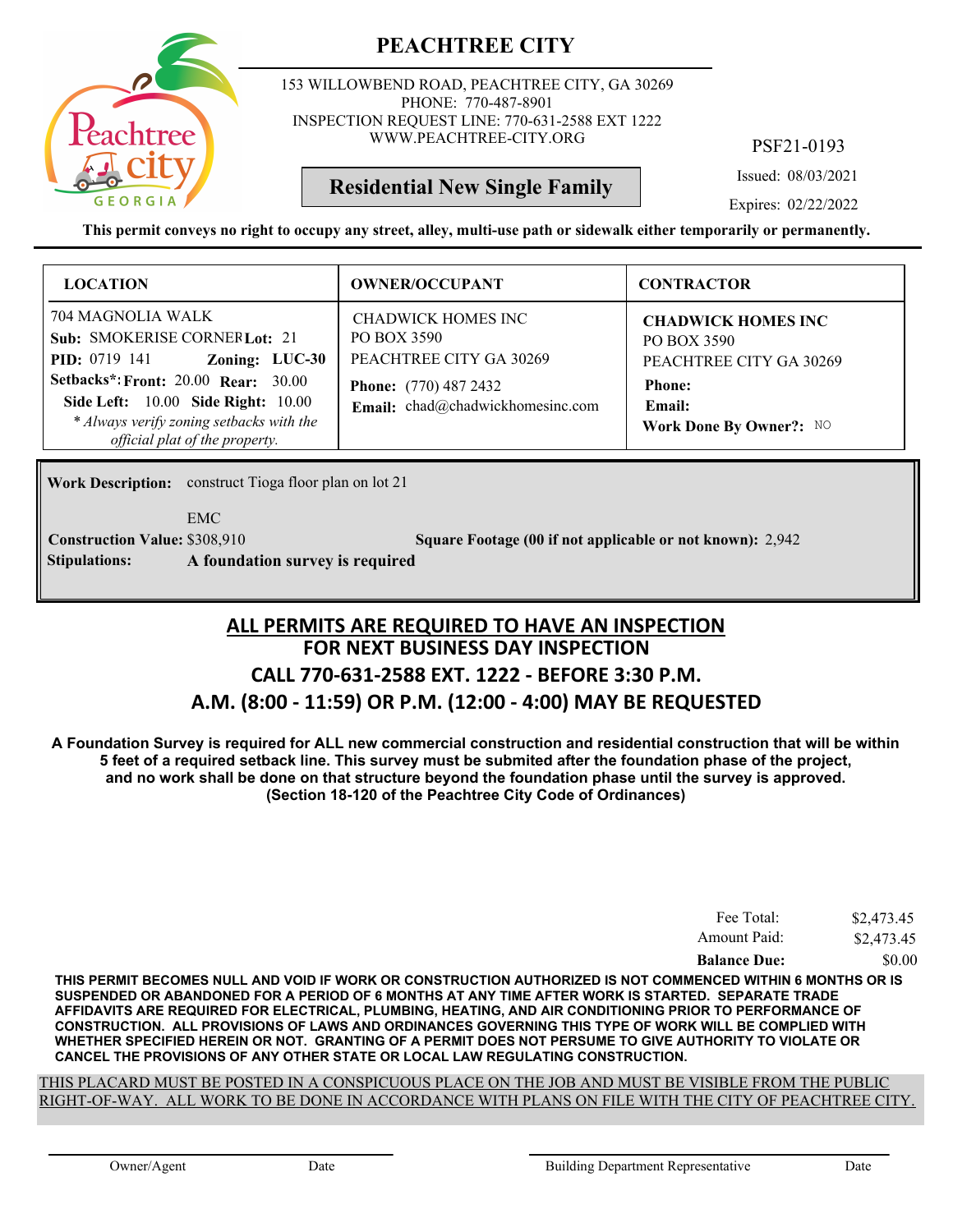

153 WILLOWBEND ROAD, PEACHTREE CITY, GA 30269 PHONE: 770-487-8901 INSPECTION REQUEST LINE: 770-631-2588 EXT 1222 WWW.PEACHTREE-CITY.ORG

PSF21-0193

Issued: 08/03/2021

Expires: 02/22/2022

**This permit conveys no right to occupy any street, alley, multi-use path or sidewalk either temporarily or permanently.**

**Residential New Single Family**

| <b>LOCATION</b>                                                                                                                                                                                                                                                              | <b>OWNER/OCCUPANT</b>                                                                                                            | <b>CONTRACTOR</b>                                                                                                         |
|------------------------------------------------------------------------------------------------------------------------------------------------------------------------------------------------------------------------------------------------------------------------------|----------------------------------------------------------------------------------------------------------------------------------|---------------------------------------------------------------------------------------------------------------------------|
| 704 MAGNOLIA WALK<br>Sub: SMOKERISE CORNERLot: 21<br>Zoning: LUC-30<br><b>PID</b> : 0719 141<br><b>Setbacks*: Front: 20.00 Rear: 30.00</b><br><b>Side Left:</b> 10.00 <b>Side Right:</b> 10.00<br>* Always verify zoning setbacks with the<br>official plat of the property. | CHADWICK HOMES INC<br>PO BOX 3590<br>PEACHTREE CITY GA 30269<br><b>Phone:</b> (770) 487 2432<br>Email: chad@chadwickhomesinc.com | <b>CHADWICK HOMES INC</b><br>PO BOX 3590<br>PEACHTREE CITY GA 30269<br><b>Phone:</b><br>Email:<br>Work Done By Owner?: NO |

**Work Description:** construct Tioga floor plan on lot 21

EMC

**Stipulations: A foundation survey is required**

**Construction Value:** \$308,910 2,942 **Square Footage (00 if not applicable or not known):** 2,942

### **FOR NEXT BUSINESS DAY INSPECTION CALL 770-631-2588 EXT. 1222 - BEFORE 3:30 P.M. A.M. (8:00 - 11:59) OR P.M. (12:00 - 4:00) MAY BE REQUESTED ALL PERMITS ARE REQUIRED TO HAVE AN INSPECTION**

**A Foundation Survey is required for ALL new commercial construction and residential construction that will be within 5 feet of a required setback line. This survey must be submited after the foundation phase of the project, and no work shall be done on that structure beyond the foundation phase until the survey is approved. (Section 18-120 of the Peachtree City Code of Ordinances)**

| Fee Total:          | \$2,473.45 |
|---------------------|------------|
| Amount Paid:        | \$2,473.45 |
| <b>Balance Due:</b> | \$0.00     |

**THIS PERMIT BECOMES NULL AND VOID IF WORK OR CONSTRUCTION AUTHORIZED IS NOT COMMENCED WITHIN 6 MONTHS OR IS SUSPENDED OR ABANDONED FOR A PERIOD OF 6 MONTHS AT ANY TIME AFTER WORK IS STARTED. SEPARATE TRADE AFFIDAVITS ARE REQUIRED FOR ELECTRICAL, PLUMBING, HEATING, AND AIR CONDITIONING PRIOR TO PERFORMANCE OF CONSTRUCTION. ALL PROVISIONS OF LAWS AND ORDINANCES GOVERNING THIS TYPE OF WORK WILL BE COMPLIED WITH WHETHER SPECIFIED HEREIN OR NOT. GRANTING OF A PERMIT DOES NOT PERSUME TO GIVE AUTHORITY TO VIOLATE OR CANCEL THE PROVISIONS OF ANY OTHER STATE OR LOCAL LAW REGULATING CONSTRUCTION.**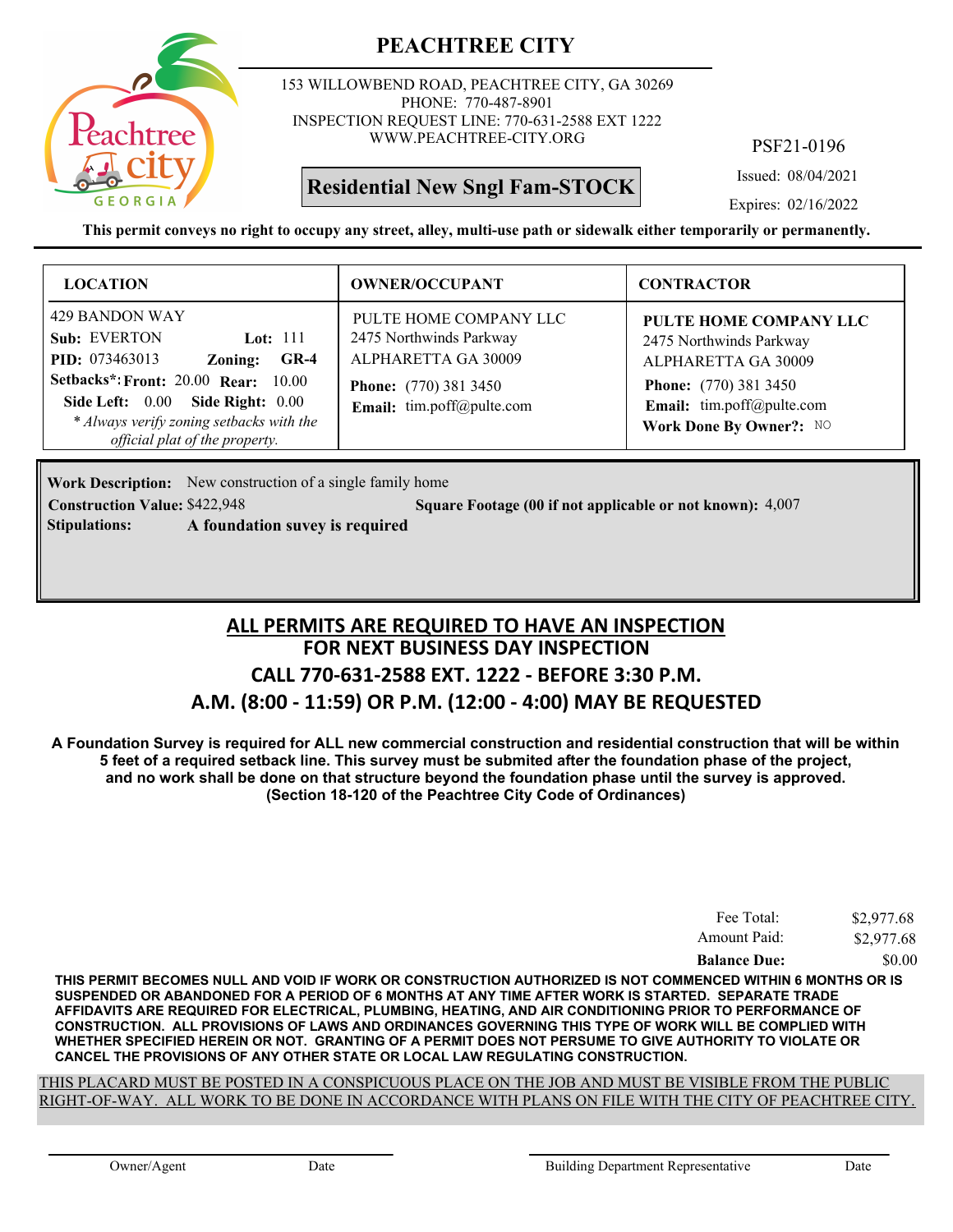

153 WILLOWBEND ROAD, PEACHTREE CITY, GA 30269 PHONE: 770-487-8901 INSPECTION REQUEST LINE: 770-631-2588 EXT 1222 WWW.PEACHTREE-CITY.ORG

## **Residential New Sngl Fam-STOCK**

PSF21-0196

Issued: 08/04/2021

Expires: 02/16/2022

**This permit conveys no right to occupy any street, alley, multi-use path or sidewalk either temporarily or permanently.**

| <b>LOCATION</b>                                                                                                                                                                                                                                            | <b>OWNER/OCCUPANT</b>                                                                                                                 | <b>CONTRACTOR</b>                                                                                                                                                |
|------------------------------------------------------------------------------------------------------------------------------------------------------------------------------------------------------------------------------------------------------------|---------------------------------------------------------------------------------------------------------------------------------------|------------------------------------------------------------------------------------------------------------------------------------------------------------------|
| 429 BANDON WAY<br>Sub: EVERTON<br>Lot: $111$<br><b>PID:</b> 073463013<br>$GR-4$<br>Zoning:<br><b>Setbacks*: Front: 20.00 Rear: 10.00</b><br>Side Left: 0.00 Side Right: 0.00<br>* Always verify zoning setbacks with the<br>official plat of the property. | PULTE HOME COMPANY LLC<br>2475 Northwinds Parkway<br>ALPHARETTA GA 30009<br><b>Phone:</b> (770) 381 3450<br>Email: tim.poff@pulte.com | PULTE HOME COMPANY LLC<br>2475 Northwinds Parkway<br>ALPHARETTA GA 30009<br><b>Phone:</b> (770) 381 3450<br>Email: tim.poff@pulte.com<br>Work Done By Owner?: NO |

**Work Description:** New construction of a single family home **Construction Value:** \$422,948 **50.1 Square Footage (00 if not applicable or not known): 4,007** 

**Stipulations: A foundation suvey is required**

**FOR NEXT BUSINESS DAY INSPECTION CALL 770-631-2588 EXT. 1222 - BEFORE 3:30 P.M. A.M. (8:00 - 11:59) OR P.M. (12:00 - 4:00) MAY BE REQUESTED ALL PERMITS ARE REQUIRED TO HAVE AN INSPECTION**

**A Foundation Survey is required for ALL new commercial construction and residential construction that will be within 5 feet of a required setback line. This survey must be submited after the foundation phase of the project, and no work shall be done on that structure beyond the foundation phase until the survey is approved. (Section 18-120 of the Peachtree City Code of Ordinances)**

| Fee Total:          | \$2,977.68 |
|---------------------|------------|
| Amount Paid:        | \$2,977.68 |
| <b>Balance Due:</b> | \$0.00     |

**THIS PERMIT BECOMES NULL AND VOID IF WORK OR CONSTRUCTION AUTHORIZED IS NOT COMMENCED WITHIN 6 MONTHS OR IS SUSPENDED OR ABANDONED FOR A PERIOD OF 6 MONTHS AT ANY TIME AFTER WORK IS STARTED. SEPARATE TRADE AFFIDAVITS ARE REQUIRED FOR ELECTRICAL, PLUMBING, HEATING, AND AIR CONDITIONING PRIOR TO PERFORMANCE OF CONSTRUCTION. ALL PROVISIONS OF LAWS AND ORDINANCES GOVERNING THIS TYPE OF WORK WILL BE COMPLIED WITH WHETHER SPECIFIED HEREIN OR NOT. GRANTING OF A PERMIT DOES NOT PERSUME TO GIVE AUTHORITY TO VIOLATE OR CANCEL THE PROVISIONS OF ANY OTHER STATE OR LOCAL LAW REGULATING CONSTRUCTION.**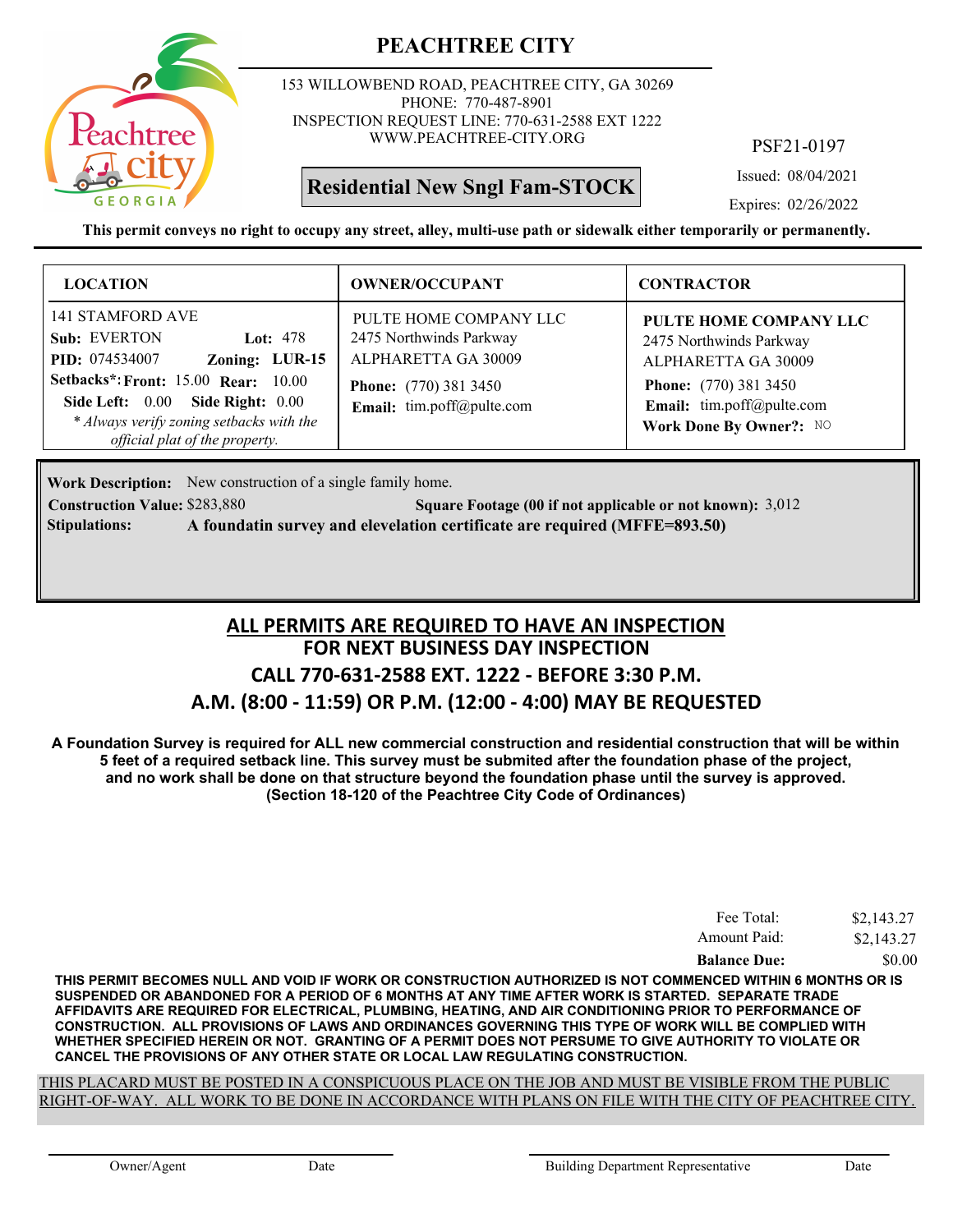

153 WILLOWBEND ROAD, PEACHTREE CITY, GA 30269 PHONE: 770-487-8901 INSPECTION REQUEST LINE: 770-631-2588 EXT 1222 WWW.PEACHTREE-CITY.ORG

## **Residential New Sngl Fam-STOCK**

PSF21-0197

Issued: 08/04/2021

Expires: 02/26/2022

**This permit conveys no right to occupy any street, alley, multi-use path or sidewalk either temporarily or permanently.**

| <b>LOCATION</b>                                                                                                                                                                                                                                           | <b>OWNER/OCCUPANT</b>                                                                                                                 | <b>CONTRACTOR</b>                                                                                                                                                |
|-----------------------------------------------------------------------------------------------------------------------------------------------------------------------------------------------------------------------------------------------------------|---------------------------------------------------------------------------------------------------------------------------------------|------------------------------------------------------------------------------------------------------------------------------------------------------------------|
| 141 STAMFORD AVE<br>Sub: EVERTON<br>Lot: $478$<br>Zoning: LUR-15<br><b>PID:</b> 074534007<br><b>Setbacks*: Front: 15.00 Rear: 10.00</b><br>Side Left: 0.00 Side Right: 0.00<br>* Always verify zoning setbacks with the<br>official plat of the property. | PULTE HOME COMPANY LLC<br>2475 Northwinds Parkway<br>ALPHARETTA GA 30009<br><b>Phone:</b> (770) 381 3450<br>Email: tim.poff@pulte.com | PULTE HOME COMPANY LLC<br>2475 Northwinds Parkway<br>ALPHARETTA GA 30009<br><b>Phone:</b> (770) 381 3450<br>Email: tim.poff@pulte.com<br>Work Done By Owner?: NO |

Work Description: New construction of a single family home.

**Construction Value:** \$283,880 **3,012 Square Footage (00 if not applicable or not known):** 3,012 **Stipulations: A foundatin survey and elevelation certificate are required (MFFE=893.50)**

### **FOR NEXT BUSINESS DAY INSPECTION CALL 770-631-2588 EXT. 1222 - BEFORE 3:30 P.M. A.M. (8:00 - 11:59) OR P.M. (12:00 - 4:00) MAY BE REQUESTED ALL PERMITS ARE REQUIRED TO HAVE AN INSPECTION**

**A Foundation Survey is required for ALL new commercial construction and residential construction that will be within 5 feet of a required setback line. This survey must be submited after the foundation phase of the project, and no work shall be done on that structure beyond the foundation phase until the survey is approved. (Section 18-120 of the Peachtree City Code of Ordinances)**

| Fee Total:          | \$2,143.27 |
|---------------------|------------|
| Amount Paid:        | \$2,143.27 |
| <b>Balance Due:</b> | \$0.00     |

**THIS PERMIT BECOMES NULL AND VOID IF WORK OR CONSTRUCTION AUTHORIZED IS NOT COMMENCED WITHIN 6 MONTHS OR IS SUSPENDED OR ABANDONED FOR A PERIOD OF 6 MONTHS AT ANY TIME AFTER WORK IS STARTED. SEPARATE TRADE AFFIDAVITS ARE REQUIRED FOR ELECTRICAL, PLUMBING, HEATING, AND AIR CONDITIONING PRIOR TO PERFORMANCE OF CONSTRUCTION. ALL PROVISIONS OF LAWS AND ORDINANCES GOVERNING THIS TYPE OF WORK WILL BE COMPLIED WITH WHETHER SPECIFIED HEREIN OR NOT. GRANTING OF A PERMIT DOES NOT PERSUME TO GIVE AUTHORITY TO VIOLATE OR CANCEL THE PROVISIONS OF ANY OTHER STATE OR LOCAL LAW REGULATING CONSTRUCTION.**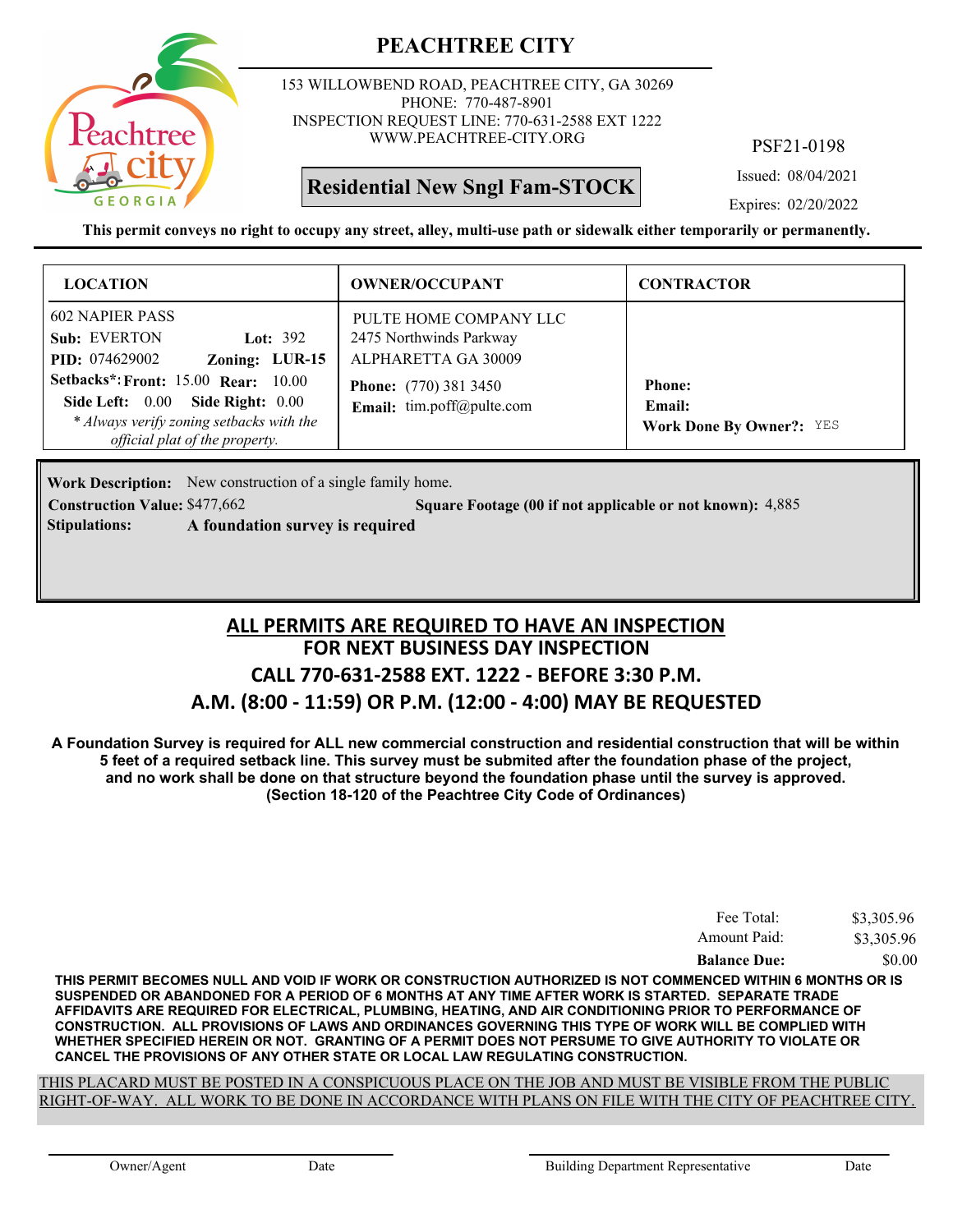

153 WILLOWBEND ROAD, PEACHTREE CITY, GA 30269 PHONE: 770-487-8901 INSPECTION REQUEST LINE: 770-631-2588 EXT 1222 WWW.PEACHTREE-CITY.ORG

### **Residential New Sngl Fam-STOCK**

PSF21-0198

Issued: 08/04/2021

Expires: 02/20/2022

**This permit conveys no right to occupy any street, alley, multi-use path or sidewalk either temporarily or permanently.**

| <b>LOCATION</b>                                                                                                                                                                                                                                                           | <b>OWNER/OCCUPANT</b>                                                                                                                 | <b>CONTRACTOR</b>                                          |
|---------------------------------------------------------------------------------------------------------------------------------------------------------------------------------------------------------------------------------------------------------------------------|---------------------------------------------------------------------------------------------------------------------------------------|------------------------------------------------------------|
| <b>602 NAPIER PASS</b><br>Sub: EVERTON<br>Lot: $392$<br>Zoning: LUR-15<br><b>PID:</b> 074629002<br><b>Setbacks*: Front: 15.00 Rear: 10.00</b><br>Side Left: 0.00<br><b>Side Right: 0.00</b><br>* Always verify zoning setbacks with the<br>official plat of the property. | PULTE HOME COMPANY LLC<br>2475 Northwinds Parkway<br>ALPHARETTA GA 30009<br><b>Phone:</b> (770) 381 3450<br>Email: tim.poff@pulte.com | <b>Phone:</b><br>Email:<br><b>Work Done By Owner?: YES</b> |

Work Description: New construction of a single family home.

**Stipulations: A foundation survey is required**

**Construction Value: \$477,662** 5 **Square Footage (00 if not applicable or not known):** 4,885

**FOR NEXT BUSINESS DAY INSPECTION CALL 770-631-2588 EXT. 1222 - BEFORE 3:30 P.M. A.M. (8:00 - 11:59) OR P.M. (12:00 - 4:00) MAY BE REQUESTED ALL PERMITS ARE REQUIRED TO HAVE AN INSPECTION**

**A Foundation Survey is required for ALL new commercial construction and residential construction that will be within 5 feet of a required setback line. This survey must be submited after the foundation phase of the project, and no work shall be done on that structure beyond the foundation phase until the survey is approved. (Section 18-120 of the Peachtree City Code of Ordinances)**

| Amount Paid:        | \$3,305.96 |
|---------------------|------------|
| <b>Balance Due:</b> | \$0.00     |

**THIS PERMIT BECOMES NULL AND VOID IF WORK OR CONSTRUCTION AUTHORIZED IS NOT COMMENCED WITHIN 6 MONTHS OR IS SUSPENDED OR ABANDONED FOR A PERIOD OF 6 MONTHS AT ANY TIME AFTER WORK IS STARTED. SEPARATE TRADE AFFIDAVITS ARE REQUIRED FOR ELECTRICAL, PLUMBING, HEATING, AND AIR CONDITIONING PRIOR TO PERFORMANCE OF CONSTRUCTION. ALL PROVISIONS OF LAWS AND ORDINANCES GOVERNING THIS TYPE OF WORK WILL BE COMPLIED WITH WHETHER SPECIFIED HEREIN OR NOT. GRANTING OF A PERMIT DOES NOT PERSUME TO GIVE AUTHORITY TO VIOLATE OR CANCEL THE PROVISIONS OF ANY OTHER STATE OR LOCAL LAW REGULATING CONSTRUCTION.**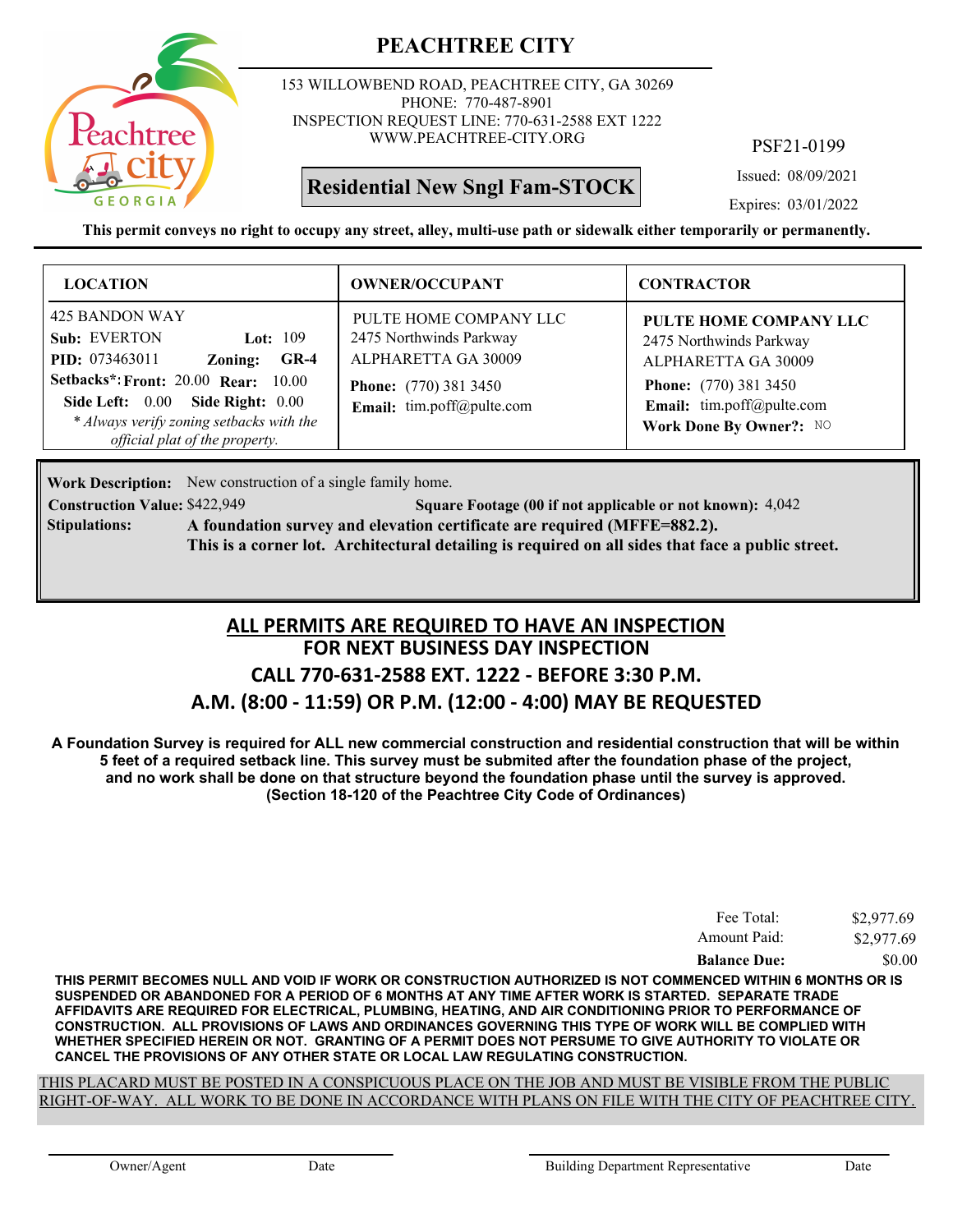

153 WILLOWBEND ROAD, PEACHTREE CITY, GA 30269 PHONE: 770-487-8901 INSPECTION REQUEST LINE: 770-631-2588 EXT 1222 WWW.PEACHTREE-CITY.ORG

## **Residential New Sngl Fam-STOCK**

PSF21-0199

Issued: 08/09/2021

Expires: 03/01/2022

**This permit conveys no right to occupy any street, alley, multi-use path or sidewalk either temporarily or permanently.**

| <b>LOCATION</b>                                                                                                                                                                                                                                                 | <b>OWNER/OCCUPANT</b>                                                                                                                 | <b>CONTRACTOR</b>                                                                                                                                                |
|-----------------------------------------------------------------------------------------------------------------------------------------------------------------------------------------------------------------------------------------------------------------|---------------------------------------------------------------------------------------------------------------------------------------|------------------------------------------------------------------------------------------------------------------------------------------------------------------|
| 425 BANDON WAY<br>Sub: EVERTON<br>Lot: $109$<br><b>PID:</b> 073463011<br>$GR-4$<br>Zoning:<br><b>Setbacks*: Front: 20.00 Rear: 10.00</b><br>Side Left: 0.00<br>Side Right: $0.00$<br>* Always verify zoning setbacks with the<br>official plat of the property. | PULTE HOME COMPANY LLC<br>2475 Northwinds Parkway<br>ALPHARETTA GA 30009<br><b>Phone:</b> (770) 381 3450<br>Email: tim.poff@pulte.com | PULTE HOME COMPANY LLC<br>2475 Northwinds Parkway<br>ALPHARETTA GA 30009<br><b>Phone:</b> (770) 381 3450<br>Email: tim.poff@pulte.com<br>Work Done By Owner?: NO |

Work Description: New construction of a single family home.

**Stipulations:**

**Construction Value:** \$422,949 **50.1 Square Footage (00 if not applicable or not known): 4,042 A foundation survey and elevation certificate are required (MFFE=882.2). This is a corner lot. Architectural detailing is required on all sides that face a public street.**

### **FOR NEXT BUSINESS DAY INSPECTION CALL 770-631-2588 EXT. 1222 - BEFORE 3:30 P.M. A.M. (8:00 - 11:59) OR P.M. (12:00 - 4:00) MAY BE REQUESTED ALL PERMITS ARE REQUIRED TO HAVE AN INSPECTION**

**A Foundation Survey is required for ALL new commercial construction and residential construction that will be within 5 feet of a required setback line. This survey must be submited after the foundation phase of the project, and no work shall be done on that structure beyond the foundation phase until the survey is approved. (Section 18-120 of the Peachtree City Code of Ordinances)**

| Fee Total:          | \$2,977.69 |
|---------------------|------------|
| Amount Paid:        | \$2,977.69 |
| <b>Balance Due:</b> | \$0.00     |

**THIS PERMIT BECOMES NULL AND VOID IF WORK OR CONSTRUCTION AUTHORIZED IS NOT COMMENCED WITHIN 6 MONTHS OR IS SUSPENDED OR ABANDONED FOR A PERIOD OF 6 MONTHS AT ANY TIME AFTER WORK IS STARTED. SEPARATE TRADE AFFIDAVITS ARE REQUIRED FOR ELECTRICAL, PLUMBING, HEATING, AND AIR CONDITIONING PRIOR TO PERFORMANCE OF CONSTRUCTION. ALL PROVISIONS OF LAWS AND ORDINANCES GOVERNING THIS TYPE OF WORK WILL BE COMPLIED WITH WHETHER SPECIFIED HEREIN OR NOT. GRANTING OF A PERMIT DOES NOT PERSUME TO GIVE AUTHORITY TO VIOLATE OR CANCEL THE PROVISIONS OF ANY OTHER STATE OR LOCAL LAW REGULATING CONSTRUCTION.**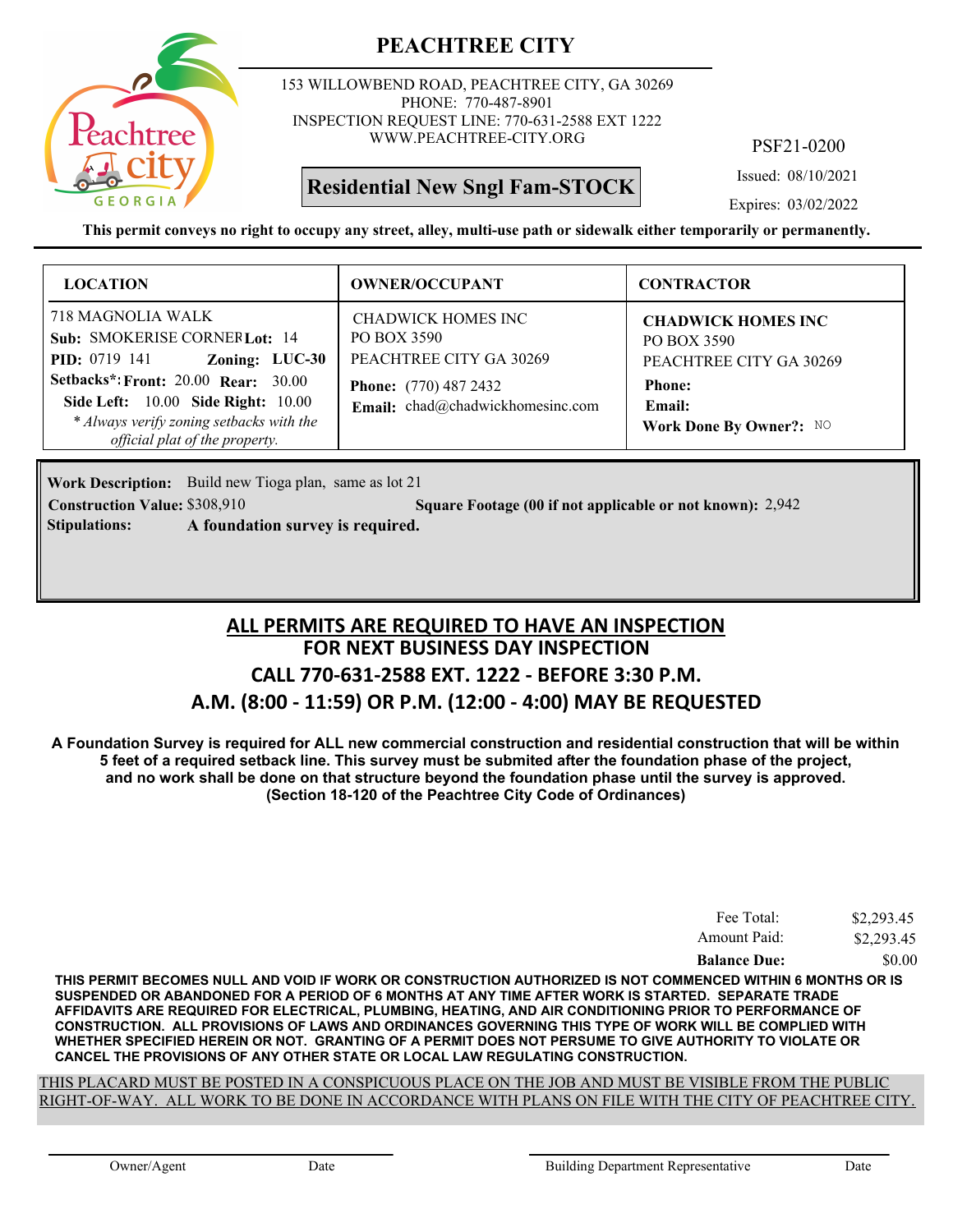

153 WILLOWBEND ROAD, PEACHTREE CITY, GA 30269 PHONE: 770-487-8901 INSPECTION REQUEST LINE: 770-631-2588 EXT 1222 WWW.PEACHTREE-CITY.ORG

**Residential New Sngl Fam-STOCK**

PSF21-0200

Issued: 08/10/2021

Expires: 03/02/2022

**This permit conveys no right to occupy any street, alley, multi-use path or sidewalk either temporarily or permanently.**

| <b>LOCATION</b>                                                                                                                                                                                                                                                             | <b>OWNER/OCCUPANT</b>                                                                                                            | <b>CONTRACTOR</b>                                                                                                         |
|-----------------------------------------------------------------------------------------------------------------------------------------------------------------------------------------------------------------------------------------------------------------------------|----------------------------------------------------------------------------------------------------------------------------------|---------------------------------------------------------------------------------------------------------------------------|
| 718 MAGNOLIA WALK<br>Sub: SMOKERISE CORNERLot: 14<br>Zoning: LUC-30<br><b>PID:</b> 0719 141<br><b>Setbacks*: Front: 20.00 Rear: 30.00</b><br><b>Side Left:</b> 10.00 <b>Side Right:</b> 10.00<br>* Always verify zoning setbacks with the<br>official plat of the property. | CHADWICK HOMES INC<br>PO BOX 3590<br>PEACHTREE CITY GA 30269<br><b>Phone:</b> (770) 487 2432<br>Email: chad@chadwickhomesinc.com | <b>CHADWICK HOMES INC</b><br>PO BOX 3590<br>PEACHTREE CITY GA 30269<br><b>Phone:</b><br>Email:<br>Work Done By Owner?: NO |

Work Description: Build new Tioga plan, same as lot 21

**Construction Value:** \$308,910 2,942 **Square Footage (00 if not applicable or not known):** 2,942

**Stipulations: A foundation survey is required.**

### **FOR NEXT BUSINESS DAY INSPECTION CALL 770-631-2588 EXT. 1222 - BEFORE 3:30 P.M. A.M. (8:00 - 11:59) OR P.M. (12:00 - 4:00) MAY BE REQUESTED ALL PERMITS ARE REQUIRED TO HAVE AN INSPECTION**

**A Foundation Survey is required for ALL new commercial construction and residential construction that will be within 5 feet of a required setback line. This survey must be submited after the foundation phase of the project, and no work shall be done on that structure beyond the foundation phase until the survey is approved. (Section 18-120 of the Peachtree City Code of Ordinances)**

| Amount Paid:        | \$2,293.45<br>\$2,293.45 |
|---------------------|--------------------------|
| <b>Balance Due:</b> | \$0.00                   |

**THIS PERMIT BECOMES NULL AND VOID IF WORK OR CONSTRUCTION AUTHORIZED IS NOT COMMENCED WITHIN 6 MONTHS OR IS SUSPENDED OR ABANDONED FOR A PERIOD OF 6 MONTHS AT ANY TIME AFTER WORK IS STARTED. SEPARATE TRADE AFFIDAVITS ARE REQUIRED FOR ELECTRICAL, PLUMBING, HEATING, AND AIR CONDITIONING PRIOR TO PERFORMANCE OF CONSTRUCTION. ALL PROVISIONS OF LAWS AND ORDINANCES GOVERNING THIS TYPE OF WORK WILL BE COMPLIED WITH WHETHER SPECIFIED HEREIN OR NOT. GRANTING OF A PERMIT DOES NOT PERSUME TO GIVE AUTHORITY TO VIOLATE OR CANCEL THE PROVISIONS OF ANY OTHER STATE OR LOCAL LAW REGULATING CONSTRUCTION.**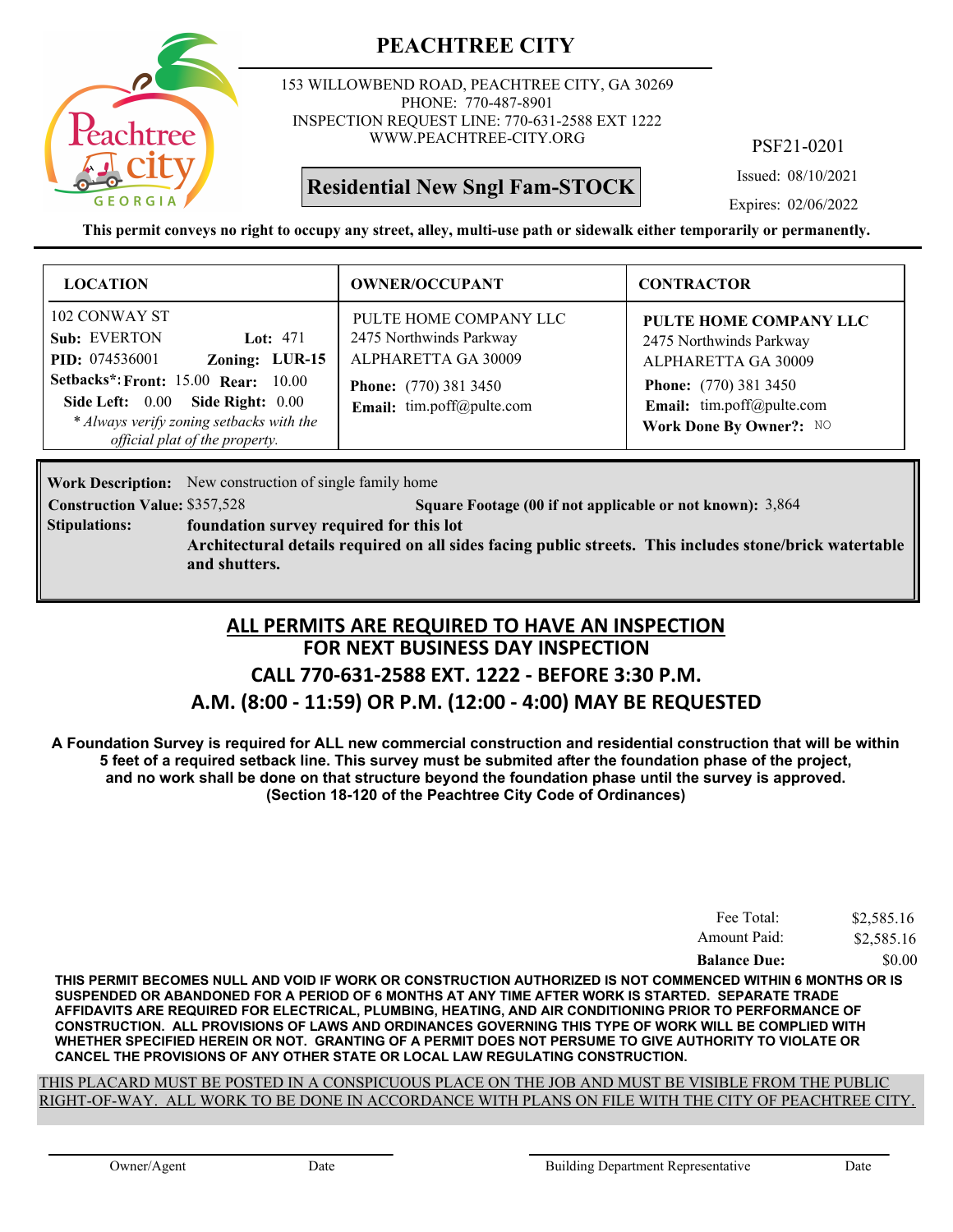

153 WILLOWBEND ROAD, PEACHTREE CITY, GA 30269 PHONE: 770-487-8901 INSPECTION REQUEST LINE: 770-631-2588 EXT 1222 WWW.PEACHTREE-CITY.ORG

## **Residential New Sngl Fam-STOCK**

PSF21-0201

Issued: 08/10/2021

Expires: 02/06/2022

**This permit conveys no right to occupy any street, alley, multi-use path or sidewalk either temporarily or permanently.**

| <b>LOCATION</b>                                                                                                                                                                                                                                        | <b>OWNER/OCCUPANT</b>                                                                                                                 | <b>CONTRACTOR</b>                                                                                                                                                |
|--------------------------------------------------------------------------------------------------------------------------------------------------------------------------------------------------------------------------------------------------------|---------------------------------------------------------------------------------------------------------------------------------------|------------------------------------------------------------------------------------------------------------------------------------------------------------------|
| 102 CONWAY ST<br>Sub: EVERTON<br>Lot: $471$<br>Zoning: LUR-15<br><b>PID:</b> 074536001<br><b>Setbacks*: Front: 15.00 Rear: 10.00</b><br>Side Left: 0.00 Side Right: 0.00<br>* Always verify zoning setbacks with the<br>official plat of the property. | PULTE HOME COMPANY LLC<br>2475 Northwinds Parkway<br>ALPHARETTA GA 30009<br><b>Phone:</b> (770) 381 3450<br>Email: tim.poff@pulte.com | PULTE HOME COMPANY LLC<br>2475 Northwinds Parkway<br>ALPHARETTA GA 30009<br><b>Phone:</b> (770) 381 3450<br>Email: tim.poff@pulte.com<br>Work Done By Owner?: NO |

**Work Description:** New construction of single family home

**Construction Value:** \$357,528 **37.528 Square Footage (00 if not applicable or not known): 3,864** 

**foundation survey required for this lot Stipulations:**

> **Architectural details required on all sides facing public streets. This includes stone/brick watertable and shutters.**

# **FOR NEXT BUSINESS DAY INSPECTION CALL 770-631-2588 EXT. 1222 - BEFORE 3:30 P.M. ALL PERMITS ARE REQUIRED TO HAVE AN INSPECTION**

### **A.M. (8:00 - 11:59) OR P.M. (12:00 - 4:00) MAY BE REQUESTED**

**A Foundation Survey is required for ALL new commercial construction and residential construction that will be within 5 feet of a required setback line. This survey must be submited after the foundation phase of the project, and no work shall be done on that structure beyond the foundation phase until the survey is approved. (Section 18-120 of the Peachtree City Code of Ordinances)**

| Fee Total:          | \$2,585.16 |
|---------------------|------------|
| Amount Paid:        | \$2,585.16 |
| <b>Balance Due:</b> | \$0.00     |

**THIS PERMIT BECOMES NULL AND VOID IF WORK OR CONSTRUCTION AUTHORIZED IS NOT COMMENCED WITHIN 6 MONTHS OR IS SUSPENDED OR ABANDONED FOR A PERIOD OF 6 MONTHS AT ANY TIME AFTER WORK IS STARTED. SEPARATE TRADE AFFIDAVITS ARE REQUIRED FOR ELECTRICAL, PLUMBING, HEATING, AND AIR CONDITIONING PRIOR TO PERFORMANCE OF CONSTRUCTION. ALL PROVISIONS OF LAWS AND ORDINANCES GOVERNING THIS TYPE OF WORK WILL BE COMPLIED WITH WHETHER SPECIFIED HEREIN OR NOT. GRANTING OF A PERMIT DOES NOT PERSUME TO GIVE AUTHORITY TO VIOLATE OR CANCEL THE PROVISIONS OF ANY OTHER STATE OR LOCAL LAW REGULATING CONSTRUCTION.**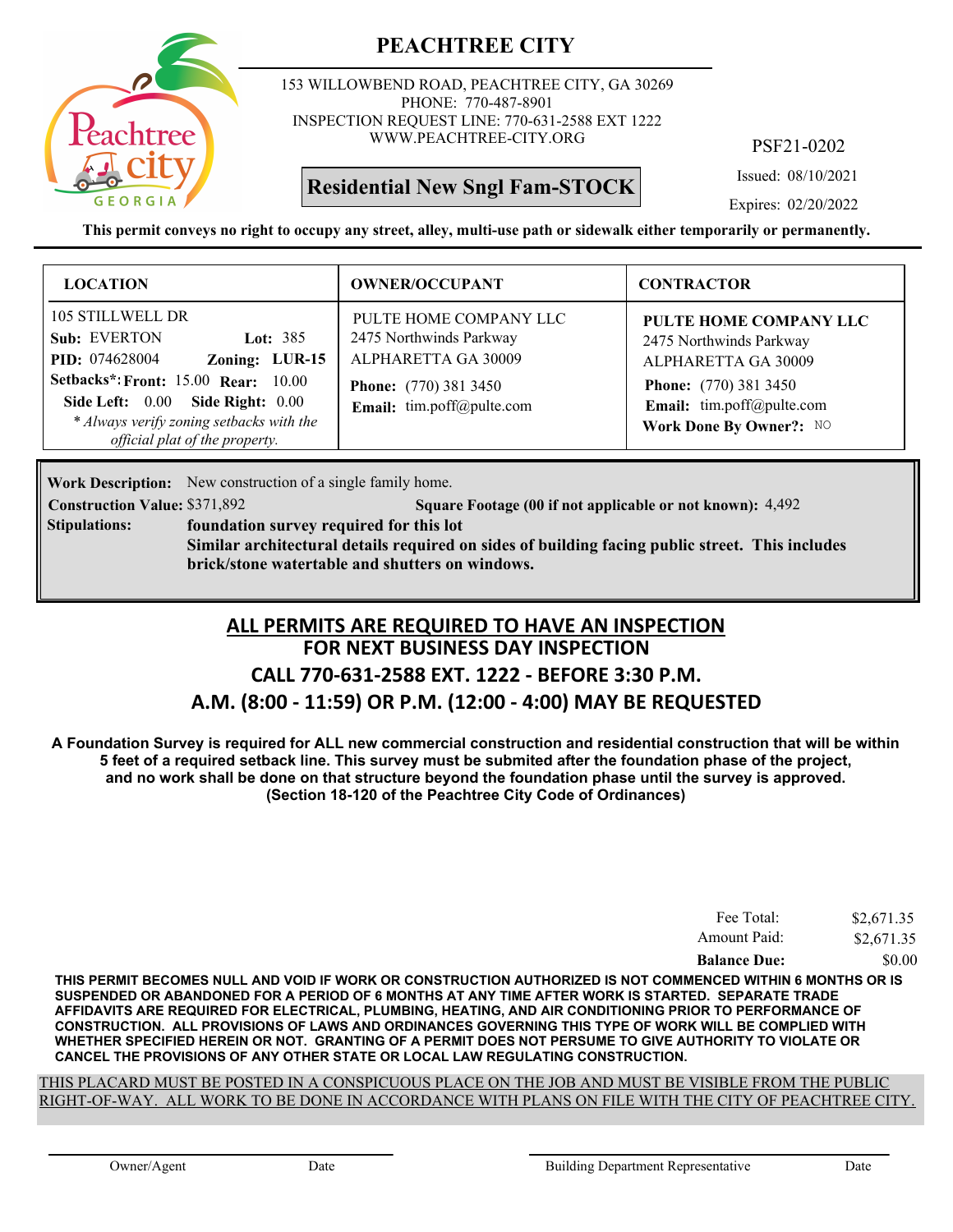

153 WILLOWBEND ROAD, PEACHTREE CITY, GA 30269 PHONE: 770-487-8901 INSPECTION REQUEST LINE: 770-631-2588 EXT 1222 WWW.PEACHTREE-CITY.ORG

## **Residential New Sngl Fam-STOCK**

PSF21-0202

Issued: 08/10/2021

Expires: 02/20/2022

**This permit conveys no right to occupy any street, alley, multi-use path or sidewalk either temporarily or permanently.**

| <b>LOCATION</b>                                                                                                                                                                                                                                           | <b>OWNER/OCCUPANT</b>                                                                                                                 | <b>CONTRACTOR</b>                                                                                                                                                |
|-----------------------------------------------------------------------------------------------------------------------------------------------------------------------------------------------------------------------------------------------------------|---------------------------------------------------------------------------------------------------------------------------------------|------------------------------------------------------------------------------------------------------------------------------------------------------------------|
| 105 STILLWELL DR<br>Sub: EVERTON<br>Lot: $385$<br>Zoning: LUR-15<br><b>PID:</b> 074628004<br><b>Setbacks*: Front: 15.00 Rear: 10.00</b><br>Side Left: 0.00 Side Right: 0.00<br>* Always verify zoning setbacks with the<br>official plat of the property. | PULTE HOME COMPANY LLC<br>2475 Northwinds Parkway<br>ALPHARETTA GA 30009<br><b>Phone:</b> (770) 381 3450<br>Email: tim.poff@pulte.com | PULTE HOME COMPANY LLC<br>2475 Northwinds Parkway<br>ALPHARETTA GA 30009<br><b>Phone:</b> (770) 381 3450<br>Email: tim.poff@pulte.com<br>Work Done By Owner?: NO |

Work Description: New construction of a single family home.

**Construction Value:** \$371,892 5 **Square Footage (00 if not applicable or not known): 4,492** 

**foundation survey required for this lot Similar architectural details required on sides of building facing public street. This includes brick/stone watertable and shutters on windows. Stipulations:**

### **FOR NEXT BUSINESS DAY INSPECTION CALL 770-631-2588 EXT. 1222 - BEFORE 3:30 P.M. A.M. (8:00 - 11:59) OR P.M. (12:00 - 4:00) MAY BE REQUESTED ALL PERMITS ARE REQUIRED TO HAVE AN INSPECTION**

**A Foundation Survey is required for ALL new commercial construction and residential construction that will be within 5 feet of a required setback line. This survey must be submited after the foundation phase of the project, and no work shall be done on that structure beyond the foundation phase until the survey is approved. (Section 18-120 of the Peachtree City Code of Ordinances)**

| Fee Total:          | \$2,671.35 |
|---------------------|------------|
| Amount Paid:        | \$2,671.35 |
| <b>Balance Due:</b> | \$0.00     |

**THIS PERMIT BECOMES NULL AND VOID IF WORK OR CONSTRUCTION AUTHORIZED IS NOT COMMENCED WITHIN 6 MONTHS OR IS SUSPENDED OR ABANDONED FOR A PERIOD OF 6 MONTHS AT ANY TIME AFTER WORK IS STARTED. SEPARATE TRADE AFFIDAVITS ARE REQUIRED FOR ELECTRICAL, PLUMBING, HEATING, AND AIR CONDITIONING PRIOR TO PERFORMANCE OF CONSTRUCTION. ALL PROVISIONS OF LAWS AND ORDINANCES GOVERNING THIS TYPE OF WORK WILL BE COMPLIED WITH WHETHER SPECIFIED HEREIN OR NOT. GRANTING OF A PERMIT DOES NOT PERSUME TO GIVE AUTHORITY TO VIOLATE OR CANCEL THE PROVISIONS OF ANY OTHER STATE OR LOCAL LAW REGULATING CONSTRUCTION.**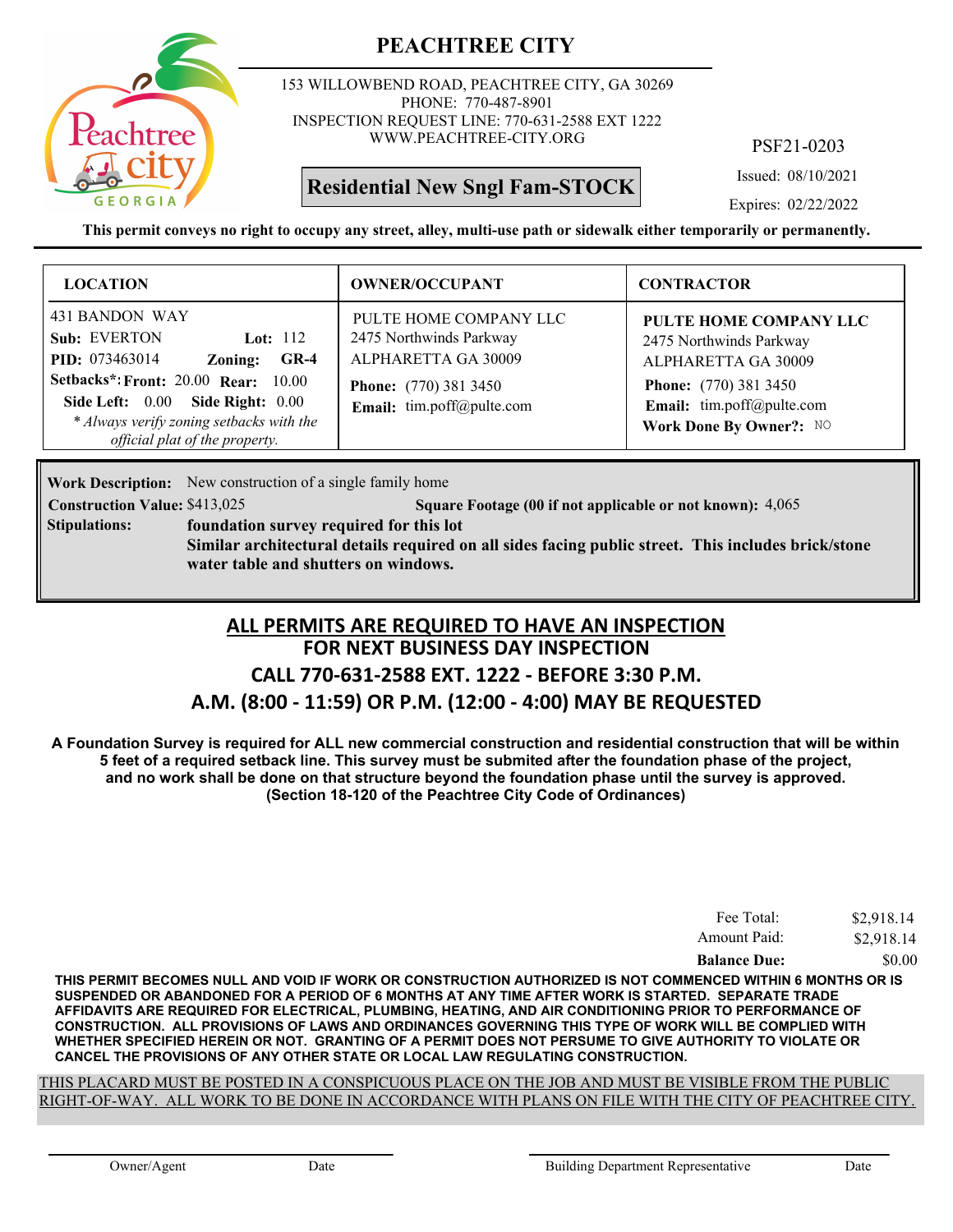

153 WILLOWBEND ROAD, PEACHTREE CITY, GA 30269 PHONE: 770-487-8901 INSPECTION REQUEST LINE: 770-631-2588 EXT 1222 WWW.PEACHTREE-CITY.ORG

## **Residential New Sngl Fam-STOCK**

PSF21-0203

Issued: 08/10/2021

Expires: 02/22/2022

**This permit conveys no right to occupy any street, alley, multi-use path or sidewalk either temporarily or permanently.**

| <b>LOCATION</b>                                                                                                                                                                                                                                            | <b>OWNER/OCCUPANT</b>                                                                                                                 | <b>CONTRACTOR</b>                                                                                                                                                |
|------------------------------------------------------------------------------------------------------------------------------------------------------------------------------------------------------------------------------------------------------------|---------------------------------------------------------------------------------------------------------------------------------------|------------------------------------------------------------------------------------------------------------------------------------------------------------------|
| 431 BANDON WAY<br>Sub: EVERTON<br>Lot: $112$<br><b>PID:</b> 073463014<br>$GR-4$<br>Zoning:<br><b>Setbacks*: Front: 20.00 Rear: 10.00</b><br>Side Left: 0.00 Side Right: 0.00<br>* Always verify zoning setbacks with the<br>official plat of the property. | PULTE HOME COMPANY LLC<br>2475 Northwinds Parkway<br>ALPHARETTA GA 30009<br><b>Phone:</b> (770) 381 3450<br>Email: tim.poff@pulte.com | PULTE HOME COMPANY LLC<br>2475 Northwinds Parkway<br>ALPHARETTA GA 30009<br><b>Phone:</b> (770) 381 3450<br>Email: tim.poff@pulte.com<br>Work Done By Owner?: NO |

**Work Description:** New construction of a single family home

**Construction Value:** \$413,025 **5 12.13,025 5 12.14 Square Footage (00 if not applicable or not known): 4,065 foundation survey required for this lot Similar architectural details required on all sides facing public street. This includes brick/stone water table and shutters on windows. Stipulations:**

### **FOR NEXT BUSINESS DAY INSPECTION CALL 770-631-2588 EXT. 1222 - BEFORE 3:30 P.M. A.M. (8:00 - 11:59) OR P.M. (12:00 - 4:00) MAY BE REQUESTED ALL PERMITS ARE REQUIRED TO HAVE AN INSPECTION**

**A Foundation Survey is required for ALL new commercial construction and residential construction that will be within 5 feet of a required setback line. This survey must be submited after the foundation phase of the project, and no work shall be done on that structure beyond the foundation phase until the survey is approved. (Section 18-120 of the Peachtree City Code of Ordinances)**

| Fee Total:          | \$2,918.14 |
|---------------------|------------|
| Amount Paid:        | \$2,918.14 |
| <b>Balance Due:</b> | \$0.00     |

**THIS PERMIT BECOMES NULL AND VOID IF WORK OR CONSTRUCTION AUTHORIZED IS NOT COMMENCED WITHIN 6 MONTHS OR IS SUSPENDED OR ABANDONED FOR A PERIOD OF 6 MONTHS AT ANY TIME AFTER WORK IS STARTED. SEPARATE TRADE AFFIDAVITS ARE REQUIRED FOR ELECTRICAL, PLUMBING, HEATING, AND AIR CONDITIONING PRIOR TO PERFORMANCE OF CONSTRUCTION. ALL PROVISIONS OF LAWS AND ORDINANCES GOVERNING THIS TYPE OF WORK WILL BE COMPLIED WITH WHETHER SPECIFIED HEREIN OR NOT. GRANTING OF A PERMIT DOES NOT PERSUME TO GIVE AUTHORITY TO VIOLATE OR CANCEL THE PROVISIONS OF ANY OTHER STATE OR LOCAL LAW REGULATING CONSTRUCTION.**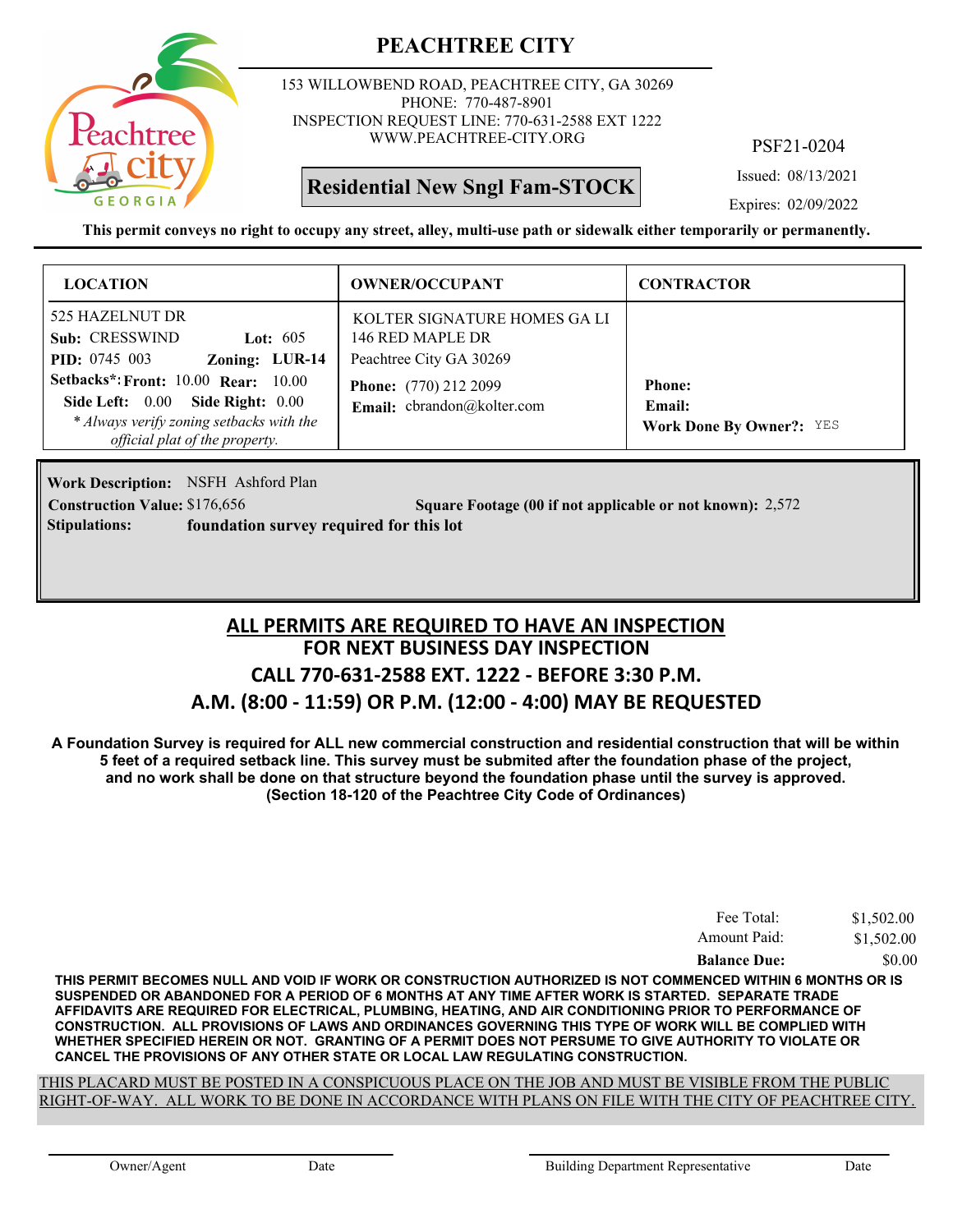

153 WILLOWBEND ROAD, PEACHTREE CITY, GA 30269 PHONE: 770-487-8901 INSPECTION REQUEST LINE: 770-631-2588 EXT 1222 WWW.PEACHTREE-CITY.ORG

**Residential New Sngl Fam-STOCK**

PSF21-0204

Issued: 08/13/2021

Expires: 02/09/2022

**This permit conveys no right to occupy any street, alley, multi-use path or sidewalk either temporarily or permanently.**

| <b>LOCATION</b>                                                                                                                                              | <b>OWNER/OCCUPANT</b>                                                      | <b>CONTRACTOR</b>                                          |
|--------------------------------------------------------------------------------------------------------------------------------------------------------------|----------------------------------------------------------------------------|------------------------------------------------------------|
| 525 HAZELNUT DR<br>Sub: CRESSWIND<br>Lot: $605$<br>Zoning: LUR-14<br><b>PID:</b> 0745 003                                                                    | KOLTER SIGNATURE HOMES GALI<br>146 RED MAPLE DR<br>Peachtree City GA 30269 |                                                            |
| <b>Setbacks*: Front: 10.00 Rear: 10.00</b><br>Side Left: 0.00 Side Right: 0.00<br>* Always verify zoning setbacks with the<br>official plat of the property. | <b>Phone:</b> (770) 212 2099<br>Email: cbrandon@kolter.com                 | <b>Phone:</b><br>Email:<br><b>Work Done By Owner?:</b> YES |

Work Description: NSFH Ashford Plan **Stipulations: foundation survey required for this lot**

**Construction Value:** \$176,656 2,572 **2,572** 2,572 **2,572** 

### **FOR NEXT BUSINESS DAY INSPECTION CALL 770-631-2588 EXT. 1222 - BEFORE 3:30 P.M. A.M. (8:00 - 11:59) OR P.M. (12:00 - 4:00) MAY BE REQUESTED ALL PERMITS ARE REQUIRED TO HAVE AN INSPECTION**

**A Foundation Survey is required for ALL new commercial construction and residential construction that will be within 5 feet of a required setback line. This survey must be submited after the foundation phase of the project, and no work shall be done on that structure beyond the foundation phase until the survey is approved. (Section 18-120 of the Peachtree City Code of Ordinances)**

| Fee Total:          | \$1,502.00 |
|---------------------|------------|
| Amount Paid:        | \$1,502.00 |
| <b>Balance Due:</b> | \$0.00     |

**THIS PERMIT BECOMES NULL AND VOID IF WORK OR CONSTRUCTION AUTHORIZED IS NOT COMMENCED WITHIN 6 MONTHS OR IS SUSPENDED OR ABANDONED FOR A PERIOD OF 6 MONTHS AT ANY TIME AFTER WORK IS STARTED. SEPARATE TRADE AFFIDAVITS ARE REQUIRED FOR ELECTRICAL, PLUMBING, HEATING, AND AIR CONDITIONING PRIOR TO PERFORMANCE OF CONSTRUCTION. ALL PROVISIONS OF LAWS AND ORDINANCES GOVERNING THIS TYPE OF WORK WILL BE COMPLIED WITH WHETHER SPECIFIED HEREIN OR NOT. GRANTING OF A PERMIT DOES NOT PERSUME TO GIVE AUTHORITY TO VIOLATE OR CANCEL THE PROVISIONS OF ANY OTHER STATE OR LOCAL LAW REGULATING CONSTRUCTION.**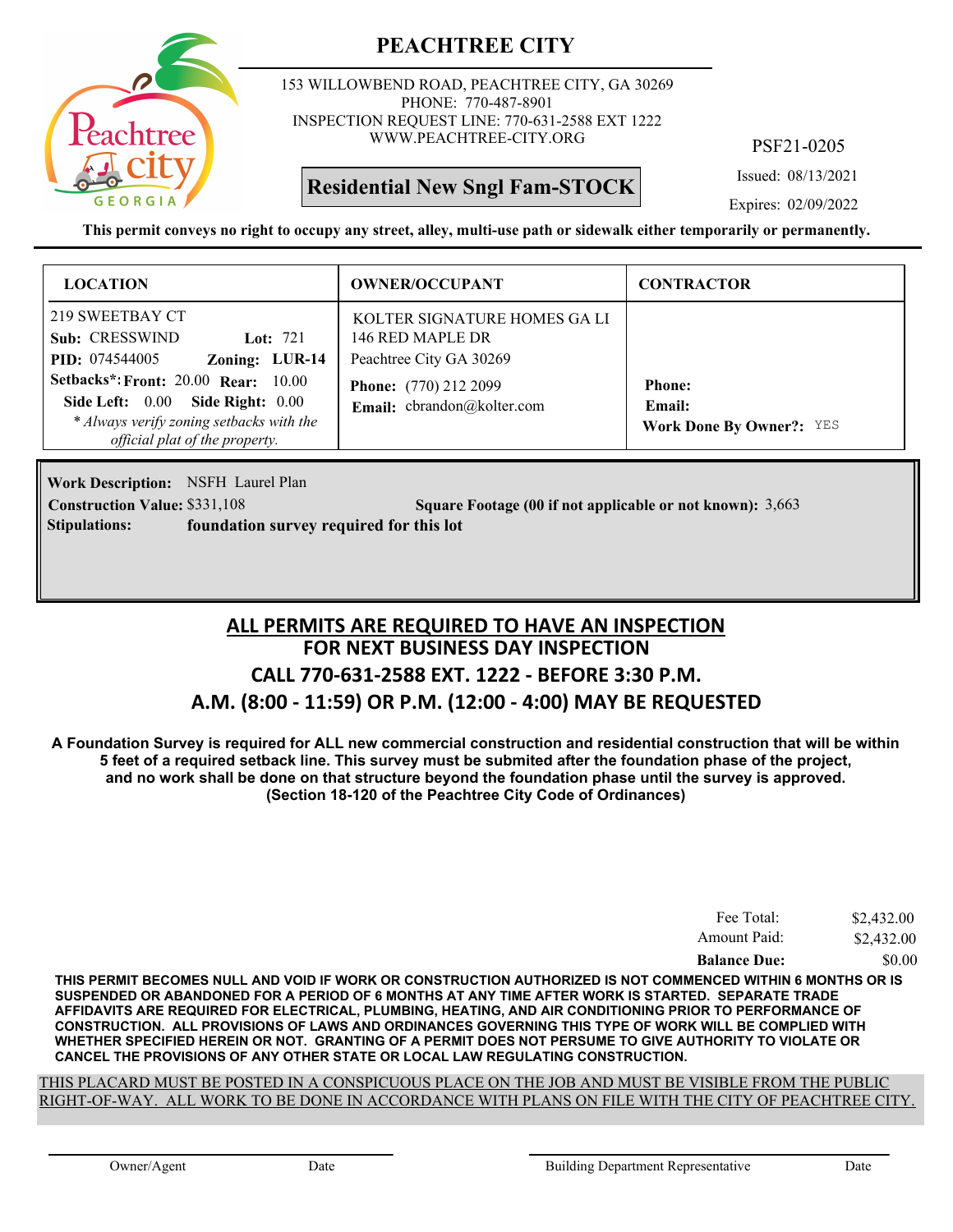

153 WILLOWBEND ROAD, PEACHTREE CITY, GA 30269 PHONE: 770-487-8901 INSPECTION REQUEST LINE: 770-631-2588 EXT 1222 WWW.PEACHTREE-CITY.ORG

**Residential New Sngl Fam-STOCK**

PSF21-0205

Issued: 08/13/2021

Expires: 02/09/2022

**This permit conveys no right to occupy any street, alley, multi-use path or sidewalk either temporarily or permanently.**

| <b>LOCATION</b>                                                                                                                                                                                                                                            | <b>OWNER/OCCUPANT</b>                                                                                                                     | <b>CONTRACTOR</b>                                          |
|------------------------------------------------------------------------------------------------------------------------------------------------------------------------------------------------------------------------------------------------------------|-------------------------------------------------------------------------------------------------------------------------------------------|------------------------------------------------------------|
| 219 SWEETBAY CT<br>Sub: CRESSWIND<br>Lot: $721$<br>Zoning: LUR-14<br><b>PID:</b> 074544005<br><b>Setbacks*: Front: 20.00 Rear: 10.00</b><br>Side Left: 0.00 Side Right: 0.00<br>* Always verify zoning setbacks with the<br>official plat of the property. | KOLTER SIGNATURE HOMES GA LI<br>146 RED MAPLE DR<br>Peachtree City GA 30269<br><b>Phone:</b> (770) 212 2099<br>Email: cbrandon@kolter.com | <b>Phone:</b><br>Email:<br><b>Work Done By Owner?:</b> YES |

Work Description: NSFH Laurel Plan **Construction Value:** \$331,108 **Square Footage (00 if not applicable or not known):** 3,663 **Stipulations: foundation survey required for this lot**

### **FOR NEXT BUSINESS DAY INSPECTION CALL 770-631-2588 EXT. 1222 - BEFORE 3:30 P.M. A.M. (8:00 - 11:59) OR P.M. (12:00 - 4:00) MAY BE REQUESTED ALL PERMITS ARE REQUIRED TO HAVE AN INSPECTION**

**A Foundation Survey is required for ALL new commercial construction and residential construction that will be within 5 feet of a required setback line. This survey must be submited after the foundation phase of the project, and no work shall be done on that structure beyond the foundation phase until the survey is approved. (Section 18-120 of the Peachtree City Code of Ordinances)**

| Fee Total:          | \$2,432.00 |
|---------------------|------------|
| Amount Paid:        | \$2,432.00 |
| <b>Balance Due:</b> | \$0.00     |

**THIS PERMIT BECOMES NULL AND VOID IF WORK OR CONSTRUCTION AUTHORIZED IS NOT COMMENCED WITHIN 6 MONTHS OR IS SUSPENDED OR ABANDONED FOR A PERIOD OF 6 MONTHS AT ANY TIME AFTER WORK IS STARTED. SEPARATE TRADE AFFIDAVITS ARE REQUIRED FOR ELECTRICAL, PLUMBING, HEATING, AND AIR CONDITIONING PRIOR TO PERFORMANCE OF CONSTRUCTION. ALL PROVISIONS OF LAWS AND ORDINANCES GOVERNING THIS TYPE OF WORK WILL BE COMPLIED WITH WHETHER SPECIFIED HEREIN OR NOT. GRANTING OF A PERMIT DOES NOT PERSUME TO GIVE AUTHORITY TO VIOLATE OR CANCEL THE PROVISIONS OF ANY OTHER STATE OR LOCAL LAW REGULATING CONSTRUCTION.**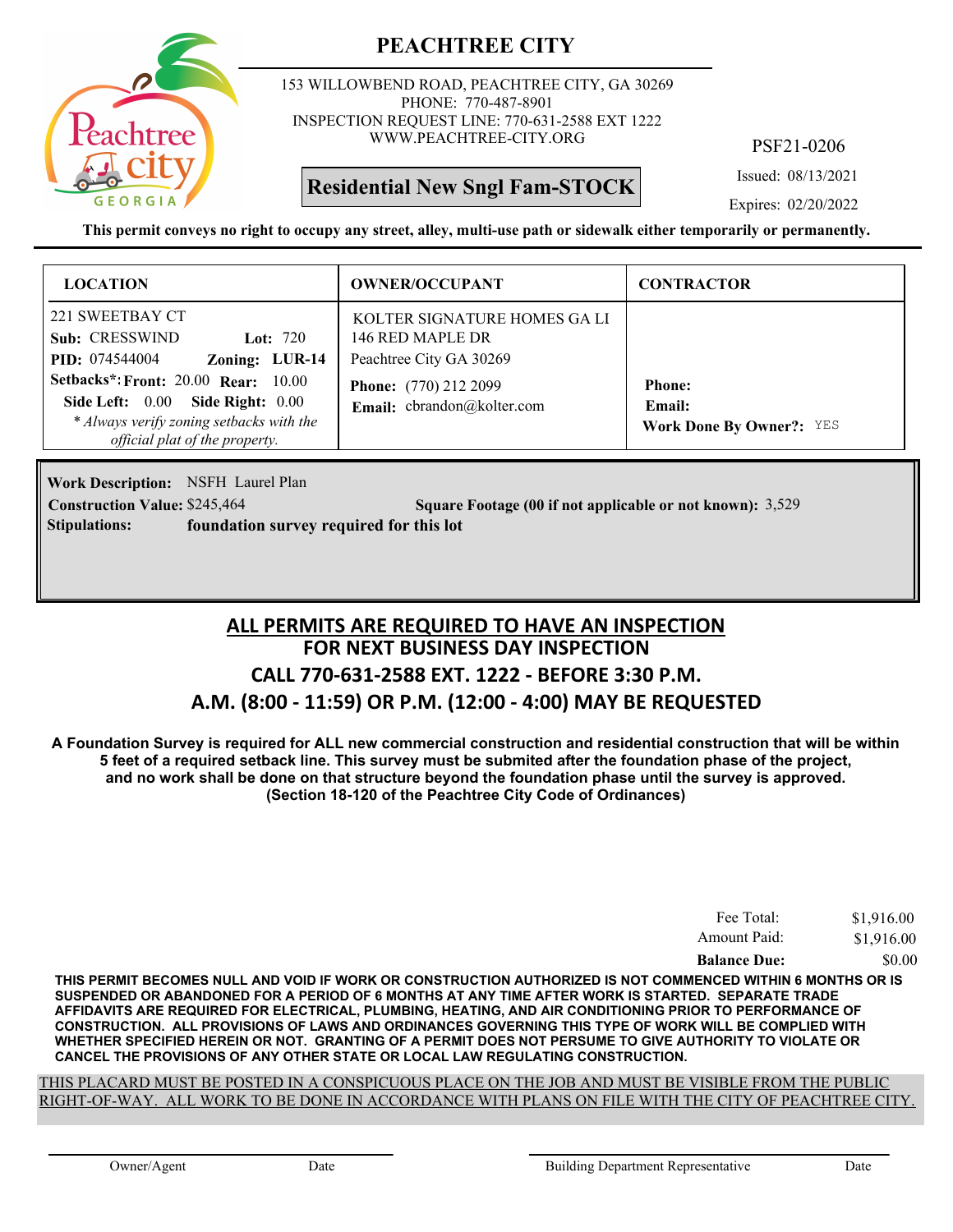

153 WILLOWBEND ROAD, PEACHTREE CITY, GA 30269 PHONE: 770-487-8901 INSPECTION REQUEST LINE: 770-631-2588 EXT 1222 WWW.PEACHTREE-CITY.ORG

**Residential New Sngl Fam-STOCK**

PSF21-0206

Issued: 08/13/2021

Expires: 02/20/2022

**This permit conveys no right to occupy any street, alley, multi-use path or sidewalk either temporarily or permanently.**

| <b>LOCATION</b>                                                                                                                                                                                                                                        | <b>OWNER/OCCUPANT</b>                                                                                                                     | <b>CONTRACTOR</b>                                          |
|--------------------------------------------------------------------------------------------------------------------------------------------------------------------------------------------------------------------------------------------------------|-------------------------------------------------------------------------------------------------------------------------------------------|------------------------------------------------------------|
| 221 SWEETBAY CT<br>Sub: CRESSWIND<br>Lot: $720$<br>Zoning: LUR-14<br><b>PID:</b> 074544004<br>Setbacks*: Front: 20.00 Rear: 10.00<br>Side Left: 0.00<br>Side Right: 0.00<br>* Always verify zoning setbacks with the<br>official plat of the property. | KOLTER SIGNATURE HOMES GA LI<br>146 RED MAPLE DR<br>Peachtree City GA 30269<br><b>Phone:</b> (770) 212 2099<br>Email: cbrandon@kolter.com | <b>Phone:</b><br>Email:<br><b>Work Done By Owner?:</b> YES |

Work Description: NSFH Laurel Plan **Construction Value:** \$245,464 **3,529 Square Footage (00 if not applicable or not known): 3,529 Stipulations: foundation survey required for this lot**

### **FOR NEXT BUSINESS DAY INSPECTION CALL 770-631-2588 EXT. 1222 - BEFORE 3:30 P.M. A.M. (8:00 - 11:59) OR P.M. (12:00 - 4:00) MAY BE REQUESTED ALL PERMITS ARE REQUIRED TO HAVE AN INSPECTION**

**A Foundation Survey is required for ALL new commercial construction and residential construction that will be within 5 feet of a required setback line. This survey must be submited after the foundation phase of the project, and no work shall be done on that structure beyond the foundation phase until the survey is approved. (Section 18-120 of the Peachtree City Code of Ordinances)**

| Fee Total:          | \$1,916.00 |
|---------------------|------------|
| Amount Paid:        | \$1,916.00 |
| <b>Balance Due:</b> | \$0.00     |

**THIS PERMIT BECOMES NULL AND VOID IF WORK OR CONSTRUCTION AUTHORIZED IS NOT COMMENCED WITHIN 6 MONTHS OR IS SUSPENDED OR ABANDONED FOR A PERIOD OF 6 MONTHS AT ANY TIME AFTER WORK IS STARTED. SEPARATE TRADE AFFIDAVITS ARE REQUIRED FOR ELECTRICAL, PLUMBING, HEATING, AND AIR CONDITIONING PRIOR TO PERFORMANCE OF CONSTRUCTION. ALL PROVISIONS OF LAWS AND ORDINANCES GOVERNING THIS TYPE OF WORK WILL BE COMPLIED WITH WHETHER SPECIFIED HEREIN OR NOT. GRANTING OF A PERMIT DOES NOT PERSUME TO GIVE AUTHORITY TO VIOLATE OR CANCEL THE PROVISIONS OF ANY OTHER STATE OR LOCAL LAW REGULATING CONSTRUCTION.**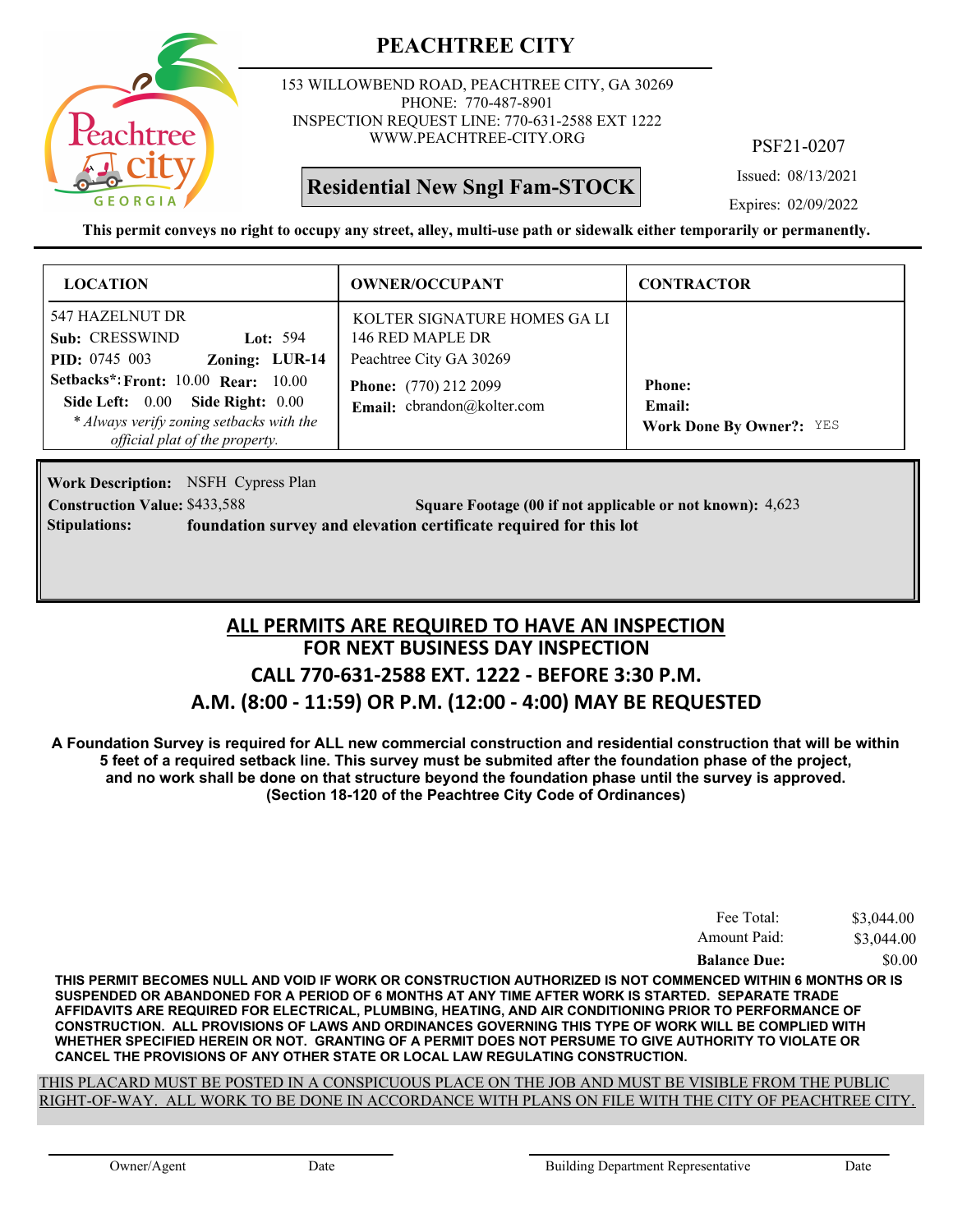

153 WILLOWBEND ROAD, PEACHTREE CITY, GA 30269 PHONE: 770-487-8901 INSPECTION REQUEST LINE: 770-631-2588 EXT 1222 WWW.PEACHTREE-CITY.ORG

**Residential New Sngl Fam-STOCK**

PSF21-0207

Issued: 08/13/2021

Expires: 02/09/2022

**This permit conveys no right to occupy any street, alley, multi-use path or sidewalk either temporarily or permanently.**

| <b>LOCATION</b>                                                                                                                         | <b>OWNER/OCCUPANT</b>                                                                                       | <b>CONTRACTOR</b>                         |
|-----------------------------------------------------------------------------------------------------------------------------------------|-------------------------------------------------------------------------------------------------------------|-------------------------------------------|
| 547 HAZELNUT DR<br>Sub: CRESSWIND<br>Lot: $594$<br>Zoning: LUR-14<br><b>PID:</b> 0745 003<br><b>Setbacks*: Front: 10.00 Rear: 10.00</b> | KOLTER SIGNATURE HOMES GA LI<br>146 RED MAPLE DR<br>Peachtree City GA 30269<br><b>Phone:</b> (770) 212 2099 | <b>Phone:</b>                             |
| Side Left: 0.00 Side Right: 0.00<br>* Always verify zoning setbacks with the<br>official plat of the property.                          | Email: cbrandon@kolter.com                                                                                  | Email:<br><b>Work Done By Owner?:</b> YES |

**Work Description:** NSFH Cypress Plan **Construction Value:** \$433,588 591 **Square Footage (00 if not applicable or not known):** 4,623 **Stipulations: foundation survey and elevation certificate required for this lot**

### **FOR NEXT BUSINESS DAY INSPECTION CALL 770-631-2588 EXT. 1222 - BEFORE 3:30 P.M. A.M. (8:00 - 11:59) OR P.M. (12:00 - 4:00) MAY BE REQUESTED ALL PERMITS ARE REQUIRED TO HAVE AN INSPECTION**

**A Foundation Survey is required for ALL new commercial construction and residential construction that will be within 5 feet of a required setback line. This survey must be submited after the foundation phase of the project, and no work shall be done on that structure beyond the foundation phase until the survey is approved. (Section 18-120 of the Peachtree City Code of Ordinances)**

| Fee Total:          | \$3,044.00 |
|---------------------|------------|
| Amount Paid:        | \$3,044.00 |
| <b>Balance Due:</b> | \$0.00     |

**THIS PERMIT BECOMES NULL AND VOID IF WORK OR CONSTRUCTION AUTHORIZED IS NOT COMMENCED WITHIN 6 MONTHS OR IS SUSPENDED OR ABANDONED FOR A PERIOD OF 6 MONTHS AT ANY TIME AFTER WORK IS STARTED. SEPARATE TRADE AFFIDAVITS ARE REQUIRED FOR ELECTRICAL, PLUMBING, HEATING, AND AIR CONDITIONING PRIOR TO PERFORMANCE OF CONSTRUCTION. ALL PROVISIONS OF LAWS AND ORDINANCES GOVERNING THIS TYPE OF WORK WILL BE COMPLIED WITH WHETHER SPECIFIED HEREIN OR NOT. GRANTING OF A PERMIT DOES NOT PERSUME TO GIVE AUTHORITY TO VIOLATE OR CANCEL THE PROVISIONS OF ANY OTHER STATE OR LOCAL LAW REGULATING CONSTRUCTION.**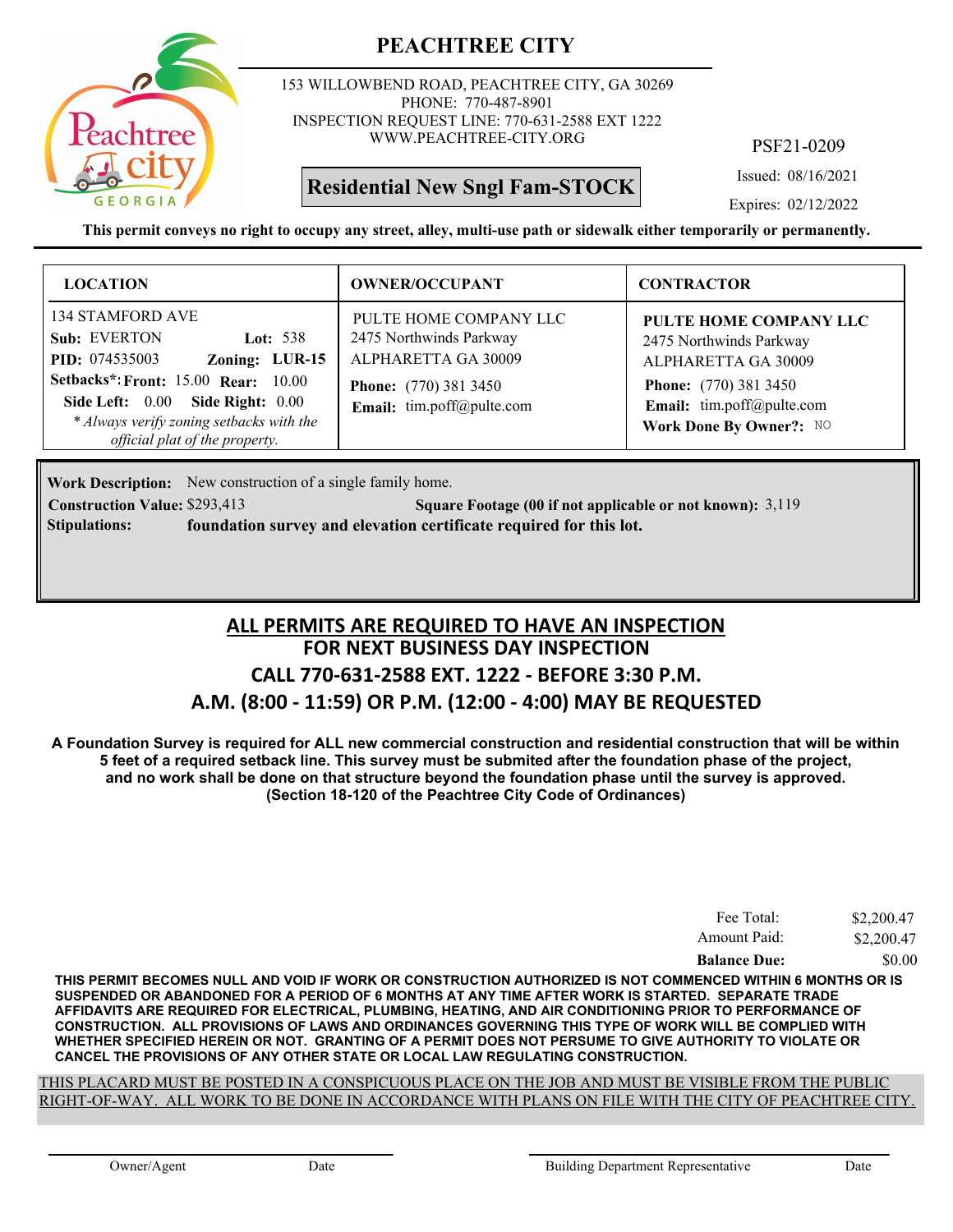

153 WILLOWBEND ROAD, PEACHTREE CITY, GA 30269 PHONE: 770-487-8901 INSPECTION REQUEST LINE: 770-631-2588 EXT 1222 WWW.PEACHTREE-CITY.ORG

## **Residential New Sngl Fam-STOCK**

PSF21-0209

Issued: 08/16/2021

Expires: 02/12/2022

**This permit conveys no right to occupy any street, alley, multi-use path or sidewalk either temporarily or permanently.**

| <b>LOCATION</b>                                                                                                                                                                                                                                              | <b>OWNER/OCCUPANT</b>                                                                                                                 | <b>CONTRACTOR</b>                                                                                                                                                |
|--------------------------------------------------------------------------------------------------------------------------------------------------------------------------------------------------------------------------------------------------------------|---------------------------------------------------------------------------------------------------------------------------------------|------------------------------------------------------------------------------------------------------------------------------------------------------------------|
| 134 STAMFORD AVE<br>Sub: EVERTON<br>Lot: $538$<br>Zoning: LUR-15<br><b>PID:</b> 074535003<br><b>Setbacks*: Front: 15.00 Rear: 10.00</b><br>Side Left: 0.00<br>Side Right: 0.00<br>* Always verify zoning setbacks with the<br>official plat of the property. | PULTE HOME COMPANY LLC<br>2475 Northwinds Parkway<br>ALPHARETTA GA 30009<br><b>Phone:</b> (770) 381 3450<br>Email: tim.poff@pulte.com | PULTE HOME COMPANY LLC<br>2475 Northwinds Parkway<br>ALPHARETTA GA 30009<br><b>Phone:</b> (770) 381 3450<br>Email: tim.poff@pulte.com<br>Work Done By Owner?: NO |

Work Description: New construction of a single family home.

**Construction Value:** \$293,413 **Square Footage (00 if not applicable or not known):** 3,119 **Stipulations: foundation survey and elevation certificate required for this lot.**

## **FOR NEXT BUSINESS DAY INSPECTION CALL 770-631-2588 EXT. 1222 - BEFORE 3:30 P.M. A.M. (8:00 - 11:59) OR P.M. (12:00 - 4:00) MAY BE REQUESTED ALL PERMITS ARE REQUIRED TO HAVE AN INSPECTION**

**A Foundation Survey is required for ALL new commercial construction and residential construction that will be within 5 feet of a required setback line. This survey must be submited after the foundation phase of the project, and no work shall be done on that structure beyond the foundation phase until the survey is approved. (Section 18-120 of the Peachtree City Code of Ordinances)**

| Fee Total:          | \$2,200.47 |
|---------------------|------------|
| Amount Paid:        | \$2,200.47 |
| <b>Balance Due:</b> | \$0.00     |

**THIS PERMIT BECOMES NULL AND VOID IF WORK OR CONSTRUCTION AUTHORIZED IS NOT COMMENCED WITHIN 6 MONTHS OR IS SUSPENDED OR ABANDONED FOR A PERIOD OF 6 MONTHS AT ANY TIME AFTER WORK IS STARTED. SEPARATE TRADE AFFIDAVITS ARE REQUIRED FOR ELECTRICAL, PLUMBING, HEATING, AND AIR CONDITIONING PRIOR TO PERFORMANCE OF CONSTRUCTION. ALL PROVISIONS OF LAWS AND ORDINANCES GOVERNING THIS TYPE OF WORK WILL BE COMPLIED WITH WHETHER SPECIFIED HEREIN OR NOT. GRANTING OF A PERMIT DOES NOT PERSUME TO GIVE AUTHORITY TO VIOLATE OR CANCEL THE PROVISIONS OF ANY OTHER STATE OR LOCAL LAW REGULATING CONSTRUCTION.**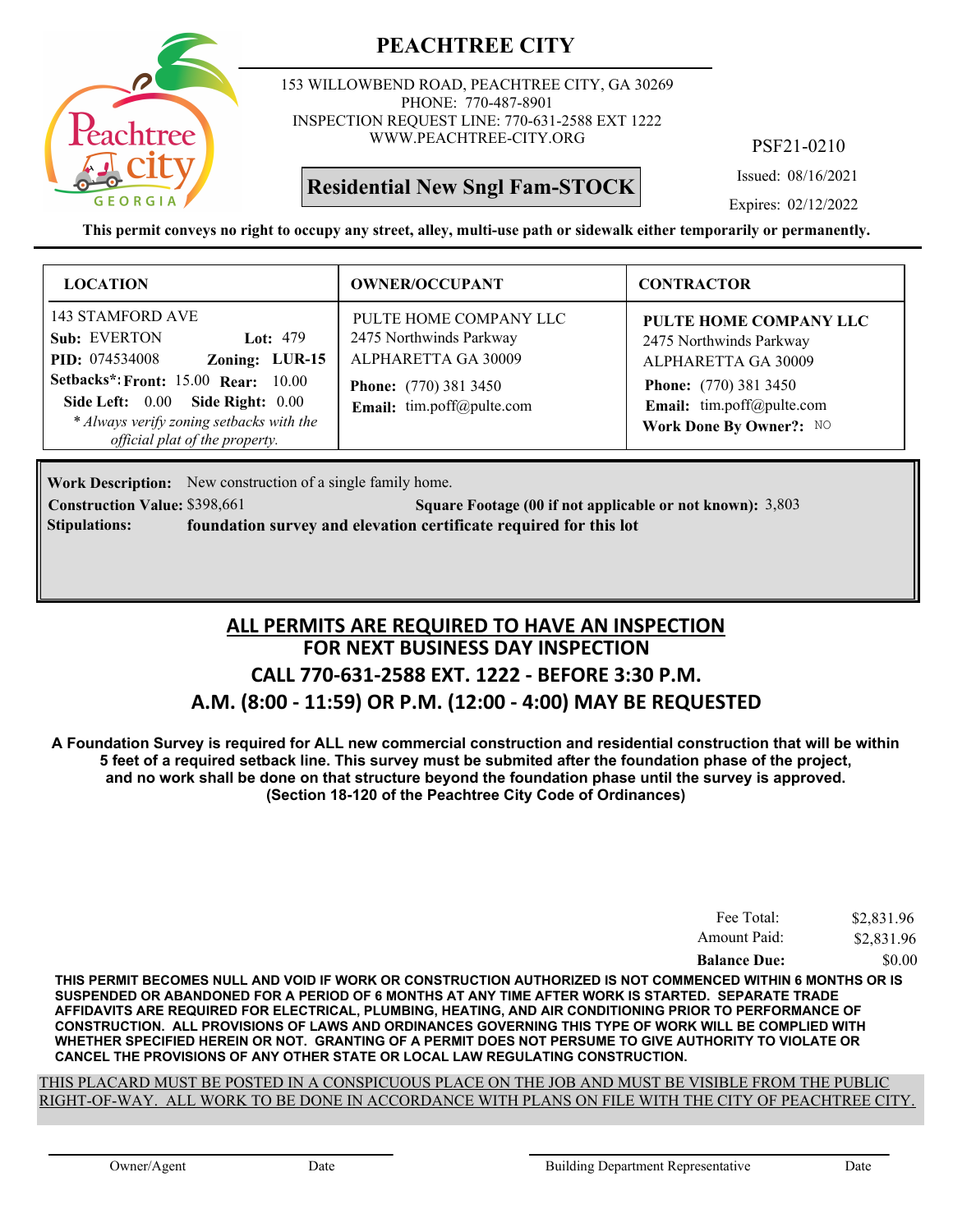

153 WILLOWBEND ROAD, PEACHTREE CITY, GA 30269 PHONE: 770-487-8901 INSPECTION REQUEST LINE: 770-631-2588 EXT 1222 WWW.PEACHTREE-CITY.ORG

## **Residential New Sngl Fam-STOCK**

PSF21-0210

Issued: 08/16/2021

Expires: 02/12/2022

**This permit conveys no right to occupy any street, alley, multi-use path or sidewalk either temporarily or permanently.**

| <b>LOCATION</b>                                                                                                                                                                                                                                           | <b>OWNER/OCCUPANT</b>                                                                                                                 | <b>CONTRACTOR</b>                                                                                                                                                |
|-----------------------------------------------------------------------------------------------------------------------------------------------------------------------------------------------------------------------------------------------------------|---------------------------------------------------------------------------------------------------------------------------------------|------------------------------------------------------------------------------------------------------------------------------------------------------------------|
| 143 STAMFORD AVE<br>Sub: EVERTON<br>Lot: $479$<br><b>PID:</b> 074534008<br>Zoning: LUR-15<br><b>Setbacks*: Front: 15.00 Rear: 10.00</b><br>Side Left: 0.00 Side Right: 0.00<br>* Always verify zoning setbacks with the<br>official plat of the property. | PULTE HOME COMPANY LLC<br>2475 Northwinds Parkway<br>ALPHARETTA GA 30009<br><b>Phone:</b> (770) 381 3450<br>Email: tim.poff@pulte.com | PULTE HOME COMPANY LLC<br>2475 Northwinds Parkway<br>ALPHARETTA GA 30009<br><b>Phone:</b> (770) 381 3450<br>Email: tim.poff@pulte.com<br>Work Done By Owner?: NO |

Work Description: New construction of a single family home.

**Construction Value:** \$398,661 5,803 Square Footage (00 if not applicable or not known): 3,803 **Stipulations: foundation survey and elevation certificate required for this lot**

### **FOR NEXT BUSINESS DAY INSPECTION CALL 770-631-2588 EXT. 1222 - BEFORE 3:30 P.M. A.M. (8:00 - 11:59) OR P.M. (12:00 - 4:00) MAY BE REQUESTED ALL PERMITS ARE REQUIRED TO HAVE AN INSPECTION**

**A Foundation Survey is required for ALL new commercial construction and residential construction that will be within 5 feet of a required setback line. This survey must be submited after the foundation phase of the project, and no work shall be done on that structure beyond the foundation phase until the survey is approved. (Section 18-120 of the Peachtree City Code of Ordinances)**

| Fee Total:          | \$2,831.96 |
|---------------------|------------|
| Amount Paid:        | \$2,831.96 |
| <b>Balance Due:</b> | \$0.00     |

**THIS PERMIT BECOMES NULL AND VOID IF WORK OR CONSTRUCTION AUTHORIZED IS NOT COMMENCED WITHIN 6 MONTHS OR IS SUSPENDED OR ABANDONED FOR A PERIOD OF 6 MONTHS AT ANY TIME AFTER WORK IS STARTED. SEPARATE TRADE AFFIDAVITS ARE REQUIRED FOR ELECTRICAL, PLUMBING, HEATING, AND AIR CONDITIONING PRIOR TO PERFORMANCE OF CONSTRUCTION. ALL PROVISIONS OF LAWS AND ORDINANCES GOVERNING THIS TYPE OF WORK WILL BE COMPLIED WITH WHETHER SPECIFIED HEREIN OR NOT. GRANTING OF A PERMIT DOES NOT PERSUME TO GIVE AUTHORITY TO VIOLATE OR CANCEL THE PROVISIONS OF ANY OTHER STATE OR LOCAL LAW REGULATING CONSTRUCTION.**